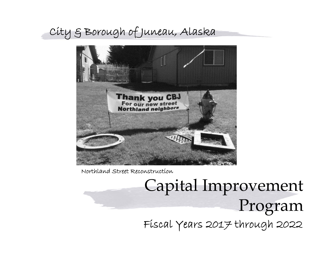City & Borough of Juneau, Alaska



Northland Street Reconstruction

# Capital Improvement Program Fiscal Years 2017 through 2022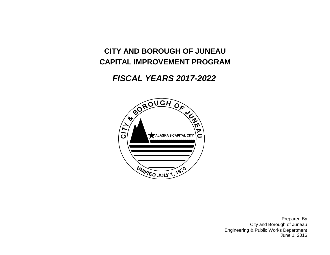# **CITY AND BOROUGH OF JUNEAUCAPITAL IMPROVEMENT PROGRAM**

# *FISCAL YEARS 2017-2022*



City and Borough of Juneau June 1, 2016 Prepared By Engineering & Public Works Department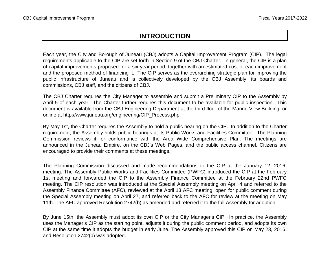# **INTRODUCTION**

Each year, the City and Borough of Juneau (CBJ) adopts <sup>a</sup> Capital Improvement Program (CIP). The legal requirements applicable to the CIP are set forth in Section 9 of the CBJ Charter. In general, the CIP is <sup>a</sup> plan of capital improvements proposed for <sup>a</sup> six-year period, together with an estimated cost of each improvement and the proposed method of financing it. The CIP serves as the overarching strategic plan for improving the public infrastructure of Juneau and is collectively developed by the CBJ Assembly, its boards and commissions, CBJ staff, and the citizens of CBJ.

The CBJ Charter requires the City Manager to assemble and submit <sup>a</sup> Preliminary CIP to the Assembly by April 5 of each year. The Charter further requires this document to be available for public inspection. This document is available from the CBJ Engineering Department at the third floor of the Marine View Building, or online at http://www.juneau.org/engineering/CIP\_Process.php.

By May 1st, the Charter requires the Assembly to hold <sup>a</sup> public hearing on the CIP. In addition to the Charter requirement, the Assembly holds public hearings at its Public Works and Facilities Committee. The Planning Commission reviews it for conformance with the Area Wide Comprehensive Plan. The meetings are announced in the Juneau Empire, on the CBJ's Web Pages, and the public access channel. Citizens are encouraged to provide their comments at these meetings.

The Planning Commission discussed and made recommendations to the CIP at the January 12, 2016, meeting. The Assembly Public Works and Facilities Committee (PWFC) introduced the CIP at the February 1st meeting and forwarded the CIP to the Assembly Finance Committee at the February 22nd PWFC meeting. The CIP resolution was introduced at the Special Assembly meeting on April 4 and referred to the Assembly Finance Committee (AFC), reviewed at the April 13 AFC meeting, open for public comment during the Special Assembly meeting on April 27, and referred back to the AFC for review at the meeting on May 11th. The AFC approved Resolution 2742(b) as amended and referred it to the full Assembly for adoption.

By June 15th, the Assembly must adopt its own CIP or the City Manager's CIP. In practice, the Assembly uses the Manager's CIP as the starting point, adjusts it during the public comment period, and adopts its own CIP at the same time it adopts the budget in early June. The Assembly approved this CIP on May 23, 2016, and Resolution 2742(b) was adopted.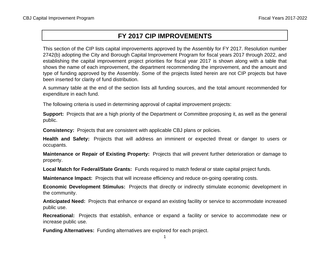# **FY 2017 CIP IMPROVEMENTS**

This section of the CIP lists capital improvements approved by the Assembly for FY 2017. Resolution number 2742(b) adopting the City and Borough Capital Improvement Program for fiscal years 2017 through 2022, and establishing the capital improvement project priorities for fiscal year 2017 is shown along with <sup>a</sup> table that shows the name of each improvement, the department recommending the improvement, and the amount and type of funding approved by the Assembly. Some of the projects listed herein are not CIP projects but have been inserted for clarity of fund distribution.

A summary table at the end of the section lists all funding sources, and the total amount recommended for expenditure in each fund.

The following criteria is used in determining approval of capital improvement projects:

**Support:** Projects that are <sup>a</sup> high priority of the Department or Committee proposing it, as well as the general public.

**Consistency:** Projects that are consistent with applicable CBJ plans or policies.

**Health and Safety:** Projects that will address an imminent or expected threat or danger to users or occupants.

**Maintenance or Repair of Existing Property:** Projects that will prevent further deterioration or damage to property.

**Local Match for Federal/State Grants:** Funds required to match federal or state capital project funds.

**Maintenance Impact:** Projects that will increase efficiency and reduce on-going operating costs.

**Economic Development Stimulus:** Projects that directly or indirectly stimulate economic development in the community.

**Anticipated Need:** Projects that enhance or expand an existing facility or service to accommodate increased public use.

**Recreational:** Projects that establish, enhance or expand <sup>a</sup> facility or service to accommodate new or increase public use.

**Funding Alternatives:** Funding alternatives are explored for each project.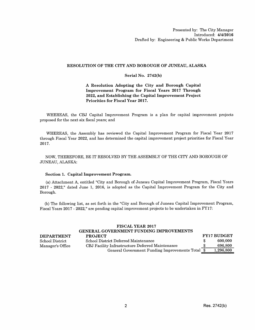### RESOLUTION OF THE CITY AND BOROUGH OF JUNEAU, ALASKA

### Serial No. 2742(b)

### A Resolution Adopting the City and Borough Capital Improvement Program for Fiscal Years 2017 Through 2022, and Establishing the Capital Improvement Project Priorities for Fiscal Year 2017.

WHEREAS, the CBJ Capital Improvement Program is a plan for capital improvement projects proposed for the next six fiscal years; and

WHEREAS, the Assembly has reviewed the Capital Improvement Program for Fiscal Year 2017 through Fiscal Year 2022, and has determined the capital improvement project priorities for Fiscal Year 2017.

NOW, THEREFORE, BE IT RESOLVED BY THE ASSEMBLY OF THE CITY AND BOROUGH OF JUNEAU, ALASKA:

### Section 1. Capital Improvement Program.

(a) Attachment A, entitled "City and Borough of Juneau Capital Improvement Program, Fiscal Years 2017 - 2022," dated June 1, 2016, is adopted as the Capital Improvement Program for the City and Borough.

(b) The following list, as set forth in the "City and Borough of Juneau Capital Improvement Program, Fiscal Years 2017 - 2022," are pending capital improvement projects to be undertaken in FY17:

#### FISCAL YEAR 2017 mp overledne

|                   | GENERAL GOVERNMENT FUNDING IMPROVEMENTS          |                    |
|-------------------|--------------------------------------------------|--------------------|
| <b>DEPARTMENT</b> | PROJECT                                          | <b>FY17 BUDGET</b> |
| School District   | School District Deferred Maintenance             | 600.000            |
| Manager's Office  | CBJ Facility Infrastructure Deferred Maintenance | 696.800            |
|                   | General Government Funding Improvements Total \$ | 1,296,800          |
|                   |                                                  |                    |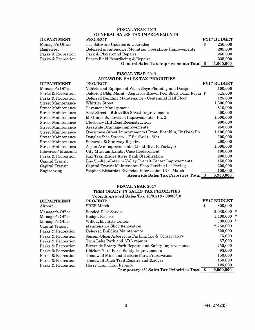#### FISCAL YEAR 2017 GENERAL SALES TAX IMPROVEMENTS **DEPARTMENT PROJECT FY17 BUDGET** I.T. Software Updates & Upgrades Manager's Office \$ 250,000 265,000 Eaglecrest Deferred maintenance /Mountain Operations Improvements 250,000 Parks & Recreation Park & Playground Repairs Parks & Recreation Sports Field Resurfacing & Repairs 235,000 General Sales Tax Improvements Total \$ 1,000,000

### FISCAL YEAR 2017

### AREAWIDE SALES TAX PRIORITIES

| DEPARTMENT          | <b>PROJECT</b>                                                 | <b>FY17 BUDGET</b> |
|---------------------|----------------------------------------------------------------|--------------------|
| Manager's Office    | Vehicle and Equipment Wash Bays Planning and Design            | 100,000            |
| Parks & Recreation  | Deferred Bldg. Maint - Augustus Brown Pool Short Term Repai \$ | 515,000            |
| Parks & Recreation  | Deferred Building Maintenance - Centennial Hall Floor          | 125,000            |
| Street Maintenance  | Whittier Street                                                | 1,300,000          |
| Street Maintenance  | Pavement Management                                            | 810,000            |
| Street Maintenance  | East Street - 5th to 6th Street Improvements                   | 400,000            |
| Street Maintenance  | McGinnis Subdivision Improvements - Ph. 2                      | 1,000,000          |
| Street Maintenance  | Blueberry Hill Road Reconstruction                             | 900,000            |
| Street Maintenance  | Areawide Drainage Improvements                                 | 250,000            |
| Street Maintenance  | Downtown Street Improvements (Front, Franklin, Dt Core) Ph.    | 1,100,000          |
| Street Maintenance  | Douglas Side Streets - F St. (3rd to 5th)                      | 500,000            |
| Street Maintenance  | Sidewalk & Stairway Repairs                                    | 200,000            |
| Street Maintenance  | Aspen Ave Improvements (Mend Blvd to Portage)                  | 1,000,000          |
| Libraries / Museums | City Museum Exhibit Case Replacement                           | 100,000            |
| Parks & Recreation  | Kax Trail Bridge River Bank Stabilization                      | 200,000            |
| Capital Transit     | Bus Shelters/Interim Valley Transit Center Improvements        | 150,000            |
| Capital Transit     | Capital Transit Maintenance Shop Parking Lot Paving            | 200,000            |
| Engineering         | Stephen Richards / Riverside Intersection DOT Match            | 100,000            |
|                     | Areawide Sales Tax Priorities Total \$                         | 8,950,000          |

### FISCAL YEAR 2017 TEMPORARY 1% SALES TAX PRIORITIES Voter Annroyed Sales Tax 10/01/13 - 09/30/18

|                    | VOICL ADDIOVCU DAICS IAA IVOID ID - 00000 ID          |                    |  |
|--------------------|-------------------------------------------------------|--------------------|--|
| <b>DEPARTMENT</b>  | <b>PROJECT</b>                                        | <b>FY17 BUDGET</b> |  |
| ${\rm Airport}$    | ${\rm SREF\,Match}$                                   | 800,000<br>\$      |  |
| Manager's Office   | <b>Bonded Debt Service</b>                            | $2,030,000$ *      |  |
| Manager's Office   | <b>Budget Reserve</b>                                 | $1,400,000$ *      |  |
| Manager's Office   | Willoughby Arts Center                                | $300,000$ *        |  |
| Capital Transit    | Maintenance Shop Renovation                           | 2,750,000          |  |
| Parks & Recreation | Deferred Building Maintenance                         | 820,000            |  |
| Parks & Recreation | Jensen-Olson Arboretum Parking Lot & Conservatory     | 75,000             |  |
| Parks & Recreation | Twin Lake Park and ADA repairs                        | 57,000             |  |
| Parks & Recreation | Riverside Rotary Park Repairs and Safety Improvements | 250,000            |  |
| Parks & Recreation | Chicken Yard Park Safety Improvements                 | 93,000             |  |
| Parks & Recreation | Treadwell Mine and Historic Park Preservation         | 150,000            |  |
| Parks & Recreation | Treadwell Ditch Trail Repairs and Bridges             | 150,000            |  |
| Parks & Recreation | Horse Tram Trail Repairs                              | 125,000            |  |
|                    | Temporary 1% Sales Tax Priorities Total \$            | 9,000,000          |  |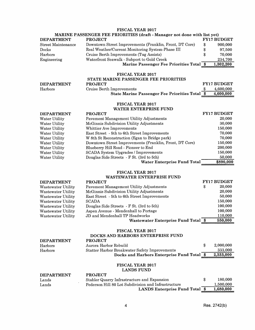### FISCAL YEAR 2017

|                                                        | MARINE PASSENGER FEE PRIORITIES (draft - Manager not done with list yet)                           |          |                    |
|--------------------------------------------------------|----------------------------------------------------------------------------------------------------|----------|--------------------|
| <b>DEPARTMENT</b>                                      | <b>PROJECT</b>                                                                                     |          | <b>FY17 BUDGET</b> |
| <b>Street Maintenance</b>                              | Downtown Street Improvements (Franklin, Front, DT Core)                                            | \$       | 900,000            |
| Docks<br>Harbors                                       | Real Weather/Current Monitoring System-Phase III                                                   | \$<br>\$ | 97,500             |
| Engineering                                            | Cruise Berth Improvements (Tug Assists)<br>Waterfront Seawalk - Subport to Gold Creek              |          | 70,000<br>234,700  |
|                                                        | Marine Passenger Fee Priorities Total \$                                                           |          | 1,302,200          |
|                                                        |                                                                                                    |          |                    |
|                                                        | <b>FISCAL YEAR 2017</b>                                                                            |          |                    |
|                                                        | STATE MARINE PASSENGER FEE PRIORITIES                                                              |          |                    |
| <b>DEPARTMENT</b>                                      | <b>PROJECT</b>                                                                                     |          | <b>FY17 BUDGET</b> |
| Harbors                                                | Cruise Berth Improvements                                                                          | \$       | 4,600,000          |
|                                                        | <b>State Marine Passenger Fee Priorities Total \$</b>                                              |          | 4,600,000          |
|                                                        | <b>FISCAL YEAR 2017</b>                                                                            |          |                    |
|                                                        | WATER ENTERPRISE FUND                                                                              |          |                    |
| <b>DEPARTMENT</b>                                      | <b>PROJECT</b>                                                                                     |          | <b>FY17 BUDGET</b> |
| <b>Water Utility</b>                                   | Pavement Management Utility Adjustments                                                            |          | 20,000             |
| Water Utility                                          | McGinnis Subdivision Utility Adjustments                                                           |          | 30,000             |
| Water Utility                                          | Whittier Ave Improvements                                                                          |          | 150,000            |
| Water Utility                                          | East Street - 5th to 6th Street Improvements                                                       |          | 70,000             |
| Water Utility                                          | W 8th St Reconstruction (Egan to Bridge park)                                                      |          | 70,000             |
| Water Utility                                          | Downtown Street Improvements (Franklin, Front, DT Core)                                            |          | 150,000            |
| Water Utility<br>Water Utility                         | Blueberry Hill Road - Pioneer to End<br>SCADA System Upgrades / Improvements                       |          | 200,000<br>150,000 |
| Water Utility                                          | Douglas Side Streets - F St. (3rd to 5th)                                                          |          | 50,000             |
|                                                        | Water Enterprise Fund Total                                                                        |          | \$890,000          |
|                                                        |                                                                                                    |          |                    |
|                                                        |                                                                                                    |          |                    |
|                                                        | FISCAL YEAR 2017                                                                                   |          |                    |
|                                                        | WASTEWATER ENTERPRISE FUND                                                                         |          |                    |
| <b>DEPARTMENT</b>                                      | <b>PROJECT</b>                                                                                     |          | <b>FY17 BUDGET</b> |
| <b>Wastewater Utility</b>                              | Pavement Management Utility Adjustments<br>McGinnis Subdivision Utility Adjustments                | \$       | 20,000<br>20,000   |
| <b>Wastewater Utility</b><br><b>Wastewater Utility</b> | East Street - 5th to 6th Street Improvements                                                       |          | 50,000             |
| <b>Wastewater Utility</b>                              | <b>SCADA</b>                                                                                       |          | 150,000            |
| <b>Wastewater Utility</b>                              | Douglas Side Streets - F St. (3rd to 5th)                                                          |          | 100,000            |
| <b>Wastewater Utility</b>                              | Aspen Avenue - Mendenhall to Portage                                                               |          | 100,000            |
| Wastewater Utility                                     | JD and Mendenhall TP Headworks                                                                     |          | 110,000            |
|                                                        | Wastewater Enterprise Fund Total \$                                                                |          | 550,000            |
|                                                        |                                                                                                    |          |                    |
|                                                        | FISCAL YEAR 2017                                                                                   |          |                    |
| <b>DEPARTMENT</b>                                      | DOCKS AND HARBORS ENTERPRISE FUND<br><b>PROJECT</b>                                                |          |                    |
| Harbors                                                | Aurora Harbor Rebuild                                                                              | \$       | 2,000,000          |
| Harbors                                                | <b>Statter Harbor Breakwater Safety Improvements</b>                                               |          | 333,000            |
|                                                        | Docks and Harbors Enterprise Fund Total \$                                                         |          | 2,333,000          |
|                                                        |                                                                                                    |          |                    |
|                                                        | FISCAL YEAR 2017                                                                                   |          |                    |
|                                                        | <b>LANDS FUND</b>                                                                                  |          |                    |
| <b>DEPARTMENT</b>                                      | <b>PROJECT</b>                                                                                     | \$       | 180,000            |
| Lands<br>Lands                                         | Stabler Quarry Infrastructure and Expansion<br>Pederson Hill 80 Lot Subdivision and Infrastructure |          | 1,500,000          |
|                                                        | <b>LANDS Enterprise Fund Total \$</b>                                                              |          | 1,680,000          |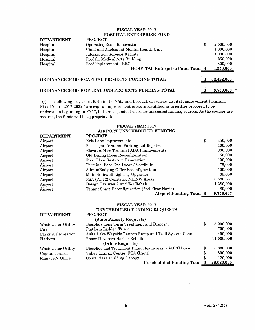|                   | <b>FISCAL YEAR 2017</b>                                    |                 |
|-------------------|------------------------------------------------------------|-----------------|
|                   | <b>HOSPITAL ENTERPRISE FUND</b>                            |                 |
| <b>DEPARTMENT</b> | <b>PROJECT</b>                                             |                 |
| Hospital          | Operating Room Renovation                                  | \$<br>2,000,000 |
| Hospital          | Child and Adolescent Mental Health Unit                    | 1,000,000       |
| Hospital          | <b>Information Services Facility</b>                       | 1,000,000       |
| Hospital          | Roof for Medical Arts Building                             | 250,000         |
| Hospital          | Roof Replacement - RRC                                     | 300,000         |
|                   | <b>HOSPITAL Enterprise Fund Total \$</b>                   | 4,550,000       |
|                   |                                                            |                 |
|                   | <b>ORDINANCE 2016-09 CAPITAL PROJECTS FUNDING TOTAL</b>    | 32,422,000      |
|                   |                                                            |                 |
|                   | <b>ORDINANCE 2016-09 OPERATIONS PROJECTS FUNDING TOTAL</b> | 3.730.00        |

(c) The following list, as set forth in the "City and Borough of Juneau Capital Improvement Program, Fiscal Years 2017-2022," are capital improvement projects identified as priorities proposed to be undertaken beginning in FY17, but are dependent on other unsecured funding sources. As the sources are secured, the funds will be appropriated:

### FISCAL YEAR 2017 AIRPORT UNSCHEDULED FUNDING

| <b>DEPARTMENT</b> | <b>PROJECT</b>                                 |           |
|-------------------|------------------------------------------------|-----------|
| Airport           | S<br><b>Exit Lane Improvements</b>             | 450,000   |
| Airport           | Passenger Terminal Parking Lot Repairs         | 100,000   |
| Airport           | Elevator/Misc Terminal ADA Improvements        | 900,000   |
| Airport           | Old Dining Room Reconfiguration                | 50,000    |
| Airport           | <b>First Floor Restroom Renovation</b>         | 100,000   |
| Airport           | Terminal East End Doors / Vestibule            | 75,000    |
| Airport           | Admin/Badging Office Reconfiguration           | 100,000   |
| Airport           | Main Stairwell Lighting Upgrades               | 35,000    |
| Airport           | RSA (Ph 12) Construct NE/NW Areas              | 6,586,667 |
| Airport           | Design Taxiway A and E-1 Rehab                 | 1,280,000 |
| Airport           | Tenant Space Reconfiguration (2nd Floor North) | 80,000    |
|                   | Airport Funding Total \$                       | 9,756,667 |

### FISCAL YEAR 2017

UNSCHEDULED FUNDING REQUESTS

| <b>DEPARTMENT</b>  | <b>PROJECT</b>                                       |    |            |
|--------------------|------------------------------------------------------|----|------------|
|                    | (State Priority Requests)                            |    |            |
| Wastewater Utility | Biosolids Long Term Treatment and Disposal           | \$ | 5,000,000  |
| Fire               | Platform Ladder Truck                                |    | 700.000    |
| Parks & Recreation | Auke Lake Wayside Launch Ramp and Trail System Conn. |    | 400,000    |
| Harbors            | Phase II Aurora Harbor Rebuild                       |    | 11,000,000 |
|                    | (Other Requests)                                     |    |            |
| Wastewater Utility | Biosolids and Treatment Plant Headworks - ADEC Loan  |    | 10,000,000 |
| Capital Transit    | Valley Transit Center (FTA Grant)                    | S  | 800,000    |
| Manager's Office   | Court Plaza Building Canopy                          |    | 120,000    |
|                    | <b>Unscheduled Funding Total</b>                     |    | 28,020,000 |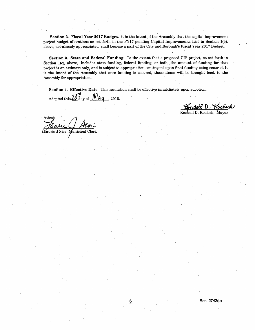Section 2. Fiscal Year 2017 Budget. It is the intent of the Assembly that the capital improvement project budget allocations as set forth in the FY17 pending Capital Improvements List in Section 1(b), above, not already appropriated, shall become a part of the City and Borough's Fiscal Year 2017 Budget.

Section 3. State and Federal Funding. To the extent that a proposed CIP project, as set forth in Section 1(c), above, includes state funding, federal funding, or both, the amount of funding for that project is an estimate only, and is subject to appropriation contingent upon final funding being secured. It is the intent of the Assembly that once funding is secured, these items will be brought back to the Assembly for appropriation.

Section 4. Effective Date. This resolution shall be effective immediately upon adoption.

Adopted this 23 day of May 2016.

<u>Endell D. Kockech</u>

Attes (Laurie J Sica, Municipal Clerk

Res. 2742(b)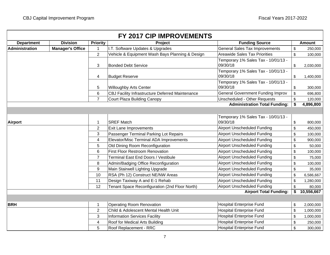|                       |                         |                 | FY 2017 CIP IMPROVEMENTS                         |                                                 |                         |               |
|-----------------------|-------------------------|-----------------|--------------------------------------------------|-------------------------------------------------|-------------------------|---------------|
| <b>Department</b>     | <b>Division</b>         | <b>Priority</b> | <b>Project</b>                                   | <b>Funding Source</b>                           |                         | <b>Amount</b> |
| <b>Administration</b> | <b>Manager's Office</b> | $\mathbf{1}$    | I.T. Software Updates & Upgrades                 | <b>General Sales Tax Improvements</b>           | $\,$                    | 250,000       |
|                       |                         | $\overline{2}$  | Vehicle & Equipment Wash Bays Planning & Design  | Areawide Sales Tax Priorities                   | $\sqrt[6]{\frac{1}{2}}$ | 100,000       |
|                       |                         | 3               | <b>Bonded Debt Service</b>                       | Temporary 1% Sales Tax - 10/01/13 -<br>09/30/18 | \$                      | 2,030,000     |
|                       |                         | 4               | <b>Budget Reserve</b>                            | Temporary 1% Sales Tax - 10/01/13 -<br>09/30/18 | \$                      | 1,400,000     |
|                       |                         | 5               | <b>Willoughby Arts Center</b>                    | Temporary 1% Sales Tax - 10/01/13 -<br>09/30/18 | \$                      | 300,000       |
|                       |                         | 6               | CBJ Facility Infrastructure Deferred Maintenance | <b>General Government Funding Improv</b>        | \$                      | 696,800       |
|                       |                         | $\overline{7}$  | Court Plaza Building Canopy                      | Unscheduled - Other Requests                    | $\mathfrak{S}$          | 120,000       |
|                       |                         |                 |                                                  | <b>Administration Total Funding:</b>            | \$                      | 4,896,800     |
|                       |                         |                 |                                                  |                                                 |                         |               |
| <b>Airport</b>        |                         | 1               | <b>SREF Match</b>                                | Temporary 1% Sales Tax - 10/01/13 -<br>09/30/18 | \$                      | 800,000       |
|                       |                         | $\overline{2}$  | <b>Exit Lane Improvements</b>                    | <b>Airport Unscheduled Funding</b>              | \$                      | 450,000       |
|                       |                         | 3               | Passenger Terminal Parking Lot Repairs           | <b>Airport Unscheduled Funding</b>              | $\,$                    | 100,000       |
|                       |                         | 4               | Elevator/Misc Terminal ADA Improvements          | <b>Airport Unscheduled Funding</b>              | \$                      | 900,000       |
|                       |                         | 5               | Old Dining Room Reconfiguration                  | <b>Airport Unscheduled Funding</b>              | \$                      | 50,000        |
|                       |                         | $6\phantom{1}$  | <b>First Floor Restroom Renovation</b>           | <b>Airport Unscheduled Funding</b>              | \$                      | 100,000       |
|                       |                         | $\overline{7}$  | Terminal East End Doors / Vestibule              | <b>Airport Unscheduled Funding</b>              | $\,$                    | 75,000        |
|                       |                         | 8               | Admin/Badging Office Reconfiguration             | <b>Airport Unscheduled Funding</b>              | \$                      | 100,000       |
|                       |                         | 9               | Main Stairwell Lighting Upgrade                  | <b>Airport Unscheduled Funding</b>              | \$                      | 35,000        |
|                       |                         | 10              | RSA (Ph 12) Construct NE/NW Areas                | <b>Airport Unscheduled Funding</b>              | \$                      | 6,586,667     |
|                       |                         | 11              | Design Taxiway A and E-1 Rehab                   | <b>Airport Unscheduled Funding</b>              | \$                      | 1,280,000     |
|                       |                         | 12              | Tenant Space Reconfiguration (2nd Floor North)   | <b>Airport Unscheduled Funding</b>              | \$                      | 80,000        |
|                       |                         |                 |                                                  | <b>Airport Total Funding:</b>                   | \$                      | 10,556,667    |
|                       |                         |                 |                                                  |                                                 |                         |               |
| <b>BRH</b>            |                         | 1               | <b>Operating Room Renovation</b>                 | <b>Hospital Enterprise Fund</b>                 | \$                      | 2,000,000     |
|                       |                         | $\overline{2}$  | Child & Adolescent Mental Health Unit            | <b>Hospital Enterprise Fund</b>                 | $\,$                    | 1,000,000     |
|                       |                         | 3               | <b>Information Services Facility</b>             | <b>Hospital Enterprise Fund</b>                 | $\,$                    | 1,000,000     |
|                       |                         | 4               | Roof for Medical Arts Building                   | <b>Hospital Enterprise Fund</b>                 | \$                      | 250,000       |
|                       |                         | 5               | Roof Replacement - RRC                           | <b>Hospital Enterprise Fund</b>                 | \$                      | 300,000       |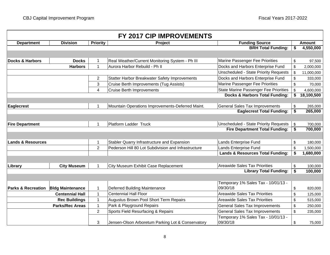|                               |                         |                 | FY 2017 CIP IMPROVEMENTS                             |                                              |                                      |               |
|-------------------------------|-------------------------|-----------------|------------------------------------------------------|----------------------------------------------|--------------------------------------|---------------|
| <b>Department</b>             | <b>Division</b>         | <b>Priority</b> | Project                                              | <b>Funding Source</b>                        |                                      | <b>Amount</b> |
|                               |                         |                 |                                                      | <b>BRH Total Funding:</b>                    | \$                                   | 4,550,000     |
|                               |                         |                 |                                                      |                                              |                                      |               |
| <b>Docks &amp; Harbors</b>    | <b>Docks</b>            | -1              | Real Weather/Current Monitoring System - Ph III      | Marine Passenger Fee Priorities              | \$                                   | 97,500        |
|                               | <b>Harbors</b>          | $\mathbf{1}$    | Aurora Harbor Rebuild - Ph II                        | Docks and Harbors Enterprise Fund            | \$                                   | 2,000,000     |
|                               |                         |                 |                                                      | <b>Unscheduled - State Priority Requests</b> | \$                                   | 11,000,000    |
|                               |                         | $\overline{2}$  | <b>Statter Harbor Breakwater Safety Improvements</b> | Docks and Harbors Enterprise Fund            | \$                                   | 333,000       |
|                               |                         | 3               | Cruise Berth Improvements (Tug Assists)              | Marine Passenger Fee Priorities              | \$                                   | 70,000        |
|                               |                         | $\overline{4}$  | <b>Cruise Berth Improvements</b>                     | <b>State Marine Passenger Fee Priorities</b> | \$                                   | 4,600,000     |
|                               |                         |                 |                                                      | <b>Docks &amp; Harbors Total Funding:</b>    | \$                                   | 18,100,500    |
|                               |                         |                 |                                                      |                                              |                                      |               |
| <b>Eaglecrest</b>             |                         | $\mathbf 1$     | Mountain Operations Improvements-Deferred Maint.     | <b>General Sales Tax Improvements</b>        | \$                                   | 265,000       |
|                               |                         |                 |                                                      | <b>Eaglecrest Total Funding:</b>             | $\overline{\boldsymbol{\mathsf{s}}}$ | 265,000       |
|                               |                         |                 |                                                      |                                              |                                      |               |
| <b>Fire Department</b>        |                         |                 | <b>Platform Ladder Truck</b>                         | <b>Unscheduled - State Priority Requests</b> | \$                                   | 700,000       |
|                               |                         |                 |                                                      | <b>Fire Department Total Funding:</b>        | \$                                   | 700,000       |
|                               |                         |                 |                                                      |                                              |                                      |               |
| <b>Lands &amp; Resources</b>  |                         | 1               | Stabler Quarry Infrastructure and Expansion          | Lands Enterprise Fund                        | \$                                   | 180,000       |
|                               |                         | $\overline{2}$  | Pederson Hill 80 Lot Subdivision and Infrastructure  | Lands Enterprise Fund                        | \$                                   | 1,500,000     |
|                               |                         |                 |                                                      | <b>Lands &amp; Resources Total Funding:</b>  | \$                                   | 1,680,000     |
|                               |                         |                 |                                                      |                                              |                                      |               |
| Library                       | <b>City Museum</b>      | 1               | City Museum Exhibit Case Replacement                 | Areawide Sales Tax Priorities                | \$                                   | 100,000       |
|                               |                         |                 |                                                      | <b>Library Total Funding:</b>                | \$                                   | 100,000       |
|                               |                         |                 |                                                      |                                              |                                      |               |
|                               |                         |                 |                                                      | Temporary 1% Sales Tax - 10/01/13 -          |                                      |               |
| <b>Parks &amp; Recreation</b> | <b>Bldg Maintenance</b> | $\mathbf{1}$    | Deferred Building Maintenance                        | 09/30/18                                     | \$                                   | 820,000       |
|                               | <b>Centennial Hall</b>  | $\mathbf{1}$    | <b>Centennial Hall Floor</b>                         | <b>Areawide Sales Tax Priorities</b>         | \$                                   | 125,000       |
|                               | <b>Rec Buildings</b>    | $\mathbf{1}$    | Augustus Brown Pool Short Term Repairs               | <b>Areawide Sales Tax Priorities</b>         | \$                                   | 515,000       |
|                               | <b>Parks/Rec Areas</b>  | 1               | Park & Playground Repairs                            | <b>General Sales Tax Improvements</b>        | \$                                   | 250,000       |
|                               |                         | $\overline{2}$  | Sports Field Resurfacing & Repairs                   | <b>General Sales Tax Improvements</b>        | \$                                   | 235,000       |
|                               |                         |                 |                                                      | Temporary 1% Sales Tax - 10/01/13 -          |                                      |               |
|                               |                         | 3               | Jensen-Olson Arboretum Parking Lot & Conservatory    | 09/30/18                                     | \$                                   | 75,000        |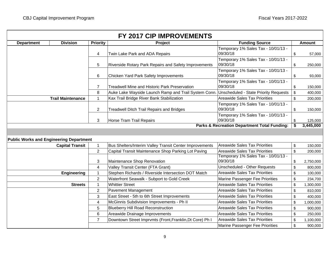|                   |                                                |                 | FY 2017 CIP IMPROVEMENTS                                 |                                                         |                 |
|-------------------|------------------------------------------------|-----------------|----------------------------------------------------------|---------------------------------------------------------|-----------------|
| <b>Department</b> | <b>Division</b>                                | <b>Priority</b> | Project                                                  | <b>Funding Source</b>                                   | <b>Amount</b>   |
|                   |                                                | 4               | Twin Lake Park and ADA Repairs                           | Temporary 1% Sales Tax - 10/01/13 -<br>09/30/18         | \$<br>57,000    |
|                   |                                                | 5               | Riverside Rotary Park Repairs and Safety Improvements    | Temporary 1% Sales Tax - 10/01/13 -<br>09/30/18         | \$<br>250,000   |
|                   |                                                | 6               | Chicken Yard Park Safety Improvements                    | Temporary 1% Sales Tax - 10/01/13 -<br>09/30/18         | \$<br>93,000    |
|                   |                                                | 7               | <b>Treadwell Mine and Historic Park Preservation</b>     | Temporary 1% Sales Tax - 10/01/13 -<br>09/30/18         | \$<br>150,000   |
|                   |                                                | 8               | Auke Lake Wayside Launch Ramp and Trail System Conn.     | Unscheduled - State Priority Requests                   | \$<br>400,000   |
|                   | <b>Trail Maintenance</b>                       | $\overline{1}$  | Kax Trail Bridge River Bank Stabilization                | <b>Areawide Sales Tax Priorities</b>                    | \$<br>200,000   |
|                   |                                                | $\overline{2}$  | <b>Treadwell Ditch Trail Repairs and Bridges</b>         | Temporary 1% Sales Tax - 10/01/13 -<br>09/30/18         | \$<br>150,000   |
|                   |                                                | 3               | Horse Tram Trail Repairs                                 | Temporary 1% Sales Tax - 10/01/13 -<br>09/30/18         | \$<br>125,000   |
|                   |                                                |                 |                                                          | <b>Parks &amp; Recreation Department Total Funding:</b> | \$<br>3,445,000 |
|                   |                                                |                 |                                                          |                                                         |                 |
|                   | <b>Public Works and Engineering Department</b> |                 |                                                          |                                                         |                 |
|                   | <b>Capital Transit</b>                         | $\mathbf{1}$    | Bus Shelters/Interim Valley Transit Center Improvements  | <b>Areawide Sales Tax Priorities</b>                    | \$<br>150,000   |
|                   |                                                | $\overline{2}$  | Capital Transit Maintenance Shop Parking Lot Paving      | <b>Areawide Sales Tax Priorities</b>                    | \$<br>200,000   |
|                   |                                                | 3               | Maintenance Shop Renovation                              | Temporary 1% Sales Tax - 10/01/13 -<br>09/30/18         | \$<br>2,750,000 |
|                   |                                                | $\overline{4}$  | Valley Transit Center (FTA Grant)                        | <b>Unscheduled - Other Requests</b>                     | \$<br>800,000   |
|                   | <b>Engineering</b>                             | $\mathbf 1$     | Stephen Richards / Riverside Intersection DOT Match      | <b>Areawide Sales Tax Priorities</b>                    | \$<br>100,000   |
|                   |                                                | 2               | Waterfront Seawalk - Subport to Gold Creek               | Marine Passenger Fee Priorities                         | \$<br>234,700   |
|                   | <b>Streets</b>                                 | $\overline{1}$  | <b>Whittier Street</b>                                   | <b>Areawide Sales Tax Priorities</b>                    | \$<br>1,300,000 |
|                   |                                                | 2               | <b>Pavement Management</b>                               | Areawide Sales Tax Priorities                           | \$<br>810,000   |
|                   |                                                | 3               | East Street - 5th to 6th Street Improvements             | <b>Areawide Sales Tax Priorities</b>                    | \$<br>400,000   |
|                   |                                                | $\overline{4}$  | McGinnis Subdivision Improvements - Ph II                | <b>Areawide Sales Tax Priorities</b>                    | \$<br>1,000,000 |
|                   |                                                | 5               | <b>Blueberry Hill Road Reconstruction</b>                | <b>Areawide Sales Tax Priorities</b>                    | \$<br>900,000   |
|                   |                                                | 6               | Areawide Drainage Improvements                           | Areawide Sales Tax Priorities                           | \$<br>250,000   |
|                   |                                                | $\overline{7}$  | Downtown Street Imprvmts (Front, Franklin, Dt Core) Ph I | <b>Areawide Sales Tax Priorities</b>                    | \$<br>1,100,000 |
|                   |                                                |                 |                                                          | Marine Passenger Fee Priorities                         | \$<br>900,000   |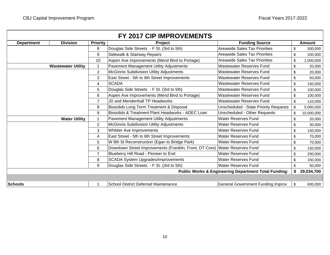|                   | FY 2017 CIP IMPROVEMENTS                                              |                 |                                                         |                                              |    |               |  |
|-------------------|-----------------------------------------------------------------------|-----------------|---------------------------------------------------------|----------------------------------------------|----|---------------|--|
| <b>Department</b> | <b>Division</b>                                                       | <b>Priority</b> | Project                                                 | <b>Funding Source</b>                        |    | <b>Amount</b> |  |
|                   |                                                                       | 8               | Douglas Side Streets - F St. (3rd to 5th)               | <b>Areawide Sales Tax Priorities</b>         | \$ | 500,000       |  |
|                   |                                                                       | 9               | Sidewalk & Stairway Repairs                             | <b>Areawide Sales Tax Priorities</b>         | \$ | 200,000       |  |
|                   |                                                                       | 10              | Aspen Ave Improvements (Mend Blvd to Portage)           | <b>Areawide Sales Tax Priorities</b>         | \$ | 1,000,000     |  |
|                   | <b>Wastewater Utility</b>                                             | $\mathbf{1}$    | <b>Pavement Management Utility Adjustments</b>          | <b>Wastewater Reserves Fund</b>              | \$ | 20,000        |  |
|                   |                                                                       | $\overline{2}$  | McGinnis Subdivision Utility Adjustments                | <b>Wastewater Reserves Fund</b>              | \$ | 20,000        |  |
|                   |                                                                       | 3               | East Street - 5th to 6th Street Improvements            | <b>Wastewater Reserves Fund</b>              | \$ | 50,000        |  |
|                   |                                                                       | 4               | <b>SCADA</b>                                            | <b>Wastewater Reserves Fund</b>              | \$ | 150,000       |  |
|                   |                                                                       | 5               | Douglas Side Streets - F St. (3rd to 5th)               | <b>Wastewater Reserves Fund</b>              | \$ | 100,000       |  |
|                   |                                                                       | 6               | Aspen Ave Improvements (Mend Blvd to Portage)           | <b>Wastewater Reserves Fund</b>              | \$ | 100,000       |  |
|                   | <b>Water Utility</b>                                                  |                 | JD and Mendenhall TP Headworks                          | <b>Wastewater Reserves Fund</b>              | \$ | 110,000       |  |
|                   |                                                                       |                 | Biosolids Long Term Treatment & Disposal                | <b>Unscheduled - State Priority Requests</b> | \$ | 5,000,000     |  |
|                   |                                                                       |                 | Biosolids & Treatment Plant Headworks - ADEC Loan       | <b>Unscheduled - Other Requests</b>          | \$ | 10,000,000    |  |
|                   |                                                                       |                 | <b>Pavement Management Utility Adjustments</b>          | <b>Water Reserves Fund</b>                   | \$ | 20,000        |  |
|                   |                                                                       | $\overline{2}$  | <b>McGinnis Subdivision Utility Adjustments</b>         | <b>Water Reserves Fund</b>                   | \$ | 30,000        |  |
|                   |                                                                       | 3               | <b>Whittier Ave Improvements</b>                        | <b>Water Reserves Fund</b>                   | \$ | 150,000       |  |
|                   |                                                                       | 4               | East Street - 5th to 6th Street Improvements            | <b>Water Reserves Fund</b>                   | \$ | 70,000        |  |
|                   |                                                                       | 5               | W 8th St Reconstruction (Egan to Bridge Park)           | <b>Water Reserves Fund</b>                   | \$ | 70,000        |  |
|                   |                                                                       | 6               | Downtown Street Improvements (Franklin, Front, DT Core) | <b>Water Reserves Fund</b>                   | \$ | 150,000       |  |
|                   |                                                                       | $\overline{7}$  | Blueberry Hill Road - Pioneer to End                    | <b>Water Reserves Fund</b>                   | \$ | 200,000       |  |
|                   |                                                                       | 8               | <b>SCADA System Upgrades/Improvements</b>               | <b>Water Reserves Fund</b>                   | \$ | 150,000       |  |
|                   |                                                                       | 9               | Douglas Side Streets - F St. (3rd to 5th)               | <b>Water Reserves Fund</b>                   | \$ | 50,000        |  |
|                   | <b>Public Works &amp; Engineering Department Total Funding:</b><br>\$ |                 |                                                         |                                              |    | 29,034,700    |  |
|                   |                                                                       |                 |                                                         |                                              |    |               |  |
| <b>Schools</b>    |                                                                       |                 | <b>School District Deferred Maintenance</b>             | <b>General Government Funding Improv</b>     | \$ | 600,000       |  |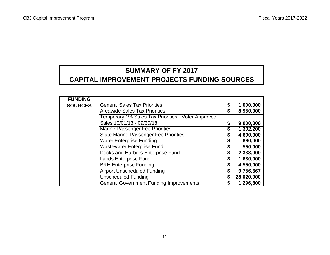# **SUMMARY OF FY 2017**

# **CAPITAL IMPROVEMENT PROJECTS FUNDING SOURCES**

| <b>FUNDING</b> |                                                    |                  |
|----------------|----------------------------------------------------|------------------|
| <b>SOURCES</b> | <b>General Sales Tax Priorities</b>                | \$<br>1,000,000  |
|                | <b>Areawide Sales Tax Priorities</b>               | \$<br>8,950,000  |
|                | Temporary 1% Sales Tax Priorities - Voter Approved |                  |
|                | Sales 10/01/13 - 09/30/18                          | \$<br>9,000,000  |
|                | <b>Marine Passenger Fee Priorities</b>             | \$<br>1,302,200  |
|                | <b>State Marine Passenger Fee Priorities</b>       | \$<br>4,600,000  |
|                | <b>Water Enterprise Funding</b>                    | \$<br>890,000    |
|                | <b>Wastewater Enterprise Fund</b>                  | \$<br>550,000    |
|                | Docks and Harbors Enterprise Fund                  | \$<br>2,333,000  |
|                | <b>Lands Enterprise Fund</b>                       | \$<br>1,680,000  |
|                | <b>BRH Enterprise Funding</b>                      | \$<br>4,550,000  |
|                | <b>Airport Unscheduled Funding</b>                 | \$<br>9,756,667  |
|                | <b>Unscheduled Funding</b>                         | \$<br>28,020,000 |
|                | <b>General Government Funding Improvements</b>     | \$<br>1,296,800  |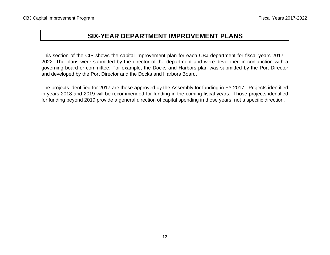This section of the CIP shows the capital improvement plan for each CBJ department for fiscal years 2017 – 2022. The plans were submitted by the director of the department and were developed in conjunction with <sup>a</sup> governing board or committee. For example, the Docks and Harbors plan was submitted by the Port Director and developed by the Port Director and the Docks and Harbors Board.

The projects identified for 2017 are those approved by the Assembly for funding in FY 2017. Projects identified in years 2018 and 2019 will be recommended for funding in the coming fiscal years. Those projects identified for funding beyond 2019 provide a general direction of capital spending in those years, not a specific direction.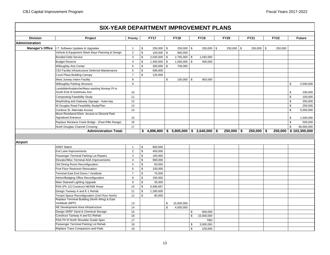### **Project Priority FY17 FY18 FY19 FY20 FY21 FY22 Future** I.T. Software Updates & Upgrades | 1 | \$ 250,000 | \$ 250,000 | \$ 250,000 | \$ 250,000 | \$ 250,000 | Vehicle & Equipment Wash Bays Planning & Design  $\begin{array}{c|c|c|c|c} & 2 & \& 5 & 100,000 & \& 900,000 \end{array}$ Bonded Debt Service 3 2,030,000 \$ 2,755,000 \$ 1,040,000 \$ Budget Reserve 4 1,400,000 \$ 1,050,000 \$ 400,000 \$ Willoughby Arts Center **5** 300,000 \$ 700,000 CBJ Facility Infrastructure Deferred Maintenance 6 696,800 \$ Court Plaza Building Canopy **120,000 120,000** West Juneau Intern Facility 8 150,000 \$ 950,000 \$ Willoughby Parking Structure 9 \$ 5,500,000 Landslide/Avalanche/Mass wasting Norway Pt to South End of Gastineau Ave.. 10 \$ 200,000 Composting Feasibility Study 11 \$ 100,000 Wayfinding and Gateway Signage - Auke bay 12 \$ 250,000 W Douglas Road Feasibility Study/Plan 13 \$ 1250,000 \$ 13 \$ 250,000 \$ 13 \$ 250,000 \$ 250,000 \$ 250,000 \$ Cordova St. Alternate Access 14 \$ 5,000,000 Move Riverbend Elem. Access to Dimond Park Signalized Entrance 15 \$ 1,500,000 Replace Montana Creek Bridge - (Past Rifle Range) 16 \$ 500,000 North Douglas Channel Crossing 17 \$ 90,000,000 **\$ 5,805,000 4,896,800 \$ 2,640,000 \$ 250,000 \$ 250,000 \$ 250,000 \$ 103,300,000 \$**  SREF Match 1 I \$ 800.000 Exit Lane Improvements and the set of the set of the set of the set of the set of the set of the set of the set of the set of the set of the set of the set of the set of the set of the set of the set of the set of the set Passenger Terminal Parking Lot Repairs | 3 | \$ 100,000 Elevator/Misc Terminal ADA Improvements  $\begin{array}{ccc} | & 4 & | \ \$ & 900,000 \end{array}$ Old Dining Room Reconfiguration 1 5 \$ 50,000 First Floor Restroom Renovation **6 100,000 6 100,000** Terminal East End Doors / Vestibule  $\overline{7}$  |  $\overline{5}$  75,000 Admin/Badging Office Reconfiguration 18 100,000 Main Stairwell Lighting Upgrade **1988** 35,000 RSA (Ph 12) Construct NE/NW Areas 10 6,586,667 Design Taxiway A and E-1 Rehab  $\begin{array}{|c|c|c|c|c|c|c|c|c|} \hline & & 11 & \& & 1,280,000\ \hline \end{array}$ Tenant Space Reconfiguration (2nd Floor North)  $\begin{array}{|c|c|c|c|c|}\n\hline\n12 & \& 80,000\n\end{array}$ Replace Terminal Building (North Wing) & East Vestibule (MPF) 13 13 15,000,000 **6 15,000,000** 13 13 15,000,000 **\$** NE Development Area Infrastructure 14 14 \$4,000,000 Design SREF Sand & Chemical Storage 15 15 600,000  $\frac{1}{3}$  600,000 Construct Taxiway A and E1-Rehab 16 15,000,000 \$ RSA Ph III North Shoulder Grade Spec 17 TBD 17 TBD 17 TBD 17 TBD 17 TBD 17 TBD 17 TBD 17 TBD 17 TBD 17 TBD 17 TBD Passenger Terminal Parking Lot Rehab 18 3,000,000  $\vert$  3,000,000  $\vert$  3,000,000  $\vert$  3,000,000  $\vert$ Replace Trans Compactors and Pads 19 19 19 100,000 10 100,000 100,000 100,000 100,000 100,000 100,000 100,000 1 **SIX-YEAR DEPARTMENT IMPROVEMENT PLANSDivisionAdministrationManager's Office Administration Total: Airport**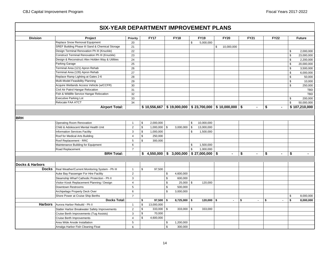|                            | <b>SIX-YEAR DEPARTMENT IMPROVEMENT PLANS</b>                                                                                                                                                                 |                                                                   |                                                  |                                                                |              |                                                                                        |                      |                                                    |                                                            |                      |                      |               |               |
|----------------------------|--------------------------------------------------------------------------------------------------------------------------------------------------------------------------------------------------------------|-------------------------------------------------------------------|--------------------------------------------------|----------------------------------------------------------------|--------------|----------------------------------------------------------------------------------------|----------------------|----------------------------------------------------|------------------------------------------------------------|----------------------|----------------------|---------------|---------------|
| <b>Division</b>            | <b>Project</b>                                                                                                                                                                                               | Priority                                                          |                                                  | <b>FY17</b>                                                    |              | <b>FY18</b>                                                                            |                      | <b>FY19</b>                                        | <b>FY20</b>                                                | <b>FY21</b>          | <b>FY22</b>          |               | <b>Future</b> |
|                            | Replace Snow Removal Equipment                                                                                                                                                                               | 20                                                                |                                                  |                                                                |              |                                                                                        | \$                   | 5,000,000                                          |                                                            |                      |                      |               |               |
|                            | SREF Building Phase III Sand & Chemical Storage                                                                                                                                                              | 21                                                                |                                                  |                                                                |              |                                                                                        |                      |                                                    | \$<br>10,000,000                                           |                      |                      |               |               |
|                            | Design Terminal Renovation Ph III (Knuckle)                                                                                                                                                                  | 22                                                                |                                                  |                                                                |              |                                                                                        |                      |                                                    |                                                            |                      |                      | \$            | 2,000,000     |
|                            | Construct Terminal Renovation Ph III (Knuckle)                                                                                                                                                               | 23                                                                |                                                  |                                                                |              |                                                                                        |                      |                                                    |                                                            |                      |                      | $\mathbb{S}$  | 23,000,000    |
|                            | Design & Reconstruct Alex Holden Way & Utilities                                                                                                                                                             | 24                                                                |                                                  |                                                                |              |                                                                                        |                      |                                                    |                                                            |                      |                      | $\mathfrak s$ | 2,200,000     |
|                            | Parking Garage                                                                                                                                                                                               | 25                                                                |                                                  |                                                                |              |                                                                                        |                      |                                                    |                                                            |                      |                      | $\mathbb{S}$  | 20,000,000    |
|                            | Terminal Area (121) Apron Rehab                                                                                                                                                                              | 26                                                                |                                                  |                                                                |              |                                                                                        |                      |                                                    |                                                            |                      |                      | \$            | 3,500,000     |
|                            | Terminal Area (135) Apron Rehab                                                                                                                                                                              | 27                                                                |                                                  |                                                                |              |                                                                                        |                      |                                                    |                                                            |                      |                      | \$            | 6,000,000     |
|                            | Replace Ramp Lighting at Gates 2-6                                                                                                                                                                           | 28                                                                |                                                  |                                                                |              |                                                                                        |                      |                                                    |                                                            |                      |                      | $\mathfrak s$ | 50,000        |
|                            | Multi-Model Feasibility Planning                                                                                                                                                                             | 29                                                                |                                                  |                                                                |              |                                                                                        |                      |                                                    |                                                            |                      |                      | $\sqrt[6]{2}$ | 10,000        |
|                            | Acquire Wetlands Access Vehicle (w/CCFR)                                                                                                                                                                     | 30                                                                |                                                  |                                                                |              |                                                                                        |                      |                                                    |                                                            |                      |                      | \$            | 250,000       |
|                            | Civil Air Patrol Hangar Relocation                                                                                                                                                                           | 31                                                                |                                                  |                                                                |              |                                                                                        |                      |                                                    |                                                            |                      |                      |               | <b>TBD</b>    |
|                            | Fish & Wildlife Service Hangar Relocation                                                                                                                                                                    | 32                                                                |                                                  |                                                                |              |                                                                                        |                      |                                                    |                                                            |                      |                      |               | <b>TBD</b>    |
|                            | <b>Executive Parking Lot</b>                                                                                                                                                                                 | 33                                                                |                                                  |                                                                |              |                                                                                        |                      |                                                    |                                                            |                      |                      | \$            | 200,000       |
|                            | Relocate FAA ATCT                                                                                                                                                                                            | 34                                                                |                                                  |                                                                |              |                                                                                        |                      |                                                    |                                                            |                      |                      | \$            | 50,000,000    |
|                            | <b>Airport Total:</b>                                                                                                                                                                                        |                                                                   |                                                  |                                                                |              |                                                                                        |                      |                                                    | $$10,556,667$ $$19,000,000$ $$23,700,000$ $$10,000,000$ \$ | $\blacksquare$       | \$<br>$\blacksquare$ |               | \$107,210,000 |
|                            | Operating Room Renovation<br>Child & Adolescent Mental Health Unit<br><b>Information Services Facility</b><br>Roof for Medical Arts Building<br>Roof Replacement - RRC<br>Maintenance Building for Equipment | $\overline{1}$<br>$\overline{2}$<br>3<br>$\overline{4}$<br>5<br>6 | \$<br>\$<br>\$<br>$\mathfrak s$<br>$\mathfrak s$ | 2,000,000<br>$1,000,000$ \$<br>1,000,000<br>250,000<br>300,000 |              | 3,000,000                                                                              | \$<br>\$<br>\$<br>\$ | 10,000,000<br>13,000,000<br>1,500,000<br>1,500,000 |                                                            |                      |                      |               |               |
|                            |                                                                                                                                                                                                              | $\overline{7}$                                                    |                                                  |                                                                |              |                                                                                        | \$                   | 1,000,000                                          |                                                            |                      |                      |               |               |
|                            | Road Replacement<br><b>BRH Total:</b>                                                                                                                                                                        |                                                                   |                                                  |                                                                |              | $\frac{1}{2}$ 4,550,000 $\frac{1}{2}$ 3,000,000 $\frac{1}{2}$ 27,000,000 $\frac{1}{2}$ |                      |                                                    |                                                            | \$<br>$\blacksquare$ | \$<br>$\blacksquare$ | \$            |               |
|                            |                                                                                                                                                                                                              |                                                                   |                                                  |                                                                |              |                                                                                        |                      |                                                    |                                                            |                      |                      |               |               |
| <b>Docks &amp; Harbors</b> |                                                                                                                                                                                                              |                                                                   |                                                  |                                                                |              |                                                                                        |                      |                                                    |                                                            |                      |                      |               |               |
| Docks                      | Real Weather/Current Monitoring System - Ph III                                                                                                                                                              | $\overline{1}$                                                    | \$                                               | 97.500                                                         |              |                                                                                        |                      |                                                    |                                                            |                      |                      |               |               |
|                            | Auke Bay Passenger For Hire Facility                                                                                                                                                                         | 2                                                                 |                                                  |                                                                | \$           | 4,600,000                                                                              |                      |                                                    |                                                            |                      |                      |               |               |
|                            | Steamship Wharf Cathodic Protection - Ph II                                                                                                                                                                  | 3                                                                 |                                                  |                                                                | $\mathbb{S}$ | 600,000                                                                                |                      |                                                    |                                                            |                      |                      |               |               |
|                            | Visitor Kiosk Replacement Planning / Design                                                                                                                                                                  | $\overline{4}$                                                    |                                                  |                                                                | \$           | 25,000                                                                                 | \$                   | 120,000                                            |                                                            |                      |                      |               |               |
|                            | Downtown Restrooms                                                                                                                                                                                           | 5                                                                 |                                                  |                                                                | \$           | 500,000                                                                                |                      |                                                    |                                                            |                      |                      |               |               |
|                            | Archipelago Property Deck Over                                                                                                                                                                               | 6                                                                 |                                                  |                                                                | \$           | 3,000,000                                                                              |                      |                                                    |                                                            |                      |                      |               |               |
|                            | Shore Power at Cruise Ship Berths                                                                                                                                                                            | $\overline{7}$                                                    |                                                  |                                                                |              |                                                                                        |                      |                                                    |                                                            |                      |                      | \$            | 8,000,000     |
|                            | <b>Docks Total:</b>                                                                                                                                                                                          |                                                                   | \$                                               | $97,500$ \$                                                    |              | $8,725,000$ \$                                                                         |                      | $120,000$ \$                                       | $\sim$                                                     | \$<br>$\blacksquare$ | \$<br>$\blacksquare$ | S.            | 8,000,000     |
| Harbors                    | Aurora Harbor Rebuild - Ph II                                                                                                                                                                                | $\overline{1}$                                                    | \$                                               | 13,000,000                                                     |              |                                                                                        |                      |                                                    |                                                            |                      |                      |               |               |
|                            | Statter Harbor Breakwater Safety Improvements                                                                                                                                                                | $\overline{2}$                                                    | $\sqrt[6]{\frac{1}{2}}$                          | $333,000$ \$                                                   |              | 333,000 \$                                                                             |                      | 333,000                                            |                                                            |                      |                      |               |               |
|                            | Cruise Berth Improvements (Tug Assists)                                                                                                                                                                      | 3                                                                 | $\boldsymbol{\mathsf{S}}$                        | 70,000                                                         |              |                                                                                        |                      |                                                    |                                                            |                      |                      |               |               |
|                            | <b>Cruise Berth Improvements</b>                                                                                                                                                                             | $\overline{4}$                                                    | \$                                               | 4,600,000                                                      |              |                                                                                        |                      |                                                    |                                                            |                      |                      |               |               |
|                            | Area Wide Anode Installation                                                                                                                                                                                 | 5                                                                 |                                                  |                                                                | \$           | 1,200,000                                                                              |                      |                                                    |                                                            |                      |                      |               |               |
|                            | Amalga Harbor Fish Cleaning Float                                                                                                                                                                            | 6                                                                 |                                                  |                                                                | \$           | 300,000                                                                                |                      |                                                    |                                                            |                      |                      |               |               |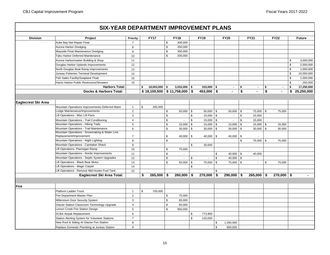| <b>Division</b>     | Project                                         | Priority         |              | <b>FY17</b>                    | <b>FY18</b>       |                | <b>FY19</b>        |      | <b>FY20</b>    |                                      | <b>FY21</b>   |                                      | <b>FY22</b>    |               | <b>Future</b> |
|---------------------|-------------------------------------------------|------------------|--------------|--------------------------------|-------------------|----------------|--------------------|------|----------------|--------------------------------------|---------------|--------------------------------------|----------------|---------------|---------------|
|                     | Auke Bay Net Repair Float                       | $\overline{7}$   |              |                                | \$<br>300,000     |                |                    |      |                |                                      |               |                                      |                |               |               |
|                     | Aurora Harbor Dredging                          | 8                |              |                                | \$<br>350,000     |                |                    |      |                |                                      |               |                                      |                |               |               |
|                     | Wayside Float Maintenance Dredging              | $\boldsymbol{9}$ |              |                                | \$<br>350,000     |                |                    |      |                |                                      |               |                                      |                |               |               |
|                     | Taku Harbor Deferred Maintenance                | 10               |              |                                | \$<br>200,000     |                |                    |      |                |                                      |               |                                      |                |               |               |
|                     | Aurora Harbormaster Building & Shop             | 11               |              |                                |                   |                |                    |      |                |                                      |               |                                      |                | \$            | 3,000,000     |
|                     | Douglas Harbor Uplands Improvements             | 12               |              |                                |                   |                |                    |      |                |                                      |               |                                      |                | $\mathfrak s$ | 2,000,000     |
|                     | North Douglas Boat Ramp Improvements            | 13               |              |                                |                   |                |                    |      |                |                                      |               |                                      |                | \$            | 1,000,000     |
|                     | Juneau Fisheries Terminal Development           | 14               |              |                                |                   |                |                    |      |                |                                      |               |                                      |                | $\mathfrak s$ | 10,000,000    |
|                     | Fish Sales Facility/Seaplane Float              | 15               |              |                                |                   |                |                    |      |                |                                      |               |                                      |                | $\mathfrak s$ | 1,000,000     |
|                     | Harris Harbor Public Restrooms/Showers          | 16               |              |                                |                   |                |                    |      |                |                                      |               |                                      |                | $\mathfrak s$ | 250,000       |
|                     | <b>Harbors Total:</b>                           |                  | \$           | $18,003,000$ \$                | $3,033,000$ \$    |                | $333,000$ \$       |      | $\blacksquare$ | \$                                   | $\sim$        | \$                                   | $\blacksquare$ | \$            | 17,250,000    |
|                     | <b>Docks &amp; Harbors Total:</b>               |                  |              | $$18,100,500$ $$11,758,000$ \$ |                   |                | 453,000 $\vert$ \$ |      |                | $\overline{\boldsymbol{\mathsf{s}}}$ |               | $\overline{\boldsymbol{\mathsf{s}}}$ |                | \$            | 25,250,000    |
|                     |                                                 |                  |              |                                |                   |                |                    |      |                |                                      |               |                                      |                |               |               |
|                     |                                                 |                  |              |                                |                   |                |                    |      |                |                                      |               |                                      |                |               |               |
| Eaglecrest Ski Area |                                                 |                  |              |                                |                   |                |                    |      |                |                                      |               |                                      |                |               |               |
|                     | Mountain Operations Improvements-Deferred Maint | $\mathbf{1}$     | $\mathbb{S}$ | 265,000                        |                   |                |                    |      |                |                                      |               |                                      |                |               |               |
|                     | Lodge Maintenance/Improvements                  | $\overline{2}$   |              |                                | \$<br>$50,000$ \$ |                | $50,000$ \$        |      | 50,000 \$      |                                      | 75,000 \$     |                                      | 75,000         |               |               |
|                     | Lift Operations - Misc Lift Parts               | 3                |              |                                | \$<br>$\sim$      | \$             | $15,000$ \ \$      |      | $\sim$         | $\mathbb S$                          | 15,000        |                                      |                |               |               |
|                     | Mountain Operations - Trail Conditioning        | $\overline{4}$   |              |                                | \$<br>$\sim$      | $\mathfrak{S}$ | $15,000$ \$        |      | $\mathbf{r}$   | $\mathbb{S}$                         | 15,000        |                                      |                |               |               |
|                     | Mountain Operations - Hiking Trails             | 5                |              |                                | \$<br>15,000      | \$             | $15,000$ \$        |      | $15,000$ \$    |                                      | $15,000$ \$   |                                      | 15,000         |               |               |
|                     | Mountain Operations - Trail Maintenance         | 6                |              |                                | \$<br>30,000      | $\mathbb{S}$   | $30,000$ \$        |      | $30,000$ \$    |                                      | $30,000$ \$   |                                      | 30,000         |               |               |
|                     | Mountain Operations - Snowmaking & Water Line   |                  |              |                                |                   |                |                    |      |                |                                      |               |                                      |                |               |               |
|                     | Replacement/Improvement                         | $\overline{7}$   |              |                                | \$<br>40,000      | - \$           | $40,000$ \$        |      | $40,000$ \$    |                                      |               |                                      |                |               |               |
|                     | Mountain Operations - Night Lighting            | 8                |              |                                | \$                |                |                    |      |                | $\mathbb{S}$                         | 75,000 \$     |                                      | 75,000         |               |               |
|                     | Mountain Operations - Caretaker Shack           | $\boldsymbol{9}$ |              |                                |                   | $\mathbb{S}$   | 30,000             |      |                |                                      |               |                                      |                |               |               |
|                     | Lift Operations- Ptarmigan Ramp                 | 10               |              |                                | \$<br>75,000      |                |                    |      |                |                                      |               |                                      |                |               |               |
|                     | Mountain Operations - Nordic Improvements       | 11               |              |                                | \$<br>$\sim$      |                |                    | \$   | $40,000$ \$    |                                      | 40,000        |                                      |                |               |               |
|                     | Mountain Operations - Septic System Upgrades    | 12               |              |                                | \$<br>$\sim$      | \$             |                    | \$   | $40,000$ \$    |                                      | $\mathcal{L}$ |                                      |                |               |               |
|                     | Lift Operations - Black Bear Motor              | 13               |              |                                | \$<br>50,000      | $\sqrt[6]{3}$  | 75,000             | l \$ | 75,000 \$      |                                      | $\sim$        | \$                                   | 75,000         |               |               |
|                     | Lift Operations - Magic Carpet                  | 14               |              |                                |                   | \$             | $\sim$             |      |                |                                      |               |                                      |                |               |               |
|                     | Lift Operations - Remove Mid Hooter Fuel Tank   | 15               |              |                                |                   |                |                    | \$   | $\overline{a}$ |                                      |               |                                      |                |               |               |
|                     | <b>Eaglecrest Ski Area Total:</b>               |                  | \$           | $265,000$ \$                   | 260,000           | -\$            | $270,000$ \$       |      | $290,000$ \$   |                                      | $265,000$ \$  |                                      | $270,000$ \$   |               |               |
|                     |                                                 |                  |              |                                |                   |                |                    |      |                |                                      |               |                                      |                |               |               |
| lFire l             |                                                 |                  |              |                                |                   |                |                    |      |                |                                      |               |                                      |                |               |               |
|                     | <b>Platform Ladder Truck</b>                    |                  | $\mathbb{S}$ |                                |                   |                |                    |      |                |                                      |               |                                      |                |               |               |
|                     |                                                 | $\mathbf{1}$     |              | 700,000                        |                   |                |                    |      |                |                                      |               |                                      |                |               |               |
|                     | Fire Department Master Plan                     | 2                |              |                                | \$<br>75,000      |                |                    |      |                |                                      |               |                                      |                |               |               |
|                     | Millennium Door Security System                 | 3                |              |                                | \$<br>65,000      |                |                    |      |                |                                      |               |                                      |                |               |               |
|                     | Glacier Station Classroom Technology Upgrade    | $\overline{4}$   |              |                                | \$<br>65,000      |                |                    |      |                |                                      |               |                                      |                |               |               |
|                     | Lemon Creek Fire Station Design                 | 5                |              |                                | \$<br>950,000     |                |                    |      |                |                                      |               |                                      |                |               |               |
|                     | <b>SCBA Airpak Replacement</b>                  | 6                |              |                                |                   | \$             | 773,900            |      |                |                                      |               |                                      |                |               |               |
|                     | Station Alerting System for Volunteer Stations  | $\overline{7}$   |              |                                |                   | $\mathbb S$    | 120,000            |      |                |                                      |               |                                      |                |               |               |
|                     | New Roof & Siding At Glacier Fire Station       | 8                |              |                                |                   |                |                    | \$   | 1,550,000      |                                      |               |                                      |                |               |               |
|                     | Replace Domestic Plumbing at Juneau Station     | 9                |              |                                |                   |                |                    | \$   | 800,000        |                                      |               |                                      |                |               |               |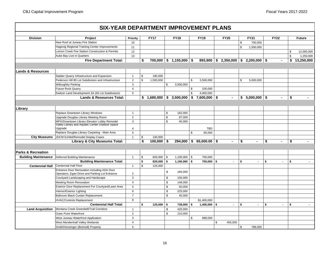| <b>Division</b>               | Project                                             | Priority       | <b>FY17</b>        | <b>FY18</b>          |                | <b>FY19</b>     |      | <b>FY20</b>    |             | <b>FY21</b>                         | <b>FY22</b>          |               | <b>Future</b>  |
|-------------------------------|-----------------------------------------------------|----------------|--------------------|----------------------|----------------|-----------------|------|----------------|-------------|-------------------------------------|----------------------|---------------|----------------|
|                               | New Roof at Juneau Fire Station                     | 10             |                    |                      |                |                 |      |                | \$          | 700,000                             |                      |               |                |
|                               | Hagevig Regional Training Center Improvements       | 11             |                    |                      |                |                 |      |                | $\mathbb S$ | 1,500,000                           |                      |               |                |
|                               | Lemon Creek Fire Station Construction & Permits     | 12             |                    |                      |                |                 |      |                |             |                                     |                      | \$            | 12,000,000     |
|                               | Auke Bay Live in Quarters                           | 13             |                    |                      |                |                 |      |                |             |                                     |                      | $\mathfrak s$ | 1,250,000      |
|                               | <b>Fire Department Total:</b>                       |                | \$                 | 700,000 \$ 1,155,000 | -\$            |                 |      |                |             | $893,900$ \$ 2,350,000 \$ 2,200,000 | \$<br>$\blacksquare$ | \$            | 13,250,000     |
|                               |                                                     |                |                    |                      |                |                 |      |                |             |                                     |                      |               |                |
| <b>Lands &amp; Resources</b>  |                                                     |                |                    |                      |                |                 |      |                |             |                                     |                      |               |                |
|                               | Stabler Quarry Infrastructure and Expansion         | $\mathbf{1}$   | \$<br>180,000      |                      |                |                 |      |                |             |                                     |                      |               |                |
|                               | Pederson Hill 80 Lot Subdivision and Infrastructure | $\overline{2}$ | \$<br>1,500,000    |                      | S.             | 3,500,000       |      |                | \$          | 5,000,000                           |                      |               |                |
|                               | <b>Willoughby Parking</b>                           | 3              |                    | \$<br>3,500,000      |                |                 |      |                |             |                                     |                      |               |                |
|                               | <b>Future Rock Quarry</b>                           | $\overline{4}$ |                    |                      | \$             | 100,000         |      |                |             |                                     |                      |               |                |
|                               | Switzer Land Development 3A (50 Lot Subdivision)    | 5              |                    |                      | $\mathfrak{L}$ | 4,000,000       |      |                |             |                                     |                      |               |                |
|                               | <b>Lands &amp; Resources Total:</b>                 |                | \$1,680,000        | \$3,500,000          |                | $$7,600,000$ \$ |      | $\blacksquare$ |             | \$5,000,000                         | \$<br>$\blacksquare$ | \$            |                |
|                               |                                                     |                |                    |                      |                |                 |      |                |             |                                     |                      |               |                |
| Library                       |                                                     |                |                    |                      |                |                 |      |                |             |                                     |                      |               |                |
|                               | Replace Downtown Library Windows                    | $\mathbf{1}$   |                    | \$<br>162,000        |                |                 |      |                |             |                                     |                      |               |                |
|                               | Upgrade Douglas Library Meeting Room                | $\overline{2}$ |                    | \$<br>87,000         |                |                 |      |                |             |                                     |                      |               |                |
|                               | MPG/Downtown Library Elevator Lobby Remodel         | 3              |                    | \$<br>45,000         |                |                 |      |                |             |                                     |                      |               |                |
|                               | Valley Library and Aquatic Center Outdoor Space     |                |                    |                      |                |                 |      |                |             |                                     |                      |               |                |
|                               | Upgrade                                             | $\overline{4}$ |                    |                      |                | <b>TBD</b>      |      |                |             |                                     |                      |               |                |
|                               | Replace Douglas Library Carpeting - Main Area       | 5              |                    |                      | \$             | 65,000          |      |                |             |                                     |                      |               |                |
| <b>City Museums</b>           | JDCM Exhibit/Remodel Display Cases                  | $\mathbf{1}$   | \$<br>100,000      |                      |                |                 |      |                |             |                                     |                      |               |                |
|                               | <b>Library &amp; City Museums Total:</b>            |                | \$<br>100,000      | \$<br>294,000        |                | \$65,000.00     | - \$ | $\blacksquare$ | \$          | $\blacksquare$                      | \$<br>$\blacksquare$ | \$            |                |
|                               |                                                     |                |                    |                      |                |                 |      |                |             |                                     |                      |               |                |
| <b>Parks &amp; Recreation</b> |                                                     |                |                    |                      |                |                 |      |                |             |                                     |                      |               |                |
| <b>Building Maintenance</b>   | Deferred Building Maintenance                       | $\mathbf{1}$   | \$<br>820.000 \$   | $1,100,000$ \$       |                | 700.000         |      |                |             |                                     |                      |               |                |
|                               | <b>Building Maintenance Total:</b>                  |                | \$<br>$820,000$ \$ | 1,100,000            | \$             | 700,000 \$      |      | $\blacksquare$ | s.          | $\blacksquare$                      | \$<br>$\sim$         | S.            |                |
| <b>Centennial Hall</b>        | Centennial Hall Floor                               | $\mathbf{1}$   | \$<br>125,000      |                      |                |                 |      |                |             |                                     |                      |               |                |
|                               | Entrance Door Renovation including ADA Door         |                |                    |                      |                |                 |      |                |             |                                     |                      |               |                |
|                               | Operators, Egan Drive and Parking Lot Entrance      | 2              |                    | \$<br>165,000        |                |                 |      |                |             |                                     |                      |               |                |
|                               | Courtyard Landscaping and Hardscape                 | 3              |                    | \$<br>105,000        |                |                 |      |                |             |                                     |                      |               |                |
|                               | Meeting Room Renovation                             | $\overline{4}$ |                    | \$<br>148,000        |                |                 |      |                |             |                                     |                      |               |                |
|                               | Exterior Door Replacement For Courtyard/Lawn Area   | 5              |                    | \$<br>50,000         |                |                 |      |                |             |                                     |                      |               |                |
|                               | Interior/Exterior Lighting                          | 6              |                    | \$<br>225,000        |                |                 |      |                |             |                                     |                      |               |                |
|                               | Ballroom Black Curtain Replacement                  | $\overline{7}$ |                    | \$<br>45,000         |                |                 |      |                |             |                                     |                      |               |                |
|                               | <b>HVAC/Controls Replacement</b>                    | 8              |                    |                      |                | \$1,400,000     |      |                |             |                                     |                      |               |                |
|                               | <b>Centennial Hall Total:</b>                       |                | \$<br>$125.000$ \$ | 738.000              | S.             | $1.400.000$ \$  |      | $\blacksquare$ | \$          | $\blacksquare$                      | \$<br>$\blacksquare$ | \$            | $\blacksquare$ |
| <b>Land Acquisition</b>       | Montana Creek Greenbelt/Trail Corridors             | $\mathbf{1}$   |                    | \$<br>420,000        |                |                 |      |                |             |                                     |                      |               |                |
|                               | <b>Outer Point Waterfront</b>                       | 2              |                    | \$<br>210,000        |                |                 |      |                |             |                                     |                      |               |                |
|                               | West Juneau Waterfront Application                  | 3              |                    |                      | S.             | 998,000         |      |                |             |                                     |                      |               |                |
|                               | West Mendenhall Valley Wetlands                     | $\overline{4}$ |                    |                      |                |                 | \$   | 455,000        |             |                                     |                      |               |                |
|                               | Smith/Honsinger (Bicknell) Property                 | 5              |                    |                      |                |                 |      |                | \$          | 788,000                             |                      |               |                |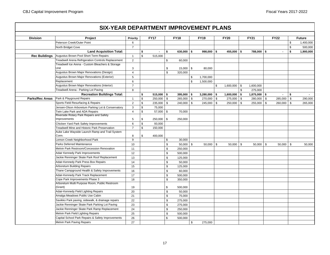| <b>Division</b>        | Project                                            | Priority       |               | <b>FY17</b>    |               | <b>FY18</b>  | <b>FY19</b>       | <b>FY20</b>          | <b>FY21</b>    | <b>FY22</b>       | <b>Future</b>        |
|------------------------|----------------------------------------------------|----------------|---------------|----------------|---------------|--------------|-------------------|----------------------|----------------|-------------------|----------------------|
|                        | Peterson Creek/Outer Point                         | 6              |               |                |               |              |                   |                      |                |                   | \$<br>1,400,000      |
|                        | North Bridget Cove                                 | $\overline{7}$ |               |                |               |              |                   |                      |                |                   | \$<br>500,000        |
|                        | <b>Land Acquisition Total:</b>                     |                | \$            | $\blacksquare$ | \$            | $630,000$ \$ | 998,000 \$        | 455,000 \$           | 788,000        | \$                | \$<br>1,900,000      |
| <b>Rec Buildings</b>   | Augustus Brown Pool Short Term Repairs             | $\mathbf{1}$   | \$            | 515,000        |               |              |                   |                      |                |                   |                      |
|                        | Treadwell Arena Refrigeration Controls Replacement | $\overline{2}$ |               |                | \$            | 60,000       |                   |                      |                |                   |                      |
|                        | Treadwell Ice Arena - Custom Bleachers & Storage   |                |               |                |               |              |                   |                      |                |                   |                      |
|                        | Unit                                               | 3              |               |                | \$            | 15,000       | \$<br>80,000      |                      |                |                   |                      |
|                        | Augustus Brown Major Renovations (Design)          | $\overline{4}$ |               |                | $\mathbb S$   | 320,000      |                   |                      |                |                   |                      |
|                        | Augustus Brown Major Renovations (Exterior)        | 5              |               |                |               |              | \$<br>1,700,000   |                      |                |                   |                      |
|                        | Replacement                                        | 6              |               |                |               |              | \$<br>1,500,000   |                      |                |                   |                      |
|                        | Augustus Brown Major Renovations (Interior)        | $\overline{7}$ |               |                |               |              |                   | \$<br>$1,600,000$ \$ | 1,600,000      |                   |                      |
|                        | Treadwell Arena - Parking Lot Paving               | 8              |               |                |               |              |                   |                      | \$<br>275,000  |                   |                      |
|                        | <b>Recreation Buildings Total:</b>                 |                | \$            | $515,000$ \$   |               | $395,000$ \$ | $3,280,000$ \$    | $1,600,000$ \$       | $1,875,000$ \$ | $\blacksquare$    | \$<br>$\blacksquare$ |
| <b>Parks/Rec Areas</b> | Park & Playground Repairs                          | $\overline{1}$ | \$            | $250,000$ \$   |               | 265,000 \$   | 270,000 \$        | $275,000$ \$         | 280,000 \$     | 285,000 \$        | 290,000              |
|                        | Sports Field Resurfacing & Repairs                 | 2              | \$            | $235,000$ \$   |               | 240,000      | \$<br>245,000 \$  | $250,000$ \$         | 255,000        | \$<br>260,000 \$  | 265,000              |
|                        | Jensen-Olson Arboretum Parking Lot & Conservatory  | 3              | \$            | 75,000         |               |              |                   |                      |                |                   |                      |
|                        | Twin Lake Park and ADA Repairs                     | $\overline{4}$ | \$            | $57,000$ \$    |               | 70,000       |                   |                      |                |                   |                      |
|                        | Riverside Rotary Park Repairs and Safety           |                |               |                |               |              |                   |                      |                |                   |                      |
|                        | Improvements                                       | 5              | \$            | $250,000$ \$   |               | 250,000      |                   |                      |                |                   |                      |
|                        | Chicken Yard Park Safety Improvements              | 6              | $\mathfrak s$ | 93,000         |               |              |                   |                      |                |                   |                      |
|                        | Treadwell Mine and Historic Park Preservation      | $\overline{7}$ | \$            | 150,000        |               |              |                   |                      |                |                   |                      |
|                        | Auke Lake Wayside Launch Ramp and Trail System     |                |               |                |               |              |                   |                      |                |                   |                      |
|                        | Conn.                                              | 8              | \$            | 400,000        |               |              |                   |                      |                |                   |                      |
|                        | Lemon Creek Neighborhood Park                      | 9              |               |                | \$            | 30,000       |                   |                      |                |                   |                      |
|                        | Parks Deferred Maintenance                         | 10             |               |                | \$            | 50,000       | \$<br>$50,000$ \$ | $50,000$ \$          | 50,000         | \$<br>$50,000$ \$ | 50,000               |
|                        | Melvin Park Restroom/Concession Renovation         | 11             |               |                | \$            | 250,000      |                   |                      |                |                   |                      |
|                        | Adair Kennedy Park Improvements                    | 12             |               |                | $\mathfrak s$ | 500,000      |                   |                      |                |                   |                      |
|                        | Jackie Renninger Skate Park Roof Replacement       | 13             |               |                | \$            | 125,000      |                   |                      |                |                   |                      |
|                        | Adair-Kennedy Park Press Box Repairs               | 14             |               |                | $\mathfrak s$ | 50,000       |                   |                      |                |                   |                      |
|                        | <b>Arboretum Building Repairs</b>                  | 15             |               |                | \$            | 125,000      |                   |                      |                |                   |                      |
|                        | Thane Campground Health & Safety Improvements      | 16             |               |                | \$            | 60,000       |                   |                      |                |                   |                      |
|                        | Adair-Kennedy Park Track Replacement               | 17             |               |                | \$            | 500,000      |                   |                      |                |                   |                      |
|                        | Cope Park Improvements Phase 3                     | 18             |               |                | \$            | 350,000      |                   |                      |                |                   |                      |
|                        | Arboretum Multi Purpose Room, Public Restroom      |                |               |                |               |              |                   |                      |                |                   |                      |
|                        | (Grant)                                            | 19             |               |                | \$            | 500,000      |                   |                      |                |                   |                      |
|                        | Adair-Kennedy Field Lighting Repairs               | 20             |               |                | \$            | 50,000       |                   |                      |                |                   |                      |
|                        | Amalga Meadows Public Use Cabin                    | 21             |               |                | $\mathfrak s$ | 75,000       |                   |                      |                |                   |                      |
|                        | Savikko Park paving, sidewalk, & drainage repairs  | 22             |               |                | \$            | 275,000      |                   |                      |                |                   |                      |
|                        | Jackie Renninger Skate Park Parking Lot Paving     | 23             |               |                | \$            | 275,000      |                   |                      |                |                   |                      |
|                        | Jackie Renninger Skate Park Ramp Replacement       | 24             |               |                | \$            | 250,000      |                   |                      |                |                   |                      |
|                        | Melvin Park Field Lighting Repairs                 | 25             |               |                | \$            | 500,000      |                   |                      |                |                   |                      |
|                        | Capital School Park Repairs & Safety Improvements  | 26             |               |                | \$            | 500,000      |                   |                      |                |                   |                      |
|                        | Melvin Park Paving Repairs                         | 27             |               |                |               |              | \$<br>275,000     |                      |                |                   |                      |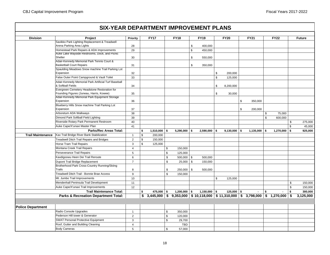### **Project Priority FY17 FY18 FY19 FY20 FY21 FY22 Future SIX-YEAR DEPARTMENT IMPROVEMENT PLANSDivision**Savikko Park Lighting Replacement & Treadwell Arena Parking Area Lights 28 1 28 28 400,000 Homestead Park Repairs & ADA Improvements 29 20 450,000 Auke Lake Wayside Restrooms, Dock, and Picnic Shelter 30 550,000 \$ Adair-Kennedy Memorial Park Tennis Court & Basketball Court Repairs **31** 31 350,000 **\$** 350,000 Spaulding Meadows Snow machine Trail Parking Lot Expansion 32 \$ 200,000 False Outer Point Campground & Vault Toilet 33 \$ 125.000 Adair-Kennedy Memorial Park Artificial Turf Baseball & Softball Fields 34 8,200,000 \$ Evergreen Cemetery Headstone Restoration for Founding Figures (Juneau, Harris, Kowee) 35 \$ 30,000 Adair-Kennedy Memorial Park Equipment Storage Expansion 36 \$ 350,000 Blueberry Hills Snow machine Trail Parking Lot Expansion 37 \$ 200,000 Arboretum ADA Walkways 38 \$ 75,000 Dimond Park Softball Field Lighting 39 \$ 600,000 Riverside Rotary Park Permanent Restroom 40 40 \$ 275,000 Auke Cape/X'unaxi Master Plan 45,000 and 5 45,000 and 41 \$ 45,000 and 41 \$ 45,000 and 41 \$ 45,000 and 41 \$ 45,000 and 41 \$ 45,000 and 41 \$ 45,000 and 41 \$ 45,000 and 41 \$ 45,000 and 41 \$ 45,000 and 41 \$ 45,000 and 41 \$ 45, **\$ 5,290,000 1,510,000 \$ 2,590,000 \$ 9,130,000 \$ 1,135,000 \$ 1,270,000 \$ 925,000 \$**  Kax Trail Bridge River Bank Stabilization 1 1 \\$ 200,000 Treadwell Ditch Trail Repairs and Bridges  $\vert$  2  $\vert$  \$ 150,000 Horse Tram Trail Repairs  $\begin{array}{ccc} 1 & 3 & 8 & 125,000 \end{array}$ Montana Creek Trail Repairs **1988** 150,000 **150,000 150,000** Perseverance Trail Repairs **125,000 125,000 125,000** Kaxdigoowu Heen Dei Trail Reroute | 6 | | \$ 500.000 | \$ 500.000 Dupont Trail Bridge Replacement <sup>7</sup> 25,000 \$ 150,000 \$ Brotherhood Park Cross-Country Running/Skiing Trails 8 250,000 \$ 500,000 \$ Treadwell Ditch Trail - Bonnie Brae Access9  $\vert$  \$ 150,000 Mt. Jumbo Trail Improvements 10 \$ 125,000 Mendenhall Peninsula Trail Development 11 \$ 150,000 Auke Cape/X'unaxi Trail Improvements 12 | 12 | 12 | 12 | 12 | 12 | 12 | 150,000 **\$ 1,200,000 475,000 \$ 1,150,000 \$ 125,000 \$ - \$ - \$ 300,000 \$ \$ 9,353,000 3,445,000 \$ 10,118,000 \$ 11,310,000 \$ 3,798,000 \$ 1,270,000 \$ 3,125,000 \$ Police Department** Radio Console Upgrades 1 350,000 \$ Pederson Hill tower & Generator2 \$ 120,000 SWAT Personal Protective Equipment 1 29,700 Roof, Gutter and Building Cleaning 4 TBD Body Cameras 5 57,000 \$ **Parks/Rec Areas Total: Trail Maintenance Parks & Recreation Department Total: Trail Maintenance Total:**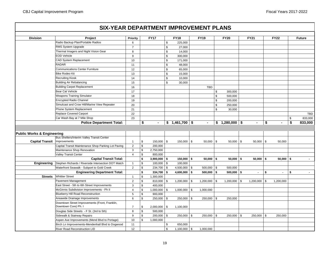#### **Project Priority FY17 FY18 FY19 FY20 FY21 FY22 Future SIX-YEAR DEPARTMENT IMPROVEMENT PLANSDivision**Radio Backup Plan/Portable Radios 6 26.000 \$ 225,000 RMS System Upgrade 7 27,000 Thermal Imagers and Night Vision Gear **8** 14,000 EOD Vehiclee 9 | \$ 300,000 CAD System Replacement 10 10 10 15 171,000 RADAR 11 48,000 \$ Communications Center Furnituree 12 \$ 65,000 Bike Rodeo Kit13 | Simple 13 | Simple 15,000 Recruiting Kiosk 14 10,000 \$ Building Air Rebalancing 15 30,000  $\vert$  15  $\vert$  15  $\vert$  \$ 30,000 Building Carpet Replacement **16** TBD 16 TBD 16 TBD Bear Cat Vehiclee 17 7 | 300,000 Weapons Training Simulator 18 \$ 500,000 Encrypted Radio Channel 2000 Channel 2000 Channel 2000 Channel 2000 Channel 2000 Channel 2000 Channel 2000 Channel 2000 Channel 2000 Channel 2000 Channel 2000 Channel 2000 Channel 2000 Channel 2000 Channel 2000 Channel 200 Simulcast and Crow Hill/Marine View Repeater  $\vert$  20  $\vert$  20  $\vert$  250,000  $\vert$  3 250,000 Phone System Replacement 21 \$ 30,000 Replace Covered Carport **22** 22 TBD 22 TBD Car Wash Bay at 7 Mile Shop 23 \$ 833,000 **\$ 1,461,700 - \$ - \$ 1,280,000 \$ - \$ - \$ 833,000 \$ Public Works & Engineering** Bus Shelters/Interim Valley Transit Center lmprovements | 1 | \$ 150,000 | \$ 50,000 | \$ 50,000 | \$ 50,000 | \$ 50,000 | \$ Capital Transit Maintenance Shop Parking Lot Paving | 2 | \$ 200,000 Maintenance Shop Renovation 3 2,750,000 \$ Valley Transit Center **1988 1988 1988 1988 1988 1998 1998 1999 1999 1999 1999 1999 1999 1999 \$ 150,000 3,900,000 \$ 50,000 \$ 50,000 \$ 50,000 \$ 50,000 \$ - \$**  Stephen Richards / Riverside Intersection DOT Match | 1 | \$ 100,000 | \$ 100,000 Waterfront Seawalk - Subport to Gold Creek 2  $\frac{1}{3}$  234,700  $\frac{1}{3}$  4,500,000  $\frac{1}{3}$  500,000  $\frac{1}{3}$  500,000 **\$ 4,600,000 334,700 \$ 500,000 \$ 500,000 \$ - \$ - \$ - \$**  Whittier Street1 \$ 1,300,000 Pavement Management | 2 | \$ 810,000 | \$ 1,200,000 | \$ 1,200,000 | \$ 1,200,000 | \$ 1,200,000 | \$ 1,200,000 East Street - 5th to 6th Street Improvements  $\begin{array}{ccc} 3 & 8 & 400,000 \end{array}$ McGinnis Subdivision Improvements - Ph II 4 1,000,000 \$ 1,000,000 \$ 1,000,000 \$ Blueberry Hill Road Reconstruction 15 900,000 Areawide Drainage Improvements 6 250,000 \$ 250,000 \$ 250,000 \$ 250,000 \$ Downtown Street Improvements (Front, Franklin, Downtown Core) Ph. I 2,000,000 \$ 1,100,000 Douglas Side Streets - F St. (3rd to 5th)  $\begin{array}{|c|c|c|c|c|c|c|c|c|} \hline 8 & \; \; \$ & \; \; 500,000 \end{array}$ Sidewalk & Stairway Repairs | 9 | \$ 200.000 | \$ 250.000 | \$ 250.000 | \$ 250.000 | \$ 250.000 Aspen Ave Improvements (Mend Blvd to Portage)  $\begin{array}{|c|c|c|c|c|c|} \hline \end{array}$  10  $\begin{array}{|c|c|c|c|c|} \hline \$ & \quad 1,000,000\ \hline \end{array}$ Birch Ln Improvements-Mendenhall Blvd to Dogwood 11 1 5 650,000 River Road Reconstruction LID 12 12 15 1,100,000 \$ 1,000,000 **Engineering Department Total: Streets Police Department Total: Capital Transit Capital Transit Total: Engineering**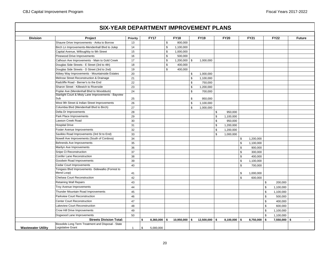| <b>Division</b>           | Project                                                                                         | Priority     | <b>FY17</b>          |              | <b>FY18</b>     |              | <b>FY19</b>     |               | <b>FY20</b>    | <b>FY21</b> |              | <b>FY22</b>    | <b>Future</b>  |
|---------------------------|-------------------------------------------------------------------------------------------------|--------------|----------------------|--------------|-----------------|--------------|-----------------|---------------|----------------|-------------|--------------|----------------|----------------|
|                           | Shaune Drive Improvements - Anka to Borrow                                                      | 13           |                      | \$           | 800,000         |              |                 |               |                |             |              |                |                |
|                           | Birch Ln Improvements-Mendenhall Blvd to Julep                                                  | 14           |                      | \$           | 1,100,000       |              |                 |               |                |             |              |                |                |
|                           | Capital Avenue, Willoughby to 9th Street                                                        | 15           |                      | \$           | 1,000,000       |              |                 |               |                |             |              |                |                |
|                           | Pinewood Drive Improvements                                                                     | 16           |                      | \$           | 500,000         |              |                 |               |                |             |              |                |                |
|                           | Calhoun Ave Improvements - Main to Gold Creek                                                   | 17           |                      | \$           | 1,200,000       | \$           | 1,000,000       |               |                |             |              |                |                |
|                           | Douglas Side Streets - E Street (3rd to 4th)                                                    | 18           |                      | $\mathbb{S}$ | 400,000         |              |                 |               |                |             |              |                |                |
|                           | Douglas Side Streets - D Street (3rd to 2nd)                                                    | 19           |                      | \$           | 400,000         |              |                 |               |                |             |              |                |                |
|                           | Abbey Way Improvements - Mountainside Estates                                                   | 20           |                      |              |                 | \$           | 1,000,000       |               |                |             |              |                |                |
|                           | Melrose Street Reconstruction & Drainage                                                        | 21           |                      |              |                 | \$           | 1,100,000       |               |                |             |              |                |                |
|                           | Radcliffe Road - Berner's to the End                                                            | 22           |                      |              |                 | $\mathbb{S}$ | 750,000         |               |                |             |              |                |                |
|                           | Sharon Street - Killewich to Riverside                                                          | 23           |                      |              |                 | \$           | 1,200,000       |               |                |             |              |                |                |
|                           | Poplar Ave (Mendenhall Blvd to Woodduck)<br>Starlight Court & Misty Lane Improvements - Bayview | 24           |                      |              |                 | \$           | 700,000         |               |                |             |              |                |                |
|                           | Sub                                                                                             | 25           |                      |              |                 | \$           | 950,000         |               |                |             |              |                |                |
|                           | West 9th Street & Indian Street Improvements                                                    | 26           |                      |              |                 | \$           | 1,100,000       |               |                |             |              |                |                |
|                           | Columbia Blvd (Mendenhall Blvd to Birch)                                                        | 27           |                      |              |                 | $\mathbb{S}$ | 1,000,000       |               |                |             |              |                |                |
|                           | Delta Dr Improvements                                                                           | 28           |                      |              |                 |              |                 | \$            | 950,000        |             |              |                |                |
|                           | Park Place Improvements                                                                         | 29           |                      |              |                 |              |                 | \$            | 1,100,000      |             |              |                |                |
|                           | Lawson Creek Road                                                                               | 30           |                      |              |                 |              |                 | $\mathbb S$   | 950,000        |             |              |                |                |
|                           | <b>Hospital Drive</b>                                                                           | 31           |                      |              |                 |              |                 | $\mathfrak s$ | 1,200,000      |             |              |                |                |
|                           | Foster Avenue Improvements                                                                      | 32           |                      |              |                 |              |                 | \$            | 1,200,000      |             |              |                |                |
|                           | Savikko Road Improvements (3rd St to End)                                                       | 33           |                      |              |                 |              |                 | \$            | 1,000,000      |             |              |                |                |
|                           | Nowell Ave Improvements (South of Cordova)                                                      | 34           |                      |              |                 |              |                 |               | \$             | 1,200,000   |              |                |                |
|                           | Behrends Ave Improvements                                                                       | 35           |                      |              |                 |              |                 |               | $\mathbb S$    | 1,100,000   |              |                |                |
|                           | Marilyn Ave Improvements                                                                        | 36           |                      |              |                 |              |                 |               | $\mathbb S$    | 900,000     |              |                |                |
|                           | Snipe Ct Reconstruction                                                                         | 37           |                      |              |                 |              |                 |               | $\mathbb S$    | 300,000     |              |                |                |
|                           | Conifer Lane Reconstruction                                                                     | 38           |                      |              |                 |              |                 |               | $\mathbb S$    | 400,000     |              |                |                |
|                           | Goodwin Road Improvements                                                                       | 39           |                      |              |                 |              |                 |               | $\mathbb S$    | 1,100,000   |              |                |                |
|                           | <b>Cedar Court Improvements</b>                                                                 | 40           |                      |              |                 |              |                 |               | $\mathbb S$    | 700,000     |              |                |                |
|                           | Tongass Blvd Improvements - Sidewalks (Forrest to<br>Mend Loop)                                 | 41           |                      |              |                 |              |                 |               | \$             | 1,000,000   |              |                |                |
|                           | Chelsea Court Reconstruction                                                                    | 42           |                      |              |                 |              |                 |               | $\mathbb{S}$   | 600,000     |              |                |                |
|                           | <b>Retaining Wall Repairs</b>                                                                   | 43           |                      |              |                 |              |                 |               |                |             | \$           | 200,000        |                |
|                           | Troy Avenue Improvements                                                                        | 44           |                      |              |                 |              |                 |               |                |             | \$           | 1,100,000      |                |
|                           | Thunder Mountain Road Improvements                                                              | 45           |                      |              |                 |              |                 |               |                |             | \$           | 1,100,000      |                |
|                           | Parkview Court Reconstruction                                                                   | 46           |                      |              |                 |              |                 |               |                |             | \$           | 500,000        |                |
|                           | Center Court Reconstruction                                                                     | 47           |                      |              |                 |              |                 |               |                |             | \$           | 400,000        |                |
|                           | Lakeview Court Reconstruction                                                                   | 48           |                      |              |                 |              |                 |               |                |             | $\mathbb{S}$ | 600,000        |                |
|                           | Crow Hill Drive Improvements                                                                    | 49           |                      |              |                 |              |                 |               |                |             | \$           | 1,100,000      |                |
|                           | Dogwood Lane Improvements                                                                       | 50           |                      |              |                 |              |                 |               |                |             | \$           | 1,100,000      |                |
|                           | <b>Streets Division Total:</b>                                                                  |              | \$<br>$8,360,000$ \$ |              | $10,950,000$ \$ |              | $12,500,000$ \$ |               | $8,100,000$ \$ | 8,750,000   | \$           | $7,550,000$ \$ | $\blacksquare$ |
|                           | Biosolids Long Term Treatment and Disposal - State                                              |              |                      |              |                 |              |                 |               |                |             |              |                |                |
| <b>Wastewater Utility</b> | Legislative Grant                                                                               | $\mathbf{1}$ | \$<br>5,000,000      |              |                 |              |                 |               |                |             |              |                |                |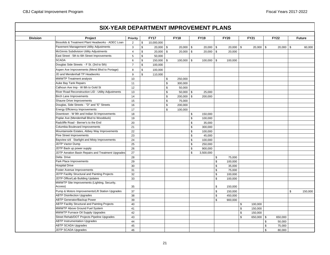| <b>Division</b> | Project                                                                               | Priority       |              | <b>FY17</b>  | <b>FY18</b>       |              | <b>FY19</b>   |             | <b>FY20</b>        |              | <b>FY21</b>        |               | <b>FY22</b> | <b>Future</b> |
|-----------------|---------------------------------------------------------------------------------------|----------------|--------------|--------------|-------------------|--------------|---------------|-------------|--------------------|--------------|--------------------|---------------|-------------|---------------|
|                 | Biosolids & Treatment Plant Headworks - ADEC Loan                                     | $\overline{2}$ | \$           | 10,000,000   |                   |              |               |             |                    |              |                    |               |             |               |
|                 | Pavement Management Utility Adjustments                                               | 3              | \$           | $20,000$ \$  | $20,000$ \$       |              | $20,000$ \$   |             | $20,000$ \$        |              | 20,000             | $\mathfrak s$ | $20,000$ \$ | 60,000        |
|                 | McGinnis Subdivision Utility Adjustments                                              | $\overline{4}$ | \$           | $20,000$ \$  | $20,000$ \$       |              | $20,000$ \$   |             | 20,000             |              |                    |               |             |               |
|                 | East Street - 5th to 6th Street Improvements                                          | 5              | \$           | 50,000       |                   |              |               |             |                    |              |                    |               |             |               |
|                 | <b>SCADA</b>                                                                          | 6              | \$           | $150,000$ \$ | $100,000$ \$      |              | $100,000$ \$  |             | 100,000            |              |                    |               |             |               |
|                 | Douglas Side Streets - F St. (3rd to 5th)                                             | $\overline{7}$ | \$           | 100,000      |                   |              |               |             |                    |              |                    |               |             |               |
|                 | Aspen Ave Improvements (Mend Blvd to Portage)                                         | 8              | \$           | 100,000      |                   |              |               |             |                    |              |                    |               |             |               |
|                 | JD and Mendenhall TP Headworks                                                        | 9              | $\mathbb{S}$ | 110,000      |                   |              |               |             |                    |              |                    |               |             |               |
|                 | <b>MWWTP Treatment analysis</b>                                                       | 10             |              |              | \$<br>250,000     |              |               |             |                    |              |                    |               |             |               |
|                 | <b>Auke Bay Tank Repairs</b>                                                          | 11             |              |              | \$<br>300,000     |              |               |             |                    |              |                    |               |             |               |
|                 | Calhoun Ave Imp - W 8th to Gold St                                                    | 12             |              |              | \$<br>50,000      |              |               |             |                    |              |                    |               |             |               |
|                 | River Road Reconstruction LID - Utility Adjustments                                   | 13             |              |              | \$<br>$50,000$ \$ |              | 25,000        |             |                    |              |                    |               |             |               |
|                 | <b>Birch Lane Improvements</b>                                                        | 14             |              |              | \$<br>200,000     | $\mathbf{s}$ | 200,000       |             |                    |              |                    |               |             |               |
|                 | Shaune Drive Improvements                                                             | 15             |              |              | \$<br>75,000      |              |               |             |                    |              |                    |               |             |               |
|                 | Douglas, Side Streets - "D" and "E" Streets                                           | 16             |              |              | \$<br>200,000     |              |               |             |                    |              |                    |               |             |               |
|                 | <b>Energy Efficiency Improvements</b>                                                 | 17             |              |              | \$<br>100,000     |              |               |             |                    |              |                    |               |             |               |
|                 | Downtown - W 9th and Indian St Improvements                                           | 18             |              |              |                   | \$           | 150,000       |             |                    |              |                    |               |             |               |
|                 | Poplar Ave (Mendenhall Blvd to Woodduck)                                              | 19             |              |              |                   | \$           | 100,000       |             |                    |              |                    |               |             |               |
|                 | Radcliffe Road - Berner's to the End                                                  | 20             |              |              |                   | \$           | 35,000        |             |                    |              |                    |               |             |               |
|                 | Columbia Boulevard Improvements                                                       | 21             |              |              |                   | \$           | 300,000       |             |                    |              |                    |               |             |               |
|                 | Mountainside Estates, Abbey Way Improvements                                          | 22             |              |              |                   | \$           | 100,000       |             |                    |              |                    |               |             |               |
|                 | Pine Street Improvements                                                              | 23             |              |              |                   | \$           | 45,000        |             |                    |              |                    |               |             |               |
|                 | Bayview s/d Starlight and Misty Improvements                                          | 24             |              |              |                   | \$           | 100,000       |             |                    |              |                    |               |             |               |
|                 | JDTP Vactor Dump                                                                      | 25             |              |              |                   | \$           | 250,000       |             |                    |              |                    |               |             |               |
|                 | JDTP Back up power supply                                                             | 26             |              |              |                   | \$           | 900,000       |             |                    |              |                    |               |             |               |
|                 | JDTP Aeration Basin Repairs and Treatment Upgrades                                    | 27             |              |              |                   | \$           | 3,500,000     |             |                    |              |                    |               |             |               |
|                 | Delta Drive                                                                           | 28             |              |              |                   |              | \$            |             | 75,000             |              |                    |               |             |               |
|                 | Park Place Improvements                                                               | 29             |              |              |                   |              |               | $\mathbb S$ | 100,000            |              |                    |               |             |               |
|                 | <b>Hospital Drive</b>                                                                 | 30             |              |              |                   |              | $\mathfrak s$ |             | 35,000             |              |                    |               |             |               |
|                 | Foster Avenue Improvements                                                            | 31             |              |              |                   |              | $\mathfrak s$ |             | 75,000             |              |                    |               |             |               |
|                 | JDTP Facility Structural and Painting Projects                                        | 32             |              |              |                   |              |               | $\mathbb S$ | 100,000            |              |                    |               |             |               |
|                 | JDTP Office/Lab Building Updates                                                      | 33             |              |              |                   |              |               | $\mathbb S$ | 100,000            |              |                    |               |             |               |
|                 | MWWTP Site Improvements (Lighting, Security,<br>Access)                               | 35             |              |              |                   |              |               | \$          | 150,000            |              |                    |               |             |               |
|                 |                                                                                       |                |              |              |                   |              |               | $\mathbb S$ |                    |              |                    |               |             | \$            |
|                 | Pump & Motors Improvements/Lift Station Upgrades<br><b>ABTP Disinfection Upgrades</b> | 37             |              |              |                   |              |               | $\mathbb S$ | 150,000            |              |                    |               |             | 150,000       |
|                 | ABTP Generator/Backup Power                                                           | 38<br>39       |              |              |                   |              |               | \$          | 450,000<br>900,000 |              |                    |               |             |               |
|                 | <b>ABTP Facility Structural and Painting Projects</b>                                 | 40             |              |              |                   |              |               |             |                    |              |                    |               |             |               |
|                 | MWWTP Above Ground Fuel System                                                        | 41             |              |              |                   |              |               |             |                    | \$<br>\$     | 100,000<br>150,000 |               |             |               |
|                 | MWWTP Furnace Oil Supply Upgrades                                                     | 42             |              |              |                   |              |               |             |                    | $\mathbb{S}$ | 150,000            |               |             |               |
|                 | Street Rehab/DOT Projects Pipeline Upgrades                                           | 43             |              |              |                   |              |               |             |                    | \$           | 650,000 \$         |               | 650,000     |               |
|                 | <b>ABTP Instrumentation Upgrades</b>                                                  | 44             |              |              |                   |              |               |             |                    |              |                    | \$            | 50,000      |               |
|                 | <b>ABTP SCADA Upgrades</b>                                                            | 45             |              |              |                   |              |               |             |                    |              |                    |               |             |               |
|                 |                                                                                       |                |              |              |                   |              |               |             |                    |              |                    | \$            | 75,000      |               |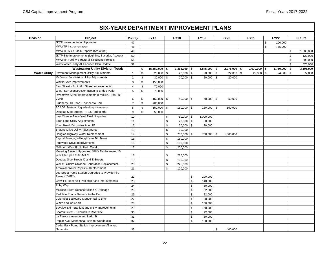| <b>Division</b>      | Project                                                                     | Priority       |              | <b>FY17</b>     |               | <b>FY18</b>    |                | <b>FY19</b>    | <b>FY20</b>    | <b>FY21</b>       |               | <b>FY22</b>    | <b>Future</b>   |
|----------------------|-----------------------------------------------------------------------------|----------------|--------------|-----------------|---------------|----------------|----------------|----------------|----------------|-------------------|---------------|----------------|-----------------|
|                      | <b>JDTP Instrumentation Upgrades</b>                                        | 47             |              |                 |               |                |                |                |                |                   | \$            | 100,000        |                 |
|                      | MWWTP Instrumentation                                                       | 48             |              |                 |               |                |                |                |                |                   | $\mathfrak s$ | 775,000        |                 |
|                      | MWWTP SBR Basin Repairs (Structural)                                        | 49             |              |                 |               |                |                |                |                |                   |               |                | \$<br>1,600,000 |
|                      | JDTP Site Improvements (Lighting, Security, Access)                         | 50             |              |                 |               |                |                |                |                |                   |               |                | \$<br>120,000   |
|                      | MWWTP Facility Structural & Painting Projects                               | 51             |              |                 |               |                |                |                |                |                   |               |                | \$<br>500,000   |
|                      | Wastewater Utility All Facilities Plan Update                               | 52             |              |                 |               |                |                |                |                |                   |               |                | \$<br>675,000   |
|                      | <b>Wastewater Utility Division Total:</b>                                   |                | \$           | $15,550,000$ \$ |               | $1,365,000$ \$ |                | $5,845,000$ \$ | $2,275,000$ \$ | $1,070,000$ \$    |               | $1,750,000$ \$ | 3,105,000       |
| <b>Water Utility</b> | Pavement Management Utility Adjustments                                     | $\mathbf{1}$   | $\mathbb{S}$ | $20,000$ \$     |               | 20,000         | \$             | $20,000$ \$    | 22,000         | \$<br>$22,000$ \$ |               | $24,000$ \$    | 77.000          |
|                      | McGinnis Subdivision Utility Adjustments                                    | $\overline{2}$ | \$           | $30,000$ \ \$   |               | 20,000         | $\mathfrak{S}$ | $20,000$ \$    | 20,000         |                   |               |                |                 |
|                      | Whittier Ave Improvements                                                   | 3              | $\mathbb{S}$ | 150,000         |               |                |                |                |                |                   |               |                |                 |
|                      | East Street - 5th to 6th Street Improvements                                | $\overline{4}$ | \$           | 70.000          |               |                |                |                |                |                   |               |                |                 |
|                      | W 8th St Reconstruction (Egan to Bridge Park)                               | 5              | \$           | 70,000          |               |                |                |                |                |                   |               |                |                 |
|                      | Downtown Street Improvements (Franklin, Front, DT                           |                |              |                 |               |                |                |                |                |                   |               |                |                 |
|                      | Core)                                                                       | 6              | \$           | $150,000$ \$    |               | $50,000$ \$    |                | $50,000$ \$    | 50,000         |                   |               |                |                 |
|                      | Blueberry Hill Road - Pioneer to End                                        | $\overline{7}$ | \$           | 200,000         |               |                |                |                |                |                   |               |                |                 |
|                      | SCADA System Upgrades/Improvements                                          | 8              | \$           | $150.000$ \ \$  |               | $150,000$ \$   |                | 150,000 \$     | 150,000        |                   |               |                |                 |
|                      | Douglas Side Streets - F St. (3rd to 5th)                                   | 9              | \$           | 50,000          |               |                |                |                |                |                   |               |                |                 |
|                      | Last Chance Basin Well Field Upgrades                                       | 10             |              |                 | \$            | 750,000        | \$             | 1,000,000      |                |                   |               |                |                 |
|                      | <b>Birch Lane Utility Adjustments</b>                                       | 11             |              |                 | $\mathbb S$   | 20,000         | \$             | 20,000         |                |                   |               |                |                 |
|                      | River Road Reconstruction LID                                               | 12             |              |                 | $\mathfrak s$ | 20,000         | \$             | 20,000         |                |                   |               |                |                 |
|                      | Shaune Drive Utility Adjustments                                            | 13             |              |                 | \$            | 20,000         |                |                |                |                   |               |                |                 |
|                      | Douglas Highway Water Replacement                                           | 14             |              |                 | $\mathfrak s$ | 750,000        | \$             | 750,000 \$     | 1,500,000      |                   |               |                |                 |
|                      | Capital Avenue, Willoughby to 9th Street                                    | 15             |              |                 | $\mathbb S$   | 150,000        |                |                |                |                   |               |                |                 |
|                      | Pinewood Drive Improvements                                                 | 16             |              |                 | $\mathbb S$   | 100,000        |                |                |                |                   |               |                |                 |
|                      | Calhoun, West 8th to Gold Creek                                             | 17             |              |                 | $\mathbb{S}$  | 200,000        |                |                |                |                   |               |                |                 |
|                      | Metering System Upgrades, MIU's Replacement 10<br>year Life Span 1500 MIU's | 18             |              |                 | \$            | 225,000        |                |                |                |                   |               |                |                 |
|                      | Douglas Side Streets D and E Streets                                        | 19             |              |                 | \$            | 100,000        |                |                |                |                   |               |                |                 |
|                      | Well #3 Onsite Chlorine Generation Replacement                              | 20             |              |                 | \$            | 225,000        |                |                |                |                   |               |                |                 |
|                      | Areawide Water Repairs / Replacement                                        | 21             |              |                 | $\mathbb{S}$  | 100,000        |                |                |                |                   |               |                |                 |
|                      | Lee Street Pump Station Upgrades to Provide Fire<br>Flows 4" VFD's          |                |              |                 |               |                |                |                |                |                   |               |                |                 |
|                      | Crow Hill Reservoir Pax Mixer and improvements                              | 22             |              |                 |               |                | \$             | 200,000        |                |                   |               |                |                 |
|                      |                                                                             | 23             |              |                 |               |                | \$             | 140,000        |                |                   |               |                |                 |
|                      | Abby Way<br>Melrose Street Reconstruction & Drainage                        | 24             |              |                 |               |                | \$             | 50,000         |                |                   |               |                |                 |
|                      |                                                                             | 25             |              |                 |               |                | \$             | 22,000         |                |                   |               |                |                 |
|                      | Radcliffe Road - Berner's to the End                                        | 26             |              |                 |               |                | \$             | 22,000         |                |                   |               |                |                 |
|                      | Columbia Boulevard Mendenhall to Birch                                      | 27             |              |                 |               |                | \$             | 100,000        |                |                   |               |                |                 |
|                      | W 9th and Indian St                                                         | 28             |              |                 |               |                | \$             | 150,000        |                |                   |               |                |                 |
|                      | Bayview s/d Starlight and Misty Improvements                                | 29             |              |                 |               |                | \$             | 150,000        |                |                   |               |                |                 |
|                      | Sharon Street - Killewich to Riverside                                      | 30             |              |                 |               |                | \$             | 22,000         |                |                   |               |                |                 |
|                      | La Perouse Avenue and Ladd St                                               | 31             |              |                 |               |                | \$             | 50,000         |                |                   |               |                |                 |
|                      | Poplar Ave (Mendenhall Blvd to Woodduck)                                    | 32             |              |                 |               |                | $\mathbb S$    | 100,000        |                |                   |               |                |                 |
|                      | Cedar Park Pump Station Improvements/Backup<br>Generator                    | 33             |              |                 |               |                |                |                | \$<br>400,000  |                   |               |                |                 |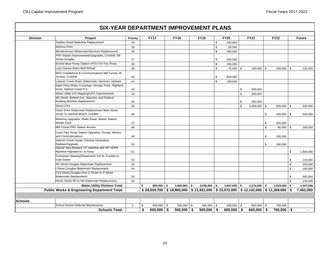| <b>Division</b> | Project                                                                           | Priority |    | <b>FY17</b>  | <b>FY18</b>    | <b>FY19</b>                                                                                        |              | <b>FY20</b>    |              | <b>FY21</b>    | <b>FY22</b>     |                | <b>Future</b> |
|-----------------|-----------------------------------------------------------------------------------|----------|----|--------------|----------------|----------------------------------------------------------------------------------------------------|--------------|----------------|--------------|----------------|-----------------|----------------|---------------|
|                 | Savikko Road Waterline Replacement                                                | 34       |    |              |                |                                                                                                    | \$           | 200,000        |              |                |                 |                |               |
|                 | Melissa Drive                                                                     | 35       |    |              |                |                                                                                                    | $\,$         | 50,000         |              |                |                 |                |               |
|                 | Mendenhaven Watermain/Services Replacement                                        | 36       |    |              |                |                                                                                                    | $\mathbb S$  | 500,000        |              |                |                 |                |               |
|                 | PRV Station Improvements/Upgrades, Crowhill, 5th                                  |          |    |              |                |                                                                                                    |              |                |              |                |                 |                |               |
|                 | <b>Street Douglas</b>                                                             | 37       |    |              |                |                                                                                                    | \$           | 500,000        |              |                |                 |                |               |
|                 | Bonnie Brae Pump Station VFD's For Fire Flows                                     | 38       |    |              |                |                                                                                                    | $\mathbb S$  | 200,000        |              |                |                 |                |               |
|                 | Last Chance Basin Well Rehab                                                      | 39       |    |              |                |                                                                                                    | \$           | 75,000 \$      |              | $100,000$ \$   | 100,000         | \$             | 125,000       |
|                 | MOV Installations & Communications Mill Tunnel, W.<br>Juneau, Crowhill            | 40       |    |              |                |                                                                                                    | \$           | 800,000        |              |                |                 |                |               |
|                 | Lawson Creek Road, Watermain, Services, Hydrant                                   | 41       |    |              |                |                                                                                                    | $\mathbb{S}$ | 180,000        |              |                |                 |                |               |
|                 | Egan Drive Water Crossings, Norway Point, Highland                                |          |    |              |                |                                                                                                    |              |                |              |                |                 |                |               |
|                 | Drive, Salmon Creek P.S.                                                          | 42       |    |              |                |                                                                                                    |              |                | \$           | 500,000        |                 |                |               |
|                 | Water Utility GIS Mapping/GPS Improvements                                        | 43       |    |              |                |                                                                                                    |              |                | \$           | 300,000        |                 |                |               |
|                 | 9th Street, Behind Gov. Mansion, and Federal                                      |          |    |              |                |                                                                                                    |              |                |              |                |                 |                |               |
|                 | <b>Building Mainline Replacement</b>                                              | 44       |    |              |                |                                                                                                    |              |                | \$           | 350,000        |                 |                |               |
|                 | <b>Street CIPs</b>                                                                | 45       |    |              |                |                                                                                                    |              |                | $\mathbb{S}$ | $1,000,000$ \$ | 500,000         | \$             | 500,000       |
|                 | Outer Drive Watermain Replacement Main Street<br>South To Admiral Way/S. Franklin | 46       |    |              |                |                                                                                                    |              |                |              |                | \$<br>250,000   | \$             | 500,000       |
|                 | Metering Upgrades, Radio Read, Master Station,<br>Mobile Pack                     | 47       |    |              |                |                                                                                                    |              |                |              |                | \$<br>500,000   |                |               |
|                 | Mill Tunnel PRV Station Access                                                    | 48       |    |              |                |                                                                                                    |              |                |              |                | \$<br>85,000 \$ |                | 250,000       |
|                 | Cope Park Pump Station Upgrades, Pumps, Motors,<br>and Communications             | 49       |    |              |                |                                                                                                    |              |                |              |                | \$<br>200,000   |                |               |
|                 | Salmon Creek Onsite Chlorine Generation<br>Replace/Upgrade                        | 50       |    |              |                |                                                                                                    |              |                |              |                | \$<br>260,000   |                |               |
|                 | Glacier Hwy Replace 12" mainline with 30" HDPE<br>Mainline Highland Dr. to Hosp.  | 51       |    |              |                |                                                                                                    |              |                |              |                |                 | \$             | 1,800,000     |
|                 | Downtown Stairway/Easements 3rd St. Franklin to<br><b>Gold Street</b>             | 52       |    |              |                |                                                                                                    |              |                |              |                |                 | \$             | 220,000       |
|                 | 4th Street Douglas Watermain Replacement                                          | 53       |    |              |                |                                                                                                    |              |                |              |                |                 | $\mathsf{\$}$  | 250,000       |
|                 | I Street Douglas Watermain Replacement                                            | 54       |    |              |                |                                                                                                    |              |                |              |                |                 | \$             | 185,000       |
|                 | First Street Douglas from D Street to H Street                                    |          |    |              |                |                                                                                                    |              |                |              |                |                 |                |               |
|                 | Watermain Replacement                                                             | 55       |    |              |                |                                                                                                    |              |                |              |                |                 | \$.            | 300,000       |
|                 | Harris Street 4th to 5th Watermain Replacement                                    | 56       |    |              |                |                                                                                                    |              |                |              |                |                 | $\mathfrak{s}$ | 140,000       |
|                 | <b>Water Utility Division Total:</b>                                              |          | \$ | $890,000$ \$ | $2,900,000$ \$ | $3,036,000$ \$                                                                                     |              | $4,647,000$ \$ |              | $2,272,000$ \$ | $1,919,000$ \$  |                | 4,347,000     |
|                 | <b>Public Works &amp; Engineering Department Total:</b>                           |          |    |              |                | \$ 29,034,700   \$ 19,965,000   \$ 21,931,000   \$ 15,572,000   \$ 12,142,000   \$ 11,269,000   \$ |              |                |              |                |                 |                | 7,452,000     |
|                 |                                                                                   |          |    |              |                |                                                                                                    |              |                |              |                |                 |                |               |
| <b>Schools</b>  |                                                                                   |          |    |              |                |                                                                                                    |              |                |              |                |                 |                |               |
|                 | School District Deferred Maintenance                                              |          |    | $600,000$ \$ | $500,000$ \$   | 500,000                                                                                            | <b>S</b>     | $600,000$ \$   |              | $600,000$ \$   | 700,000         |                |               |
|                 | <b>Schools Total:</b>                                                             |          | \$ | $600,000$ \$ | 500,000        | $500,000$ \$<br>-\$                                                                                |              | $600,000$ \$   |              | $600,000$ \$   | 700,000         | $\sqrt{2}$     | $\sim$        |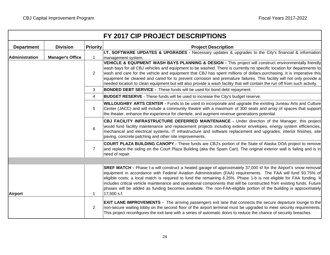|                   |                         |                 | FY 2017 CIP PROJECT DESCRIPTIONS                                                                                                                                                                                                                                                                                                                                                                                                                                                                                                                                                                                    |
|-------------------|-------------------------|-----------------|---------------------------------------------------------------------------------------------------------------------------------------------------------------------------------------------------------------------------------------------------------------------------------------------------------------------------------------------------------------------------------------------------------------------------------------------------------------------------------------------------------------------------------------------------------------------------------------------------------------------|
| <b>Department</b> | <b>Division</b>         | <b>Priority</b> | <b>Project Description</b>                                                                                                                                                                                                                                                                                                                                                                                                                                                                                                                                                                                          |
| Administration    | <b>Manager's Office</b> | $\overline{1}$  | I.T. SOFTWARE UPDATES & UPGRADES - Necessary updates & upgrades to the City's financial & information<br>management system.                                                                                                                                                                                                                                                                                                                                                                                                                                                                                         |
|                   |                         | 2               | VEHICLE & EQUPMENT WASH BAYS PLANNING & DESIGN - This project will construct environmentally friendly<br>wash bays for all CBJ vehicles and equipment to be washed. There is currently no specific location for departments to<br>wash and care for the vehicle and equipment that CBJ has spent millions of dollars purchasing. It is imperative this<br>equipment be cleaned and cared for to prevent corrosion and premature failures. This facility will not only provide a<br>needed location to clean equipment but will also provide a wash facility that will contain the run off from such activity.       |
|                   |                         | 3               | BONDED DEBT SERVICE - These funds will be used for bond debt repayment.                                                                                                                                                                                                                                                                                                                                                                                                                                                                                                                                             |
|                   |                         | 4               | <b>BUDGET RESERVE</b> - These funds will be used to increase the City's budget reserve.                                                                                                                                                                                                                                                                                                                                                                                                                                                                                                                             |
|                   |                         | 5               | WILLOUGHBY ARTS CENTER - Funds to be used to incorporate and upgrade the existing Juneau Arts and Culture<br>Center (JACC) and will include a community theatre with a maximum of 300 seats and array of spaces that support<br>the theater, enhance the experience for clientele, and augment revenue generations potential.                                                                                                                                                                                                                                                                                       |
|                   |                         | 6               | CBJ FACILITY INFRASTRUCTURE DEFERRED MAINTENANCE - Under direction of the Manager, this project<br>would fund facility maintenance and replacement projects including exterior envelopes, energy system efficiencies,<br>mechanical and electrical systems, IT infrastructure and software replacement and upgrades, interior finishes, site<br>paving, concrete patching and other site improvements.                                                                                                                                                                                                              |
|                   |                         | $\overline{7}$  | <b>COURT PLAZA BUILDING CANOPY -</b> These funds are CBJ's portion of the State of Alaska DOA project to remove<br>and replace the siding on the Court Plaza Building (aka the Spam Can). The original exterior wall is failing and is in<br>need of repair.                                                                                                                                                                                                                                                                                                                                                        |
|                   |                         |                 |                                                                                                                                                                                                                                                                                                                                                                                                                                                                                                                                                                                                                     |
| <b>Airport</b>    |                         | $\mathbf{1}$    | SREF MATCH - Phase I-a will construct a heated garage of approximately 37,000 sf for the Airport's snow removal<br>equipment in accordance with Federal Aviation Administration (FAA) requirements. The FAA will fund 93.75% of<br>eligible costs; a local match is required to fund the remaining 6.25%. Phase 1-b is not eligible for FAA funding. It<br>includes critical vehicle maintenance and operational components that will be constructed from existing funds. Future<br>phases will be added as funding becomes available. The non-FAA-eligible portion of the building is approximately<br>17,500 s.f. |
|                   |                         | 2               | <b>EXIT LANE IMPROVEMENTS</b> - The arriving passengers exit lane that connects the secure departure lounge to the<br>non-secure waiting lobby on the second floor of the airport terminal must be upgraded to meet security requirements.<br>This project reconfigures the exit lane with a series of automatic doors to reduce the chance of security breaches.                                                                                                                                                                                                                                                   |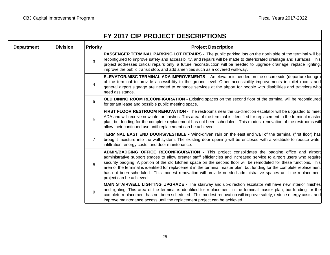|                   |                 |                 | FY 2017 CIP PROJECT DESCRIPTIONS                                                                                                                                                                                                                                                                                                                                                                                                                                                                                                                                                                                          |
|-------------------|-----------------|-----------------|---------------------------------------------------------------------------------------------------------------------------------------------------------------------------------------------------------------------------------------------------------------------------------------------------------------------------------------------------------------------------------------------------------------------------------------------------------------------------------------------------------------------------------------------------------------------------------------------------------------------------|
| <b>Department</b> | <b>Division</b> | <b>Priority</b> | <b>Project Description</b>                                                                                                                                                                                                                                                                                                                                                                                                                                                                                                                                                                                                |
|                   |                 | 3               | PASSENGER TERMINAL PARKING LOT REPAIRS - The public parking lots on the north side of the terminal will be<br>reconfigured to improve safety and accessibility, and repairs will be made to deteriorated drainage and surfaces. This<br>project addresses critical repairs only; a future reconstruction will be needed to upgrade drainage, replace lighting,<br>improve the public transit stop, and add amenities such as a covered walkway.                                                                                                                                                                           |
|                   |                 | 4               | <b>ELEVATOR/MISC TERMINAL ADA IMPROVEMENTS -</b> An elevator is needed on the secure side (departure lounge)<br>of the terminal to provide accessibility to the ground level. Other accessibility improvements in toilet rooms and<br>general airport signage are needed to enhance services at the airport for people with disabilities and travelers who<br>need assistance.                                                                                                                                                                                                                                            |
|                   |                 | 5               | OLD DINING ROOM RECONFIGURATION - Existing spaces on the second floor of the terminal will be reconfigured<br>for tenant lease and possible public meeting space.                                                                                                                                                                                                                                                                                                                                                                                                                                                         |
|                   |                 | 6               | FIRST FLOOR RESTROOM RENOVATION - The restrooms near the up-direction escalator will be upgraded to meet<br>ADA and will receive new interior finishes. This area of the terminal is identified for replacement in the terminal master<br>plan, but funding for the complete replacement has not been scheduled. This modest renovation of the restrooms will<br>allow their continued use until replacement can be achieved.                                                                                                                                                                                             |
|                   |                 | $\overline{7}$  | TERMINAL EAST END DOORS/VESTIBLE - Wind-driven rain on the east end wall of the terminal (first floor) has<br>brought moisture into the wall system. The existing door opening will be enclosed with a vestibule to reduce water<br>infiltration, energy costs, and door maintenance.                                                                                                                                                                                                                                                                                                                                     |
|                   |                 | 8               | ADMIN/BADGING OFFICE RECONFIGURATION - This project consolidates the badging office and airport<br>administrative support spaces to allow greater staff efficiencies and increased service to airport users who require<br>security badging. A portion of the old kitchen space on the second floor will be remodeled for these functions. This<br>area of the terminal is identified for replacement in the terminal master plan, but funding for the complete replacement<br>has not been scheduled. This modest renovation will provide needed administrative spaces until the replacement<br>project can be achieved. |
|                   |                 | 9               | MAIN STAIRWELL LIGHTING UPGRADE - The stairway and up-direction escalator will have new interior finishes<br>and lighting. This area of the terminal is identified for replacement in the terminal master plan, but funding for the<br>complete replacement has not been scheduled. This modest renovation will improve safety, reduce energy costs, and<br>improve maintenance access until the replacement project can be achieved.                                                                                                                                                                                     |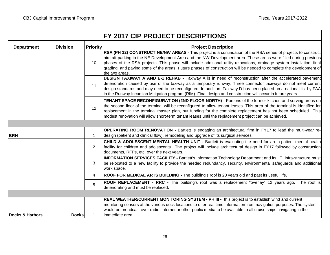|                   |                 |                 | FY 2017 CIP PROJECT DESCRIPTIONS                                                                                                                                                                                                                                                                                                                                                                                                                                                                     |
|-------------------|-----------------|-----------------|------------------------------------------------------------------------------------------------------------------------------------------------------------------------------------------------------------------------------------------------------------------------------------------------------------------------------------------------------------------------------------------------------------------------------------------------------------------------------------------------------|
| <b>Department</b> | <b>Division</b> | <b>Priority</b> | <b>Project Description</b>                                                                                                                                                                                                                                                                                                                                                                                                                                                                           |
|                   |                 | 10              | RSA (PH 12) CONSTRUCT NE/NW AREAS - This project is a continuation of the RSA series of projects to construct<br>aircraft parking in the NE Development Area and the NW Development area. These areas were filled during previous<br>phases of the RSA projects. This phase will include additional utility relocations, drainage system installation, final<br>grading, and paving some of the areas. Future phases of construction will be needed to complete the development of<br>the two areas. |
|                   |                 | 11              | DESIGN TAXIWAY A AND E-1 REHAB - Taxiway A is in need of reconstruction after the accelerated pavement<br>deterioration caused by use of the taxiway as a temporary runway. Three connector taxiways do not meet current<br>design standards and may need to be reconfigured. In addition, Taxiway D has been placed on a national list by FAA<br>in the Runway Incursion Mitigation program (RIM). Final design and construction will occur in future years.                                        |
|                   |                 | 12              | TENANT SPACE RECONFIGURATION (2ND FLOOR NORTH) - Portions of the former kitchen and serving areas on<br>the second floor of the terminal will be reconfigured to allow tenant leases. This area of the terminal is identified for<br>replacement in the terminal master plan, but funding for the complete replacement has not been scheduled. This<br>modest renovation will allow short-term tenant leases until the replacement project can be achieved.                                          |
|                   |                 |                 |                                                                                                                                                                                                                                                                                                                                                                                                                                                                                                      |
| <b>BRH</b>        |                 | 1               | <b>OPERATING ROOM RENOVATION - Bartlett is engaging an architectural firm in FY17 to lead the multi-year re-</b><br>design (patient and clinical flow), remodeling and upgrade of its surgical services.                                                                                                                                                                                                                                                                                             |
|                   |                 | $\overline{2}$  | CHILD & ADOLESCENT MENTAL HEALTH UNIT - Bartlett is evaluating the need for an in-patient mental health<br>facility for children and adolescents. The project will include architectural design in FY17 followed by construction<br>documents, RFPs, etc. over the next years.                                                                                                                                                                                                                       |
|                   |                 | 3               | <b>INFORMATION SERVICES FACILITY - Bartlett's Information Technology Department and its I.T. infra-structure must</b><br>be relocated to a new facility to provide the needed redundancy, security, environmental safeguards and additional<br>work space.                                                                                                                                                                                                                                           |
|                   |                 | 4               | ROOF FOR MEDICAL ARTS BUILDING - The building's roof is 28 years old and past its useful life.                                                                                                                                                                                                                                                                                                                                                                                                       |
|                   |                 | 5               | ROOF REPLACEMENT - RRC - The building's roof was a replacement "overlay" 12 years ago. The roof is<br>deteriorating and must be replaced.                                                                                                                                                                                                                                                                                                                                                            |
|                   |                 |                 |                                                                                                                                                                                                                                                                                                                                                                                                                                                                                                      |
| Docks & Harbors   | <b>Docks</b>    |                 | REAL WEATHER/CURRENT MONITORING SYSTEM - PH III - this project is to establish wind and current<br>monitoring sensors at the various dock locations to offer real time information from navigation purposes. The system<br>would be broadcast over radio, internet or other public media to be available to all cruise ships navigating in the<br>immediate area.                                                                                                                                    |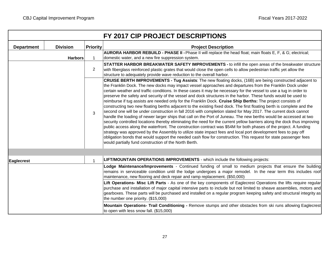|                                      |                 | FY 2017 CIP PROJECT DESCRIPTIONS                                                                                                                                                                                                                                                                                                                                                                                                                                                                                                                                                                                                                                                                                                                                                                                                                                                                                                                                                                                                                                                                                                                                                                                                                                                                                                                                                                                                                                                              |
|--------------------------------------|-----------------|-----------------------------------------------------------------------------------------------------------------------------------------------------------------------------------------------------------------------------------------------------------------------------------------------------------------------------------------------------------------------------------------------------------------------------------------------------------------------------------------------------------------------------------------------------------------------------------------------------------------------------------------------------------------------------------------------------------------------------------------------------------------------------------------------------------------------------------------------------------------------------------------------------------------------------------------------------------------------------------------------------------------------------------------------------------------------------------------------------------------------------------------------------------------------------------------------------------------------------------------------------------------------------------------------------------------------------------------------------------------------------------------------------------------------------------------------------------------------------------------------|
| <b>Department</b><br><b>Division</b> | <b>Priority</b> | <b>Project Description</b>                                                                                                                                                                                                                                                                                                                                                                                                                                                                                                                                                                                                                                                                                                                                                                                                                                                                                                                                                                                                                                                                                                                                                                                                                                                                                                                                                                                                                                                                    |
| <b>Harbors</b>                       | $\mathbf{1}$    | AURORA HARBOR REBUILD - PHASE II - Phase II will replace the head float; main floats E, F, & G; electrical;<br>domestic water, and a new fire suppression system.                                                                                                                                                                                                                                                                                                                                                                                                                                                                                                                                                                                                                                                                                                                                                                                                                                                                                                                                                                                                                                                                                                                                                                                                                                                                                                                             |
|                                      | $\overline{2}$  | STATTER HARBOR BREAKWATER SAFETY IMPROVEMENTS - to infill the open areas of the breakwater structure<br>with fiberglass reinforced plastic grates that would close the open cells to allow pedestrian traffic yet allow the<br>structure to adequately provide wave reduction to the overall harbor.                                                                                                                                                                                                                                                                                                                                                                                                                                                                                                                                                                                                                                                                                                                                                                                                                                                                                                                                                                                                                                                                                                                                                                                          |
|                                      | 3               | CRUISE BERTH IMPROVEMENTS - Tug Assists: The new floating docks, (16B) are being constructed adjacent to<br>the Franklin Dock. The new docks may impact vessel approaches and departures from the Franklin Dock under<br>certain weather and traffic conditions. In these cases it may be necessary for the vessel to use a tug in order to<br>preserve the safety and security of the vessel and dock structures in the harbor. These funds would be used to<br>reimburse if tug assists are needed only for the Franklin Dock. Cruise Ship Berths: The project consists of<br>constructing two new floating berths adjacent to the existing fixed dock. The first floating berth is complete and the<br>second one will be under construction in fall 2016 with completion slated for May 2017. The current dock cannot<br>handle the loading of newer larger ships that call on the Port of Juneau. The new berths would be accessed at two<br>security controlled locations thereby eliminating the need for the current yellow barriers along the dock thus improving<br>public access along the waterfront. The construction contract was \$54M for both phases of the project. A funding<br>strategy was approved by the Assembly to utilize state impact fees and local port development fees to pay off<br>obligation bonds that would support the needed cash flow for construction. This request for state passenger fees<br>would partially fund construction of the North Berth. |
|                                      |                 |                                                                                                                                                                                                                                                                                                                                                                                                                                                                                                                                                                                                                                                                                                                                                                                                                                                                                                                                                                                                                                                                                                                                                                                                                                                                                                                                                                                                                                                                                               |
| <b>Eaglecrest</b>                    | $\mathbf{1}$    | <b>LIFT/MOUNTAIN OPERATIONS IMPROVEMENTS - which include the following projects:</b>                                                                                                                                                                                                                                                                                                                                                                                                                                                                                                                                                                                                                                                                                                                                                                                                                                                                                                                                                                                                                                                                                                                                                                                                                                                                                                                                                                                                          |
|                                      |                 | Lodge Maintenance/Improvements - Continued funding of small to medium projects that ensure the building<br>remains in serviceable condition until the lodge undergoes a major remodel. In the near term this includes roof<br>maintenance, new flooring and deck repair and ramp replacement. (\$50,000)                                                                                                                                                                                                                                                                                                                                                                                                                                                                                                                                                                                                                                                                                                                                                                                                                                                                                                                                                                                                                                                                                                                                                                                      |
|                                      |                 | Lift Operations- Misc Lift Parts - As one of the key components of Eaglecrest Operations the lifts require regular<br>purchase and installation of major capital intensive parts to include but not limited to sheave assemblies, motors and<br>gearboxes. These parts will be purchased and installed on a regular program keeping safety and structural integrity as<br>the number one priority. (\$15,000)                                                                                                                                                                                                                                                                                                                                                                                                                                                                                                                                                                                                                                                                                                                                                                                                                                                                                                                                                                                                                                                                                 |
|                                      |                 | Mountain Operations- Trail Conditioning - Remove stumps and other obstacles from ski runs allowing Eaglecrest<br>to open with less snow fall. (\$15,000)                                                                                                                                                                                                                                                                                                                                                                                                                                                                                                                                                                                                                                                                                                                                                                                                                                                                                                                                                                                                                                                                                                                                                                                                                                                                                                                                      |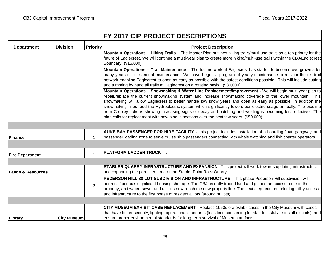|                              |                    |                 | FY 2017 CIP PROJECT DESCRIPTIONS                                                                                                                                                                                                                                                                                                                                                                                                                                                                                                                                                                                                                                               |  |  |  |  |
|------------------------------|--------------------|-----------------|--------------------------------------------------------------------------------------------------------------------------------------------------------------------------------------------------------------------------------------------------------------------------------------------------------------------------------------------------------------------------------------------------------------------------------------------------------------------------------------------------------------------------------------------------------------------------------------------------------------------------------------------------------------------------------|--|--|--|--|
| <b>Department</b>            | <b>Division</b>    | <b>Priority</b> | <b>Project Description</b>                                                                                                                                                                                                                                                                                                                                                                                                                                                                                                                                                                                                                                                     |  |  |  |  |
|                              |                    |                 | Mountain Operations - Hiking Trails - The Master Plan outlines hiking trails/multi-use trails as a top priority for the<br>future of Eaglecrest. We will continue a multi-year plan to create more hiking/multi-use trails within the CBJ/Eaglecrest<br>Boundary. (\$15,000)                                                                                                                                                                                                                                                                                                                                                                                                   |  |  |  |  |
|                              |                    |                 | Mountain Operations -- Trail Maintenance -- The trail network at Eaglecrest has started to become overgrown after<br>many years of little annual maintenance. We have begun a program of yearly maintenance to reclaim the ski trail<br>network enabling Eaglecrest to open as early as possible with the safest conditions possible. This will include cutting<br>and trimming by hand all trails at Eaglecrest on a rotating basis. (\$30,000)                                                                                                                                                                                                                               |  |  |  |  |
|                              |                    |                 | Mountain Operations - Snowmaking & Water Line Replacement/Improvement - We will begin multi-year plan to<br>repair/replace the current snowmaking system and increase snowmaking coverage of the lower mountain. This<br>snowmaking will allow Eaglecrest to better handle low snow years and open as early as possible. In addition the<br>snowmaking lines feed the Hydroelectric system which significantly lowers our electric usage annually. The pipeline<br>from Cropley Lake is showing increasing signs of decay and patching and welding is becoming less effective. The<br>plan calls for replacement with new pipe in sections over the next few years. (\$50,000) |  |  |  |  |
|                              |                    |                 |                                                                                                                                                                                                                                                                                                                                                                                                                                                                                                                                                                                                                                                                                |  |  |  |  |
| Finance                      |                    | $\mathbf{1}$    | AUKE BAY PASSENGER FOR HIRE FACILITY - this project includes installation of a boarding float, gangway, and<br>passenger loading zone to serve cruise ship passengers connecting with whale watching and fish charter operators.                                                                                                                                                                                                                                                                                                                                                                                                                                               |  |  |  |  |
|                              |                    |                 |                                                                                                                                                                                                                                                                                                                                                                                                                                                                                                                                                                                                                                                                                |  |  |  |  |
| <b>Fire Department</b>       |                    | $\mathbf 1$     | <b>PLATFORM LADDER TRUCK - .</b>                                                                                                                                                                                                                                                                                                                                                                                                                                                                                                                                                                                                                                               |  |  |  |  |
| <b>Lands &amp; Resources</b> |                    | $\mathbf{1}$    | <b>STABLER QUARRY INFRASTRUCTURE AND EXPANSION</b> - This project will work towards updating infrastructure<br>and expanding the permitted area of the Stabler Point Rock Quarry.                                                                                                                                                                                                                                                                                                                                                                                                                                                                                              |  |  |  |  |
|                              |                    | $\overline{2}$  | PEDERSON HILL 80 LOT SUBDIVISION AND INFRASTRUCTURE - This phase Pederson Hill subdivision will<br>address Juneau's significant housing shortage. The CBJ recently traded land and gained an access route to the<br>property, and water, sewer and utilities now reach the new property line. The next step requires bringing utility access<br>and infrastructure to the first phase of residential lots (around 80 lots).                                                                                                                                                                                                                                                    |  |  |  |  |
|                              |                    |                 |                                                                                                                                                                                                                                                                                                                                                                                                                                                                                                                                                                                                                                                                                |  |  |  |  |
| Library                      | <b>City Museum</b> |                 | CITY MUSEUM EXHIBIT CASE REPLACEMENT - Replace 1950s era exhibit cases in the City Museum with cases<br>that have better security, lighting, operational standards (less time consuming for staff to install/de-install exhibits), and<br>ensure proper environmental standards for long-term survival of Museum artifacts.                                                                                                                                                                                                                                                                                                                                                    |  |  |  |  |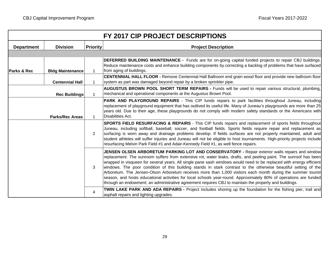|                         | FY 2017 CIP PROJECT DESCRIPTIONS |                 |                                                                                                                                                                                                                                                                                                                                                                                                                                                                                                                                                                                                                                                                                                                                                                                                              |  |  |  |  |  |  |  |
|-------------------------|----------------------------------|-----------------|--------------------------------------------------------------------------------------------------------------------------------------------------------------------------------------------------------------------------------------------------------------------------------------------------------------------------------------------------------------------------------------------------------------------------------------------------------------------------------------------------------------------------------------------------------------------------------------------------------------------------------------------------------------------------------------------------------------------------------------------------------------------------------------------------------------|--|--|--|--|--|--|--|
| <b>Department</b>       | <b>Division</b>                  | <b>Priority</b> | <b>Project Description</b>                                                                                                                                                                                                                                                                                                                                                                                                                                                                                                                                                                                                                                                                                                                                                                                   |  |  |  |  |  |  |  |
|                         |                                  |                 |                                                                                                                                                                                                                                                                                                                                                                                                                                                                                                                                                                                                                                                                                                                                                                                                              |  |  |  |  |  |  |  |
| <b>IParks &amp; Rec</b> | <b>Bldg Maintenance</b>          |                 | <b>DEFERRED BUILDING MAINTENANCE -</b> Funds are for on-going capital funded projects to repair CBJ buildings.<br>Reduce maintenance costs and enhance building components by correcting a backlog of problems that have surfaced<br>from aging of buildings.                                                                                                                                                                                                                                                                                                                                                                                                                                                                                                                                                |  |  |  |  |  |  |  |
|                         | <b>Centennial Hall</b>           | $\mathbf{1}$    | <b>CENTENNIAL HALL FLOOR - Remove Centennial Hall Ballroom end grain wood floor and provide new ballroom floor</b><br>system as part was damaged beyond repair by a broken sprinkler pipe.                                                                                                                                                                                                                                                                                                                                                                                                                                                                                                                                                                                                                   |  |  |  |  |  |  |  |
|                         | <b>Rec Buildings</b>             | $\mathbf{1}$    | AUGUSTUS BROWN POOL SHORT TERM REPAIRS - Funds will be used to repair various structural, plumbing,<br>mechanical and operational components at the Augustus Brown Pool.                                                                                                                                                                                                                                                                                                                                                                                                                                                                                                                                                                                                                                     |  |  |  |  |  |  |  |
| <b>Parks/Rec Areas</b>  |                                  | $\mathbf{1}$    | <b>PARK AND PLAYGROUND REPAIRS</b> - This CIP funds repairs to park facilities throughout Juneau, including<br>replacement of playground equipment that has outlived its useful life. Many of Juneau's playgrounds are more than 25<br>years old. Due to their age, these playgrounds do not comply with modern safety standards or the Americans with<br>Disabilities Act.                                                                                                                                                                                                                                                                                                                                                                                                                                  |  |  |  |  |  |  |  |
|                         |                                  | 2               | <b>SPORTS FIELD RESURFACING &amp; REPAIRS</b> - This CIP funds repairs and replacement of sports fields throughout<br>Juneau, including softball, baseball, soccer, and football fields. Sports fields require repair and replacement as<br>surfacing is worn away and drainage problems develop. If fields surfaces are not properly maintained, adult and<br>student athletes will suffer injuries and Juneau will not be eligible to host tournaments. High-priority projects include<br>resurfacing Melvin Park Field #1 and Adair-Kennedy Field #1, as well fence repairs.                                                                                                                                                                                                                              |  |  |  |  |  |  |  |
|                         |                                  | 3               | JENSEN OLSEN ARBORETUM PARKING LOT AND CONSERVATORY - Repair exterior walls repairs and window<br>replacement. The sunroom suffers from extensive rot, water leaks, drafts, and peeling paint. The sunroof has been<br>wrapped in visqueen for several years. All single pane sash windows would need to be replaced with energy efficient<br>windows. The poor condition of this building stands in stark contrast to the otherwise beautiful setting of the<br>Arboretum. The Jensen-Olson Arboretum receives more than 1,000 visitors each month during the summer tourist<br>season, and hosts educational activities for local schools year-round. Approximately 80% of operations are funded<br>through an endowment; an administrative agreement requires CBJ to maintain the property and buildings. |  |  |  |  |  |  |  |
|                         |                                  | 4               | <b>TWIN LAKE PARK AND ADA REPAIRS -</b> Project includes shoring up the foundation for the fishing pier, trail and<br>asphalt repairs and lighting upgrades.                                                                                                                                                                                                                                                                                                                                                                                                                                                                                                                                                                                                                                                 |  |  |  |  |  |  |  |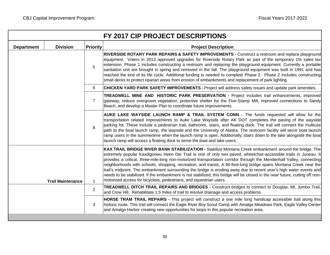| FY 2017 CIP PROJECT DESCRIPTIONS |                          |                 |                                                                                                                                                                                                                                                                                                                                                                                                                                                                                                                                                                                                                                                                                                                                                                                                     |  |  |  |  |  |  |
|----------------------------------|--------------------------|-----------------|-----------------------------------------------------------------------------------------------------------------------------------------------------------------------------------------------------------------------------------------------------------------------------------------------------------------------------------------------------------------------------------------------------------------------------------------------------------------------------------------------------------------------------------------------------------------------------------------------------------------------------------------------------------------------------------------------------------------------------------------------------------------------------------------------------|--|--|--|--|--|--|
| <b>Department</b>                | <b>Division</b>          | <b>Priority</b> | <b>Project Description</b>                                                                                                                                                                                                                                                                                                                                                                                                                                                                                                                                                                                                                                                                                                                                                                          |  |  |  |  |  |  |
|                                  |                          | 5               | RIVERSIDE ROTARY PARK REPAIRS & SAFETY IMPROVEMENTS - Construct a restroom and replace playground<br>equipment. Voters in 2013 approved upgrades for Riverside Rotary Park as part of the temporary 1% sales tax<br>extension. Phase 1 includes constructing a restroom and replacing the playground equipment. Currently a portable<br>sanitation unit are brought in spring and removed in the fall. The playground equipment was built in 1991 and has<br>reached the end of its life cycle. Additional funding is needed to complete Phase 2. Phase 2 includes constructing<br>small decks to protect riparian areas from erosion of embankments and replacement of park lighting.                                                                                                              |  |  |  |  |  |  |
|                                  |                          | 6               | <b>CHICKEN YARD PARK SAFETY IMPROVEMENTS - Project will address safety issues and update park amenities.</b>                                                                                                                                                                                                                                                                                                                                                                                                                                                                                                                                                                                                                                                                                        |  |  |  |  |  |  |
|                                  |                          | $\overline{7}$  | TREADWELL MINE AND HISTORIC PARK PRESERVATION - Project includes trail enhancements, improved<br>gateway, reduce overgrown vegetation, protective shelter for the Five-Stamp Mill, improved connections to Sandy<br>Beach, and develop a Master Plan to coordinate future improvements.                                                                                                                                                                                                                                                                                                                                                                                                                                                                                                             |  |  |  |  |  |  |
|                                  |                          | 8               | AUKE LAKE WAYSIDE LAUNCH RAMP & TRAIL SYSTEM CONN - The funds requested will allow for the<br>transportation related improvements to Auke Lake Wayside after AK DOT completes the paving of the wayside<br>parking lot. These include a pedestrian trail, bathroom, stairs, and floating dock. The trail will connect the multiuse<br>path to the boat launch ramp, the wayside and the University of Alaska. The restroom facility will serve boat launch<br>ramp users in the summertime when the launch ramp is open. Additionally, stairs down to the lake alongside the boat<br>launch ramp will access a floating dock to serve the boat and lake users.                                                                                                                                      |  |  |  |  |  |  |
|                                  | <b>Trail Maintenance</b> | $\mathbf 1$     | KAX TRAIL BRIDGE RIVER BANK STABILIZATION - Stabilize Montana Creek embankment around the bridge. The<br>extremely popular Kaxdigoowu Heen Dei Trail is one of only two paved, wheelchair-accessible trails in Juneau. It<br>provides a critical, three-mile-long non-motorized transportation corridor through the Mendenhall Valley, connecting<br>neighborhoods with schools, shopping, recreation, and transit. A 90-foot-long bridge spans Montana Creek near the<br>trail's midpoint. The embankment surrounding the bridge is eroding away due to recent year's high water events and<br>needs to be stabilized. If the embankment is not stabilized, this bridge will be closed in the near future, cutting off non-<br>motorized access for bicyclists, pedestrians, and equestrian users. |  |  |  |  |  |  |
|                                  |                          | $\overline{2}$  | TREADWELL DITCH TRAIL REPAIRS AND BRIDGES - Construct bridges to connect to Douglas, Mt. Jumbo Trail,<br>and Crow Hill. Rehabilitate 1.5 miles of trail to resolve drainage and access problems.                                                                                                                                                                                                                                                                                                                                                                                                                                                                                                                                                                                                    |  |  |  |  |  |  |
|                                  |                          | 3               | HORSE TRAM TRAIL REPAIRS - This project will construct a one mile long handicap accessible trail along this<br>historic route. This trail will connect the Eagle River Boy Scout Camp with Amalga Meadows Park, Eagle Valley Center<br>and Amalga Harbor creating new opportunities for loops in this popular recreation area.                                                                                                                                                                                                                                                                                                                                                                                                                                                                      |  |  |  |  |  |  |
|                                  |                          |                 |                                                                                                                                                                                                                                                                                                                                                                                                                                                                                                                                                                                                                                                                                                                                                                                                     |  |  |  |  |  |  |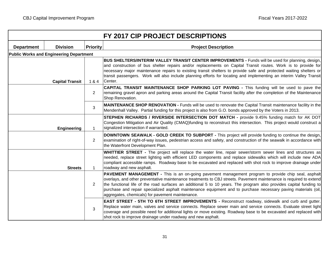|                                                |                        |                 | FY 2017 CIP PROJECT DESCRIPTIONS                                                                                                                                                                                                                                                                                                                                                                                                                                                                                      |
|------------------------------------------------|------------------------|-----------------|-----------------------------------------------------------------------------------------------------------------------------------------------------------------------------------------------------------------------------------------------------------------------------------------------------------------------------------------------------------------------------------------------------------------------------------------------------------------------------------------------------------------------|
| <b>Department</b>                              | <b>Division</b>        | <b>Priority</b> | <b>Project Description</b>                                                                                                                                                                                                                                                                                                                                                                                                                                                                                            |
| <b>Public Works and Engineering Department</b> |                        |                 |                                                                                                                                                                                                                                                                                                                                                                                                                                                                                                                       |
|                                                | <b>Capital Transit</b> | 1 & 4           | BUS SHELTERS/INTERIM VALLEY TRANSIT CENTER IMPROVEMENTS - Funds will be used for planning, design,<br>and construction of bus shelter repairs and/or replacements on Capital Transit routes. Work is to provide for<br>necessary major maintenance repairs to existing transit shelters to provide safe and protected waiting shelters or<br>transit passengers. Work will also include planning efforts for locating and implementing an interim Valley Transit<br>Center.                                           |
|                                                |                        | 2               | CAPITAL TRANSIT MAINTENANCE SHOP PARKING LOT PAVING - This funding will be used to pave the<br>remaining gravel apron and parking areas around the Capital Transit facility after the completion of the Maintenance<br>Shop Renovation.                                                                                                                                                                                                                                                                               |
|                                                |                        | 3               | MAINTENANCE SHOP RENOVATION - Funds will be used to renovate the Capital Transit maintenance facility in the<br>Mendenhall Valley. Partial funding for this project is also from G.O. bonds approved by the Voters in 2013.                                                                                                                                                                                                                                                                                           |
|                                                | Engineering            | $\mathbf{1}$    | STEPHEN RICHARDS / RIVERSIDE INTERSECTION DOT MATCH - provide 9.45% funding match for AK DOT<br>Congestion Mitigation and Air Quality (CMAQ)funding to reconstruct this intersection. This project would construct a<br>signalized intersection if warranted.                                                                                                                                                                                                                                                         |
|                                                |                        | $\overline{2}$  | DOWNTOWN SEAWALK - GOLD CREEK TO SUBPORT - This project will provide funding to continue the design,<br>examination of right-of-way issues, pedestrian access and safety, and construction of the seawalk in accordance with<br>the Waterfront Development Plan.                                                                                                                                                                                                                                                      |
|                                                | <b>Streets</b>         | $\mathbf 1$     | WHITTIER STREET - The project will replace the water line, repair sewer/storm sewer lines and structures as<br>needed, replace street lighting with efficient LED components and replace sidewalks which will include new ADA<br>compliant accessible ramps. Roadway base to be excavated and replaced with shot rock to improve drainage under<br>roadway and new asphalt.                                                                                                                                           |
|                                                |                        | 2               | PAVEMENT MANAGEMENT - This is an on-going pavement management program to provide chip seal, asphalt<br>overlays, and other preventative maintenance treatments to CBJ streets. Pavement maintenance is required to extend<br>the functional life of the road surfaces an additional 5 to 10 years. The program also provides capital funding to<br>purchase and repair specialized asphalt maintenance equipment and to purchase necessary paving materials (oil,<br>aggregates, chemicals) for pavement maintenance. |
|                                                |                        | 3               | EAST STREET - 5TH TO 6TH STREET IMPROVEMENTS - Reconstruct roadway, sidewalk and curb and gutter.<br>Replace water main, valves and service connects. Replace sewer main and service connects. Evaluate street light<br>coverage and possible need for additional lights or move existing. Roadway base to be excavated and replaced with<br>shot rock to improve drainage under roadway and new asphalt.                                                                                                             |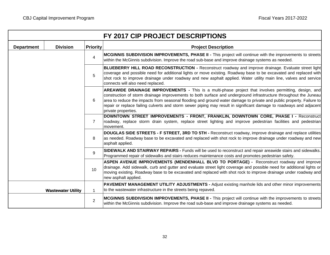|                   |                           |                 | FY 2017 CIP PROJECT DESCRIPTIONS                                                                                                                                                                                                                                                                                                                                                                                                                                                               |
|-------------------|---------------------------|-----------------|------------------------------------------------------------------------------------------------------------------------------------------------------------------------------------------------------------------------------------------------------------------------------------------------------------------------------------------------------------------------------------------------------------------------------------------------------------------------------------------------|
| <b>Department</b> | <b>Division</b>           | <b>Priority</b> | <b>Project Description</b>                                                                                                                                                                                                                                                                                                                                                                                                                                                                     |
|                   |                           | $\overline{4}$  | MCGINNIS SUBDIVISION IMPROVEMENTS, PHASE II - This project will continue with the improvements to streets<br>within the McGinnis subdivision. Improve the road sub-base and improve drainage systems as needed.                                                                                                                                                                                                                                                                                |
|                   |                           | 5               | BLUEBERRY HILL ROAD RECONSTRUCTION - Reconstruct roadway and improve drainage. Evaluate street light<br>coverage and possible need for additional lights or move existing. Roadway base to be excavated and replaced with<br>shot rock to improve drainage under roadway and new asphalt applied. Water utility main line, valves and service<br>connects will also need replaced.                                                                                                             |
|                   |                           | 6               | AREAWIDE DRAINAGE IMPROVEMENTS - This is a multi-phase project that involves permitting, design, and<br>construction of storm drainage improvements to both surface and underground infrastructure throughout the Juneau<br>area to reduce the impacts from seasonal flooding and ground water damage to private and public property. Failure to<br>repair or replace failing culverts and storm sewer piping may result in significant damage to roadways and adjacent<br>private properties. |
|                   |                           | $\overline{7}$  | DOWNTOWN STREET IMPROVEMENTS - FRONT, FRANKLIN, DOWNTOWN CORE, PHASE I - Reconstruct<br>roadway, replace storm drain system, replace street lighting and improve pedestrian facilities and pedestrian<br>movement.                                                                                                                                                                                                                                                                             |
|                   |                           | 8               | DOUGLAS SIDE STREETS - F STREET, 3RD TO 5TH - Reconstruct roadway, improve drainage and replace utilities<br>as needed. Roadway base to be excavated and replaced with shot rock to improve drainage under roadway and new<br>asphalt applied.                                                                                                                                                                                                                                                 |
|                   |                           | 9               | SIDEWALK AND STAIRWAY REPAIRS - Funds will be used to reconstruct and repair areawide stairs and sidewalks.<br>Programmed repair of sidewalks and stairs reduces maintenance costs and promotes pedestrian safety.                                                                                                                                                                                                                                                                             |
|                   |                           | 10              | ASPEN AVENUE IMPROVEMENTS (MENDENHALL BLVD TO PORTAGE) - Reconstruct roadway and improve<br>drainage. Add sidewalk, curb and gutter and evaluate street light coverage and possible need for additional lights or<br>moving existing. Roadway base to be excavated and replaced with shot rock to improve drainage under roadway and<br>new asphalt applied.                                                                                                                                   |
|                   | <b>Wastewater Utility</b> | $\mathbf{1}$    | <b>PAVEMENT MANAGEMENT UTILITY ADJUSTMENTS - Adjust existing manhole lids and other minor improvements</b><br>to the wastewater infrastructure in the streets being repaved.                                                                                                                                                                                                                                                                                                                   |
|                   |                           | $\overline{2}$  | MCGINNIS SUBDIVISION IMPROVEMENTS, PHASE II - This project will continue with the improvements to streets<br>within the McGinnis subdivision. Improve the road sub-base and improve drainage systems as needed.                                                                                                                                                                                                                                                                                |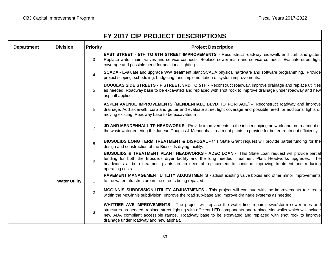|                   | FY 2017 CIP PROJECT DESCRIPTIONS |                 |                                                                                                                                                                                                                                                                                                                                                                                       |  |  |  |  |  |  |  |  |
|-------------------|----------------------------------|-----------------|---------------------------------------------------------------------------------------------------------------------------------------------------------------------------------------------------------------------------------------------------------------------------------------------------------------------------------------------------------------------------------------|--|--|--|--|--|--|--|--|
| <b>Department</b> | <b>Division</b>                  | <b>Priority</b> | <b>Project Description</b>                                                                                                                                                                                                                                                                                                                                                            |  |  |  |  |  |  |  |  |
|                   |                                  | 3               | <b>EAST STREET - 5TH TO 6TH STREET IMPROVEMENTS - Reconstruct roadway, sidewalk and curb and gutter.</b><br>Replace water main, valves and service connects. Replace sewer main and service connects. Evaluate street light<br>coverage and possible need for additional lighting.                                                                                                    |  |  |  |  |  |  |  |  |
|                   |                                  | 4               | SCADA - Evaluate and upgrade WW treatment plant SCADA physical hardware and software programming. Provide<br>project scoping, scheduling, budgeting, and implementation of system improvements.                                                                                                                                                                                       |  |  |  |  |  |  |  |  |
|                   |                                  | 5               | <b>DOUGLAS SIDE STREETS - F STREET, 3RD TO 5TH - Reconstruct roadway, improve drainage and replace utilities</b><br>as needed. Roadway base to be excavated and replaced with shot rock to improve drainage under roadway and new<br>asphalt applied.                                                                                                                                 |  |  |  |  |  |  |  |  |
|                   |                                  | 6               | ASPEN AVENUE IMPROVEMENTS (MENDENHALL BLVD TO PORTAGE) - Reconstruct roadway and improve<br>drainage. Add sidewalk, curb and gutter and evaluate street light coverage and possible need for additional lights or<br>moving existing. Roadway base to be excavated a                                                                                                                  |  |  |  |  |  |  |  |  |
|                   |                                  |                 | JD AND MENDENHALL TP HEADWORKS - Provide improvements to the influent piping network and pretreatment of<br>the wastewater entering the Juneau Douglas & Mendenhall treatment plants to provide for better treatment efficiency.                                                                                                                                                      |  |  |  |  |  |  |  |  |
|                   |                                  | 8               | BIOSOLIDS LONG TERM TREATMENT & DISPOSAL - this State Grant request will provide partial funding for the<br>design and construction of the Biosolids drying facility.                                                                                                                                                                                                                 |  |  |  |  |  |  |  |  |
|                   |                                  | 9               | BIOSOLIDS & TREATMENT PLANT HEADWORKS - ADEC LOAN - This State Loan request will provide partial<br>funding for both the Biosolids dryer facility and the long needed Treatment Plant Headworks upgrades. The<br>headworks at both treatment plants are in need of replacement to continue improving treatment and reducing<br>operating costs.                                       |  |  |  |  |  |  |  |  |
|                   | <b>Water Utility</b>             | $\mathbf{1}$    | PAVEMENT MANAGEMENT UTILITY ADJUSTMENTS - adjust existing valve boxes and other minor improvements<br>to the water infrastructure in the streets being repaved.                                                                                                                                                                                                                       |  |  |  |  |  |  |  |  |
|                   |                                  | $\overline{2}$  | MCGINNIS SUBDIVISION UTILITY ADJUSTMENTS - This project will continue with the improvements to streets<br>within the McGinnis subdivision. Improve the road sub-base and improve drainage systems as needed.                                                                                                                                                                          |  |  |  |  |  |  |  |  |
|                   |                                  | 3               | WHITTIER AVE IMPROVEMENTS - The project will replace the water line, repair sewer/storm sewer lines and<br>structures as needed, replace street lighting with efficient LED components and replace sidewalks which will include<br>new ADA compliant accessible ramps. Roadway base to be excavated and replaced with shot rock to improve<br>drainage under roadway and new asphalt. |  |  |  |  |  |  |  |  |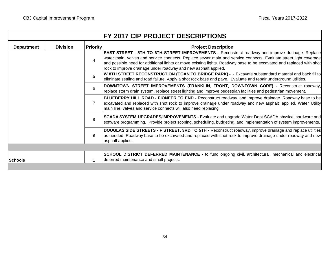|                   | FY 2017 CIP PROJECT DESCRIPTIONS |                 |                                                                                                                                                                                                                                                                                                                                                                                                                        |  |  |  |  |  |  |  |  |
|-------------------|----------------------------------|-----------------|------------------------------------------------------------------------------------------------------------------------------------------------------------------------------------------------------------------------------------------------------------------------------------------------------------------------------------------------------------------------------------------------------------------------|--|--|--|--|--|--|--|--|
| <b>Department</b> | <b>Division</b>                  | <b>Priority</b> | <b>Project Description</b>                                                                                                                                                                                                                                                                                                                                                                                             |  |  |  |  |  |  |  |  |
|                   |                                  | 4               | <b>EAST STREET - 5TH TO 6TH STREET IMPROVEMENTS -</b> Reconstruct roadway and improve drainage. Replace<br>water main, valves and service connects. Replace sewer main and service connects. Evaluate street light coverage<br>and possible need for additional lights or move existing lights. Roadway base to be excavated and replaced with shot<br>rock to improve drainage under roadway and new asphalt applied. |  |  |  |  |  |  |  |  |
|                   |                                  | 5               | W 8TH STREET RECONSTRUCTION (EGAN TO BRIDGE PARK) - - Excavate substandard material and back fill to<br>eliminate settling and road failure. Apply a shot rock base and pave. Evaluate and repair underground utilities.                                                                                                                                                                                               |  |  |  |  |  |  |  |  |
|                   |                                  | 6               | DOWNTOWN STREET IMPROVEMENTS (FRANKLIN, FRONT, DOWNTOWN CORE) - Reconstruct roadway,<br>replace storm drain system, replace street lighting and improve pedestrian facilities and pedestrian movement.                                                                                                                                                                                                                 |  |  |  |  |  |  |  |  |
|                   |                                  | $\overline{7}$  | BLUEBERRY HILL ROAD - PIONEER TO END - Reconstruct roadway, and improve drainage. Roadway base to be<br>excavated and replaced with shot rock to improve drainage under roadway and new asphalt applied. Water Utility<br>main line, valves and service connects will also need replacing.                                                                                                                             |  |  |  |  |  |  |  |  |
|                   |                                  | 8               | <b>SCADA SYSTEM UPGRADES/IMPROVEMENTS -</b> Evaluate and upgrade Water Dept SCADA physical hardware and<br>software programming. Provide project scoping, scheduling, budgeting, and implementation of system improvements.                                                                                                                                                                                            |  |  |  |  |  |  |  |  |
|                   |                                  | 9               | <b>DOUGLAS SIDE STREETS - F STREET, 3RD TO 5TH -</b> Reconstruct roadway, improve drainage and replace utilities<br>as needed. Roadway base to be excavated and replaced with shot rock to improve drainage under roadway and new<br>asphalt applied.                                                                                                                                                                  |  |  |  |  |  |  |  |  |
|                   |                                  |                 |                                                                                                                                                                                                                                                                                                                                                                                                                        |  |  |  |  |  |  |  |  |
| <b>Schools</b>    |                                  |                 | <b>SCHOOL DISTRICT DEFERRED MAINTENANCE -</b> to fund ongoing civil, architectural, mechanical and electrical<br>deferred maintenance and small projects.                                                                                                                                                                                                                                                              |  |  |  |  |  |  |  |  |
|                   |                                  |                 |                                                                                                                                                                                                                                                                                                                                                                                                                        |  |  |  |  |  |  |  |  |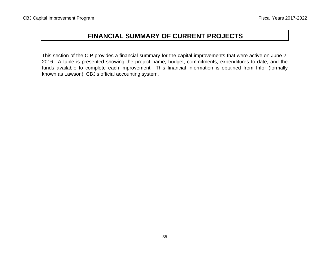# **FINANCIAL SUMMARY OF CURRENT PROJECTS**

This section of the CIP provides <sup>a</sup> financial summary for the capital improvements that were active on June 2, 2016. A table is presented showing the project name, budget, commitments, expenditures to date, and the funds available to complete each improvement. This financial information is obtained from Infor (formally known as Lawson), CBJ's official accounting system.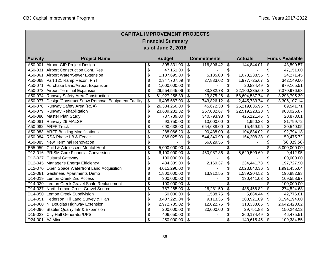### **CAPITAL IMPROVEMENT PROJECTS Financial Summary as of June 2, 2016**

| <b>Activity</b> | <b>Project Name</b>                              | <b>Budget</b>       |               | <b>Commitments</b> | <b>Actuals</b>      | <b>Funds Available</b> |
|-----------------|--------------------------------------------------|---------------------|---------------|--------------------|---------------------|------------------------|
| A50-001         | <b>Airport CIP Project Design</b>                | \$<br>305,331.00    | \$            | 116,896.42         | \$<br>144,844.01    | \$<br>43,590.57        |
| A50-031         | Airport Construction Cont. Res                   | \$<br>47,151.00     | \$            |                    | \$                  | \$<br>47,151.00        |
| A50-061         | Airport Water/Sewer Extension                    | \$<br>1,107,695.00  | \$            | 5,185.00           | \$<br>1,078,238.55  | \$<br>24,271.45        |
| A50-068         | Part 121 Ramp Recon. Ph I                        | \$<br>2,347,707.69  | \$            | 27,833.02          | \$<br>1,977,725.67  | \$<br>342,149.00       |
| A50-071         | Purchase Land/Airport Expansion                  | \$<br>1,000,000.00  | \$            |                    | \$<br>20,834.49     | \$<br>979,165.51       |
| A50-073         | <b>Airport Terminal Expansion</b>                | \$<br>29,554,545.06 | \$            | 83,332.78          | \$<br>22,100,235.60 | \$<br>7,370,976.68     |
| A50-074         | Runway Safety Area Construction                  | \$<br>61,927,258.39 | \$            | 23,875.26          | \$<br>58,604,587.74 | \$<br>3,298,795.39     |
| A50-077         | Design/Construct Snow Removal Equipment Facility | \$<br>6,495,667.00  | \$            | 743,826.12         | \$<br>2,445,733.74  | \$<br>3,306,107.14     |
|                 | A50-078 Runway Safety Area (RSA)                 | \$<br>26,334,250.00 | \$            | 45,672.33          | \$<br>26,219,035.96 | \$<br>69,541.71        |
| A50-079         | <b>Runway Rehabilitation</b>                     | \$<br>23,689,281.82 | \$            | 267,032.67         | \$<br>22,519,223.28 | \$<br>903,025.87       |
| A50-080         | <b>Master Plan Study</b>                         | \$<br>787,789.00    | \$            | 340,793.93         | \$<br>426,121.46    | \$<br>20,873.61        |
| A50-081         | Runway 26 MALSR                                  | \$<br>93,750.00     | \$            | 10,000.00          | \$<br>1,950.28      | \$<br>81,799.72        |
| A50-082         | <b>ARFF Truck</b>                                | \$<br>690,638.00    | \$            | 654,638.00         | \$<br>15,459.95     | \$<br>20,540.05        |
| A50-083         | <b>ARFF Building Modifications</b>               | \$<br>288,066.20    | \$            | 90,438.00          | \$<br>104,834.02    | \$<br>92,794.18        |
| A50-084         | <b>RSA Phase IIB &amp; Fence</b>                 | \$<br>868,025.00    | \$            | 544,340.90         | \$<br>164,208.38    | \$<br>159,475.72       |
| A50-085         | New Terminal Renovation                          | \$                  | \$            | 56,029.56          | \$                  | \$<br>(56,029.56)      |
| B55-059         | Child & Adolescent Mental Heal                   | \$<br>5,000,000.00  | \$            |                    | \$                  | \$<br>5,000,000.00     |
| D12-016         | <b>PRISM Core Financial Conversion</b>           | \$<br>6,100,000.00  | \$            | 460,987.36         | \$<br>5,629,599.69  | \$<br>9,412.95         |
| D12-027         | <b>Cultural Gateway</b>                          | \$<br>100,000.00    | \$            |                    | \$                  | \$<br>100,000.00       |
| D12-045         | Manager's Energy Efficiency                      | \$<br>434,339.00    | \$            | 2,169.37           | \$<br>234,441.73    | \$<br>197,727.90       |
| D12-070         | Open Space Waterfront Land Acquisition           | \$<br>4,015,296.00  | \$            |                    | \$<br>2,023,840.36  | \$<br>1,991,455.64     |
| D12-081         | Gastineau Apartments Demo                        | \$<br>1,800,000.00  | \$            | 13,912.55          | \$<br>1,589,204.52  | \$<br>196,882.93       |
| D14-019         | <b>Lemon Creek 2nd Access</b>                    | \$<br>300,000.00    | \$            |                    | \$<br>130,441.03    | \$<br>169,558.97       |
| D14-020         | Lemon Creek Gravel Scale Replacement             | \$<br>100,000.00    | \$            |                    | \$                  | \$<br>100,000.00       |
| D14-037         | North Lemon Creek Gravel Source                  | \$<br>787,265.00    | $\frac{1}{2}$ | 26,281.50          | \$<br>486,458.82    | \$<br>274,524.68       |
| D14-050         | Lemon Creek Subdivision                          | \$<br>50,000.00     | \$            | 1,538.75           | \$<br>5,684.44      | \$<br>42,776.81        |
| D14-051         | Pederson Hill Land Survey & Plan                 | \$<br>3,407,229.04  | \$            | 9,113.35           | \$<br>203,921.09    | \$<br>3,194,194.60     |
| D14-060         | N. Douglas Highway Extension                     | \$<br>2,972,785.02  | \$            | 12,022.75          | \$<br>318,338.65    | \$<br>2,642,423.62     |
| D14-096         | <b>Stabler Quarry Infr &amp; Expansion</b>       | \$<br>200,000.00    | \$            | 20,000.00          | \$<br>29,751.88     | \$<br>150,248.12       |
| D15-023         | <b>City Hall Generator/UPS</b>                   | \$<br>406,650.00    | \$            |                    | \$<br>360,174.49    | \$<br>46,475.51        |
|                 | D24-001 AJ Mine                                  | \$<br>250,000.00    | \$            |                    | \$<br>140,615.45    | \$<br>109,384.55       |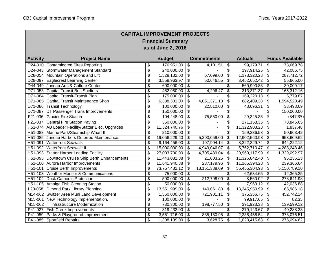|                          | <b>CAPITAL IMPROVEMENT PROJECTS</b>               |                                        |               |                           |                    |                           |                |                          |                        |  |  |
|--------------------------|---------------------------------------------------|----------------------------------------|---------------|---------------------------|--------------------|---------------------------|----------------|--------------------------|------------------------|--|--|
| <b>Financial Summary</b> |                                                   |                                        |               |                           |                    |                           |                |                          |                        |  |  |
| as of June 2, 2016       |                                                   |                                        |               |                           |                    |                           |                |                          |                        |  |  |
|                          |                                                   |                                        |               |                           |                    |                           |                |                          |                        |  |  |
| <b>Activity</b>          | <b>Project Name</b>                               |                                        | <b>Budget</b> |                           | <b>Commitments</b> |                           | <b>Actuals</b> |                          | <b>Funds Available</b> |  |  |
|                          | D24-010 Contaminated Sites Reporting              | \$                                     | 176,951.00    | \$                        | 4,101.51           | $\overline{\mathbf{S}}$   | 99,179.71      | \$                       | 73,669.78              |  |  |
|                          | D24-043 Stormwater Management Standard            | $\overline{\mathbf{e}}$                | 240,000.00    | \$                        |                    | \$                        | 197,914.25     | $\overline{\mathcal{E}}$ | 42,085.75              |  |  |
| D28-054                  | Mountain Operations and Lift                      | $\overline{\mathbf{e}}$                | 1,528,132.00  | $\overline{\mathcal{E}}$  | 67,099.00          | $\overline{\mathbf{G}}$   | 1,173,320.28   | \$                       | 287,712.72             |  |  |
| D28-097                  | Eaglecrest Learning Center                        | \$                                     | 3,558,963.97  | \$                        | 50,646.55          | \$                        | 3,452,652.42   | \$                       | 55,665.00              |  |  |
| D44-049                  | Juneau Arts & Culture Center                      | \$                                     | 600,000.00    | \$                        |                    | \$                        | 569,990.83     | \$                       | 30,009.17              |  |  |
|                          | D71-053 Capital Transit Bus Shelters              | $\overline{\mathbf{e}}$                | 482,980.00    | $\overline{\mathbf{e}}$   | 4,296.47           | \$                        | 313,371.37     | \$                       | 165,312.16             |  |  |
| D71-084                  | Capital Transit-Transit Plan                      | $\overline{\mathbf{e}}$                | 175,000.00    | $\overline{\mathbf{e}}$   |                    | \$                        | 169,220.13     | \$                       | 5,779.87               |  |  |
| D71-085                  | Capital Transit Maintenance Shop                  | $\overline{\mathbf{e}}$                | 6,338,301.00  | $\overline{\mathbf{e}}$   | 4,061,371.13       | \$                        | 682,409.38     | \$                       | 1,594,520.49           |  |  |
| D71-086                  | <b>Transit Technology</b>                         | \$                                     | 100,000.00    | $\overline{\mathbf{3}}$   | 22,810.00          | \$                        | 43,696.31      | \$                       | 33,493.69              |  |  |
| D71-087                  | DT Passenger Trans Improvements                   | \$                                     | 150,000.00    | \$                        |                    | \$                        |                | \$                       | 150,000.00             |  |  |
| F21-036                  | <b>Glacier Fire Station</b>                       | \$                                     | 104,448.00    | \$                        | 75,550.00          | \$                        | 29,245.35      | \$                       | (347.35)               |  |  |
| F21-037                  | Central Fire Station Paving                       | \$                                     | 350,000.00    | \$                        |                    | \$                        | 271,153.35     | \$                       | 78,846.65              |  |  |
|                          | H51-074 AB Loader Facility/Statter Elec. Upgrades | \$                                     | 11,324,740.76 | \$                        | $\frac{1}{2}$      | \$                        | 11,322,903.28  | \$                       | 1,837.48               |  |  |
|                          | H51-083 Marine Park/Steamship Wharf II            | \$                                     | 210,000.00    | \$                        |                    | \$                        | 159,336.58     | \$                       | 50,663.42              |  |  |
| H51-085                  | Juneau Harbors Deferred Maintenance.              | \$                                     | 19,056,229.60 | \$                        | 5,200,059.00       | \$                        | 12,902,560.98  | \$                       | 953,609.62             |  |  |
| H51-091                  | <b>Waterfront Seawalk</b>                         | \$                                     | 9,164,456.00  | \$                        | 197,904.14         | \$                        | 8,322,329.74   | \$                       | 644,222.12             |  |  |
|                          | H51-092 Waterfront Seawalk II                     | $\overline{\mathbf{S}}$                | 15,000,000.00 | \$                        | 4,949,046.07       | \$                        | 5,762,710.47   | \$                       | 4,288,243.46           |  |  |
|                          | H51-093 Statter Harbor Loading Facility           | \$                                     | 27,003,700.00 | \$                        | 4,705,489.04       | \$                        | 20,969,117.99  | \$                       | 1,329,092.97           |  |  |
| H51-095                  | Downtown Cruise Ship Berth Enhancements           | \$                                     | 11,443,081.88 | \$                        | 21,003.25          | $\boldsymbol{\mathsf{S}}$ | 11,326,842.40  | \$                       | 95,236.23              |  |  |
|                          | H51-100 Aurora Harbor Improvements                | \$                                     | 11,641,940.88 | \$                        | 237,179.96         | \$                        | 11,165,394.28  | \$                       | 239,366.64             |  |  |
| H51-101                  | Cruise Berth Improvements                         | \$                                     | 73,757,482.12 | \$                        | 13,151,388.09      | \$                        | 55,455,304.93  | \$                       | 5,150,789.10           |  |  |
|                          | H51-103 Weather Monitor & Communications          | $\overline{\mathbf{e}}$                | 75,000.00     | $\overline{\mathbf{e}}$   |                    | \$                        | 62,634.65      | \$                       | 12,365.35              |  |  |
|                          | H51-104 Dock Cathodic Protection                  | $\overline{\mathbf{S}}$                | 500,000.00    | \$                        | 212,798.00         | \$                        | 8,560.02       | \$                       | 278,641.98             |  |  |
|                          | H51-105 Amalga Fish Cleaning Station              | $\overline{\boldsymbol{\mathfrak{s}}}$ | 50,000.00     | \$                        |                    | \$                        | 7,963.12       | \$                       | 42,036.88              |  |  |
| L23-058                  | Dimond Park Library Planning                      | \$                                     | 13,551,999.00 | \$                        | 140,061.83         | \$                        | 13,345,950.99  | \$                       | 65,986.18              |  |  |
|                          | M14-062 Switzer Area Muni Land Development        | \$                                     | 1,550,000.00  | \$                        | 721,901.11         | \$                        | 375,356.75     | \$                       | 452,742.14             |  |  |
|                          | M15-001 New Technology Implementation.            | \$                                     | 100,000.00    | $\overline{\mathbf{s}}$   |                    | \$                        | 99,917.65      | \$                       | 82.35                  |  |  |
|                          | M15-002   IT Infrastructure Modernization         | \$                                     | 730,300.00    | $\overline{\mathbf{3}}$   | 198,777.50         | \$                        | 391,923.38     | \$                       | 139,599.12             |  |  |
|                          | P41-027 Fish Creek Improvements                   | \$                                     | 319,432.00    | $\boldsymbol{\mathsf{S}}$ |                    | \$                        | 279,143.67     | \$                       | 40,288.33              |  |  |
|                          | P41-059 Parks & Playground Improvement            | \$                                     | 3,551,716.00  | \$                        | 835,180.95         | \$                        | 2,338,458.54   | \$                       | 378,076.51             |  |  |
|                          | P41-085 Sportfield Repairs                        | \$                                     | 1,308,139.00  | \$                        | 3,628.75           | \$                        | 1,028,415.63   | \$                       | 276,094.62             |  |  |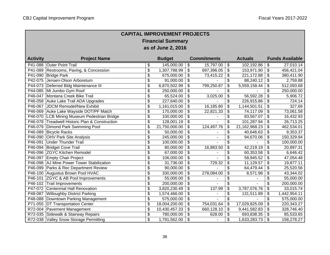### **CAPITAL IMPROVEMENT PROJECTS Financial Summary as of June 2, 2016**

| <b>Activity</b>      | <b>Project Name</b>                               | <b>Budget</b>       |               | <b>Commitments</b> | <b>Actuals</b>      | <b>Funds Available</b> |
|----------------------|---------------------------------------------------|---------------------|---------------|--------------------|---------------------|------------------------|
| P41-088              | <b>Outer Point Trail</b>                          | \$<br>145,000.00    | \$            | 15,797.00          | \$<br>102,192.86    | \$<br>27,010.14        |
| P41-089              | Restrooms, Paving, & Concession                   | \$<br>1,307,788.99  | \$            | 697,396.05         | \$<br>153,971.90    | \$<br>456,421.04       |
| P41-090              | <b>Bridge Park</b>                                | \$<br>675,000.00    | \$            | 73,415.22          | \$<br>221,172.88    | \$<br>380,411.90       |
| P42-075              | Jensen-Olson Arboretum                            | \$<br>91,000.00     | \$            |                    | \$<br>88,240.12     | \$<br>2,759.88         |
| P44-073              | Deferred Bldg Maintenance III                     | \$<br>6,870,502.99  | \$            | 799,250.87         | \$<br>5,559,158.44  | \$<br>512,093.68       |
| P44-085              | Mt Jumbo Gym Roof                                 | \$<br>250,000.00    | \$            |                    | \$                  | \$<br>250,000.00       |
| P46-047              | Montana Creek Bike Trail                          | \$<br>65,524.00     | \$            | 3,025.00           | \$<br>56,592.28     | \$<br>5,906.72         |
| P46-058              | Auke Lake Trail ADA Upgrades                      | \$<br>227,640.00    | \$            |                    | \$<br>226,915.86    | \$<br>724.14           |
| P46-067              | <b>JDCM Remodel/New Exhibit</b>                   | \$<br>1,161,015.00  | \$            | 16,185.80          | \$<br>1,144,501.51  | \$<br>327.69           |
| P46-069              | Auke Lake Wayside DOT/PF Match                    | \$<br>170,000.00    | \$            | 22,821.33          | \$<br>74,117.09     | \$<br>73,061.58        |
| P46-070              | <b>LCB Mining Museum Pedestrian Bridge</b>        | \$<br>100,000.00    | \$            |                    | \$<br>83,567.07     | \$<br>16,432.93        |
| P46-078              | <b>Treadwell Historic Plan &amp; Construction</b> | \$<br>128,001.19    | $\frac{1}{2}$ |                    | \$<br>101,287.94    | \$<br>26,713.25        |
| P46-079              | Dimond Park Swimming Pool                         | \$<br>21,750,000.00 | \$            | 124,497.76         | \$<br>21,162,968.23 | \$<br>462,534.01       |
| P46-089              | <b>Bicycle Racks</b>                              | \$<br>50,000.00     | \$            |                    | \$<br>40,646.63     | \$<br>9,353.37         |
| P46-090              | <b>OHV Park Site Analysis</b>                     | \$<br>245,000.00    | \$            |                    | \$<br>94,670.06     | \$<br>150,329.94       |
| P46-091              | <b>Under Thunder Trail</b>                        | \$<br>100,000.00    | \$            |                    | \$                  | \$<br>100,000.00       |
| P46-094              | <b>Bridget Cove Trail</b>                         | \$<br>80,000.00     | \$            | 16,883.50          | \$<br>42,219.19     | \$<br>20,897.31        |
| P46-096              | <b>ZGYC Kitchen Remodel</b>                       | \$<br>67,000.00     | \$            |                    | \$<br>60,353.58     | \$<br>6,646.42         |
| P46-097              | <b>Empty Chair Project</b>                        | \$<br>106,000.00    | \$            |                    | \$<br>58,945.52     | \$<br>47,054.48        |
| P46-098              | AJ Mine Power Tower Stabilization                 | \$<br>31,736.00     | \$            | 729.32             | \$<br>11,129.57     | \$<br>19,877.11        |
| P46-099              | Parks & Rec Department Review                     | \$<br>90,000.00     | \$            |                    | \$<br>64,479.44     | \$<br>25,520.56        |
| P <sub>46</sub> -100 | Augustus Brown Pool HVAC                          | \$<br>330,000.00    | \$            | 278,084.00         | \$<br>8,571.98      | \$<br>43,344.02        |
| P46-101              | ZGYC & AB Pool Improvements                       | \$<br>55,000.00     | \$            |                    | \$                  | \$<br>55,000.00        |
| P46-102              | <b>Trail Improvements</b>                         | \$<br>200,000.00    | \$            |                    | \$                  | \$<br>200,000.00       |
| P47-072              | Centennial Hall Renovation                        | \$<br>3,820,230.49  | \$            | 137.99             | \$<br>3,787,076.76  | \$<br>33,015.74        |
| P48-087              | <b>Willoughby District Parking</b>                | \$<br>1,574,466.00  | \$            |                    | \$<br>131,511.89    | \$<br>1,442,954.11     |
| P48-088              | Downtown Parking Management                       | \$<br>575,000.00    | \$            |                    | \$                  | \$<br>575,000.00       |
| P71-055              | <b>DT Transportation Center</b>                   | \$<br>18,004,200.00 | \$            | 754,031.64         | \$<br>17,029,825.09 | \$<br>220,343.27       |
| R72-004              | Pavement Management                               | \$<br>10,430,457.33 | \$            | 660,128.10         | \$<br>9,441,582.83  | \$<br>328,746.40       |
| R72-035              | Sidewalk & Stairway Repairs                       | \$<br>780,000.00    | \$            | 628.00             | \$<br>693,838.35    | \$<br>85,533.65        |
|                      | R72-038 Valley Snow Storage Permitting            | \$<br>1,791,562.00  | $\frac{1}{2}$ |                    | \$<br>1,633,283.73  | \$<br>158,278.27       |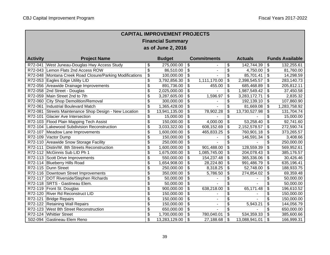| <b>CAPITAL IMPROVEMENT PROJECTS</b> |                                                          |                           |               |                           |                    |                           |                |                            |                        |  |  |
|-------------------------------------|----------------------------------------------------------|---------------------------|---------------|---------------------------|--------------------|---------------------------|----------------|----------------------------|------------------------|--|--|
| <b>Financial Summary</b>            |                                                          |                           |               |                           |                    |                           |                |                            |                        |  |  |
| as of June 2, 2016                  |                                                          |                           |               |                           |                    |                           |                |                            |                        |  |  |
|                                     |                                                          |                           |               |                           |                    |                           |                |                            |                        |  |  |
| <b>Activity</b>                     | <b>Project Name</b>                                      |                           | <b>Budget</b> |                           | <b>Commitments</b> |                           | <b>Actuals</b> |                            | <b>Funds Available</b> |  |  |
| R72-041                             | West Juneau-Douglas Hwy Access Study                     | \$                        | 275,000.00    | $\overline{\mathbf{S}}$   |                    | \$                        | 142,744.39     | \$                         | 132,255.61             |  |  |
|                                     | R72-043 Lemon Flats 2nd Access ROW                       | $\overline{\mathfrak{s}}$ | 86,510.00     | $\boldsymbol{\mathsf{S}}$ | $\overline{a}$     | \$                        | 4,750.00       | $\boldsymbol{\mathsf{S}}$  | 81,760.00              |  |  |
|                                     | R72-048 Montana Creek Road Closure/Parking Modifications | \$                        | 100,000.00    | $\boldsymbol{\mathsf{S}}$ |                    | \$                        | 85,701.41      | $\boldsymbol{\mathsf{\$}}$ | 14,298.59              |  |  |
|                                     | R72-053 Eagles Edge Utility LID                          | $\overline{\mathcal{S}}$  | 3,792,856.30  | \$                        | 1,111,170.00       | \$                        | 2,398,545.57   | \$                         | 283,140.73             |  |  |
|                                     | R72-056 Areawide Drainage Improvements                   | $\overline{\mathfrak{s}}$ | 891,736.00    | \$                        | 455.00             | \$                        | 685,468.89     | \$                         | 205,812.11             |  |  |
|                                     | R72-058 2nd Street - Douglas                             | $\overline{\mathcal{S}}$  | 2,025,000.00  | \$                        |                    | \$                        | 1,987,549.42   | \$                         | 37,450.58              |  |  |
|                                     | R72-059 Main Street 2nd to 7th                           | \$                        | 3,287,605.00  | \$                        | 1,596.97           | \$                        | 3,283,172.71   | \$                         | 2,835.32               |  |  |
|                                     | R72-060 City Shop Demolition/Removal                     | \$                        | 300,000.00    | \$                        |                    | \$                        | 192,139.10     | \$                         | 107,860.90             |  |  |
| R72-061                             | <b>Industrial Boulevard Match</b>                        | \$                        | 1,365,428.00  | \$                        |                    | \$                        | 81,669.08      | \$                         | 1,283,758.92           |  |  |
| R72-081                             | Streets Maintenance Shop Design - New Location           | \$                        | 13,941,135.00 | $\overline{\mathcal{E}}$  | 78,902.28          | \$                        | 13,730,527.98  | \$                         | 131,704.74             |  |  |
| R72-101                             | <b>Glacier Ave Intersection</b>                          | $\overline{\mathbf{e}}$   | 15,000.00     | $\overline{\mathcal{E}}$  |                    | $\overline{\mathbf{e}}$   |                | \$                         | 15,000.00              |  |  |
|                                     | R72-103 Flood Plain Mapping Tech Assist                  | \$                        | 150,000.00    | \$                        | 4,000.00           | \$                        | 53,258.40      | \$                         | 92,741.60              |  |  |
|                                     | R72-104 Lakewood Subdivision Reconstruction              | \$                        | 3,033,322.00  | \$                        | 608,152.69         | \$                        | 2,152,578.57   | \$                         | 272,590.74             |  |  |
|                                     | R72-107 Meadow Lane Improvements                         | \$                        | 1,600,000.00  | \$                        | 465,833.25         | \$                        | 760,901.18     | \$                         | 373,265.57             |  |  |
|                                     | R72-109 Vactor Dump                                      | \$                        | 150,000.00    | \$                        |                    | \$                        | 146,591.34     | \$                         | 3,408.66               |  |  |
|                                     | R72-110 Areawide Snow Storage Facility                   | \$                        | 250,000.00    | \$                        |                    | \$                        |                | \$                         | 250,000.00             |  |  |
| R72-111                             | Distin/W. 8th Streets Reconstruction                     | \$                        | 1,600,000.00  | \$                        | 901,488.00         | \$                        | 128,559.39     | \$                         | 569,952.61             |  |  |
|                                     | R72-112 McGinnis Sub LID Ph 1                            | \$                        | 1,675,000.00  | \$                        | 1,085,745.00       | \$                        | 204,078.43     | \$                         | 385,176.57             |  |  |
|                                     | R72-113 Scott Drive Improvements                         | \$                        | 550,000.00    | \$                        | 154,237.48         | \$                        | 365,336.06     | \$                         | 30,426.46              |  |  |
|                                     | R72-114 Blueberry Hills Road                             | \$                        | 1,654,908.00  | \$                        | 28,224.80          | $\overline{\mathbf{e}}$   | 991,486.79     | \$                         | 635,196.41             |  |  |
|                                     | R72-115 Dunn Street                                      | \$                        | 250,000.00    | \$                        | 8,318.25           | \$                        | 52,748.00      | \$                         | 188,933.75             |  |  |
|                                     | R72-116 Downtown Street Improvements                     | \$                        | 350,000.00    | \$                        | 5,786.50           | $\overline{\mathbf{e}}$   | 274,854.02     | \$                         | 69,359.48              |  |  |
|                                     | R72-117 DOT Riverside/Stephen Richards                   | \$                        | 50,000.00     | \$                        |                    | $\overline{\mathbf{3}}$   |                | \$                         | 50,000.00              |  |  |
|                                     | R72-118 SRTS - Gastineau Elem.                           | \$                        | 50,000.00     | $\overline{\mathcal{E}}$  | $\overline{a}$     | $\overline{\mathfrak{s}}$ |                | $\overline{\mathcal{S}}$   | 50,000.00              |  |  |
|                                     | R72-119 Front St. Douglas                                | \$                        | 900,000.00    | \$                        | 638,218.00         | $\overline{\mathbf{e}}$   | 65,171.48      | \$                         | 196,610.52             |  |  |
|                                     | R72-120 River Rd Reconstruct LID                         | \$                        | 150,000.00    | \$                        |                    | $\overline{\mathbf{3}}$   |                | \$                         | 150,000.00             |  |  |
|                                     | R72-121 Bridge Repairs                                   | \$                        | 150,000.00    | \$                        | L.                 | \$                        |                | \$                         | 150,000.00             |  |  |
|                                     | R72-122 Retaining Wall Repairs                           | \$                        | 150,000.00    | $\overline{\mathbf{e}}$   |                    | $\overline{\mathbf{e}}$   | 5,943.21       | $\overline{\mathbf{3}}$    | 144,056.79             |  |  |
|                                     | R72-123 West 8th Street Reconstruction                   | \$                        | 650,000.00    | \$                        |                    | $\overline{\mathbf{e}}$   |                | $\overline{\mathbf{3}}$    | 650,000.00             |  |  |
| R72-124                             | <b>Whittier Street</b>                                   | \$                        | 1,700,000.00  | \$                        | 780,040.01         | $\overline{\mathbf{e}}$   | 534,359.33     | \$                         | 385,600.66             |  |  |
|                                     | S02-094 Gastineau Elem Reno                              | \$                        | 13,283,129.00 | \$                        | 27,188.68          | \$                        | 13,088,941.01  | \$                         | 166,999.31             |  |  |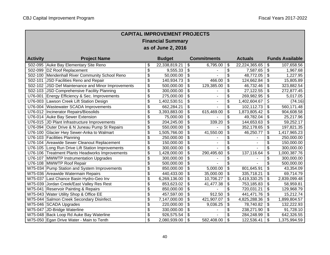|                          | <b>CAPITAL IMPROVEMENT PROJECTS</b>             |                                  |               |                          |                    |                          |                |                           |                        |  |
|--------------------------|-------------------------------------------------|----------------------------------|---------------|--------------------------|--------------------|--------------------------|----------------|---------------------------|------------------------|--|
| <b>Financial Summary</b> |                                                 |                                  |               |                          |                    |                          |                |                           |                        |  |
| as of June 2, 2016       |                                                 |                                  |               |                          |                    |                          |                |                           |                        |  |
|                          |                                                 |                                  |               |                          |                    |                          |                |                           |                        |  |
| <b>Activity</b>          | <b>Project Name</b>                             |                                  | <b>Budget</b> |                          | <b>Commitments</b> |                          | <b>Actuals</b> |                           | <b>Funds Available</b> |  |
| S02-095                  | Auke Bay Elementary Site Reno                   | \$                               | 22,338,819.21 | \$                       | 6,795.00           | \$                       | 22,224,365.65  | \$                        | 107,658.56             |  |
| S02-099                  | DZ Roof Replacement                             | \$                               | 9,555.33      | \$                       |                    | \$                       | 7,587.65       | \$                        | 1,967.68               |  |
| S02-100                  | Mendenhall River Community School Reno          | \$                               | 50,000.00     | \$                       |                    | \$                       | 48,772.05      | \$                        | 1,227.95               |  |
| S02-101                  | JSD Facilities Reno and Repair                  | \$                               | 140,934.73    | \$                       | 466.00             | \$                       | 124,662.84     | \$                        | 15,805.89              |  |
| S02-102                  | JSD Def Maintenance and Minor Improvements      | \$                               | 500,000.00    | \$                       | 129,385.00         | \$                       | 46,732.46      | $\overline{\mathcal{E}}$  | 323,882.54             |  |
| $\overline{S}02-103$     | <b>JSD Comprehensive Facility Planning</b>      | \$                               | 300,000.00    | \$                       |                    | \$                       | 27,122.55      | $\overline{\mathcal{E}}$  | 272,877.45             |  |
| U76-001                  | Energy Efficiency & Sec. Improvements           | \$                               | 275,000.00    | \$                       | $\blacksquare$     | $\overline{\mathbf{e}}$  | 269,982.95     | \$                        | 5,017.05               |  |
| U76-003                  | Lawson Creek Lift Station Design                | \$                               | 1,402,530.51  | \$                       |                    | \$                       | 1,402,604.67   | \$                        | (74.16)                |  |
| U76-004                  | <b>Wastewater SCADA Improvements</b>            | \$                               | 662,284.21    | \$                       |                    | \$                       | 102,112.73     | \$                        | 560,171.48             |  |
| U76-012                  | Incinerator Repairs/Biosolids                   | \$                               | 3,393,883.00  | \$                       | 615,469.00         | \$                       | 1,873,805.42   | \$                        | 904,608.58             |  |
| U76-014                  | Auke Bay Sewer Extension                        | \$                               | 75,000.00     | \$                       |                    | \$                       | 49,782.04      | \$                        | 25,217.96              |  |
| U76-015                  | JD Plant Infrastructure Improvements            | \$                               | 204,245.00    | \$                       | 339.20             | \$                       | 144,653.63     | \$                        | 59,252.17              |  |
| U76-094                  | Outer Drive & N Juneau Pump St Repairs          | \$                               | 550,000.00    | \$                       |                    | \$                       | 352,178.65     | \$                        | 197,821.35             |  |
| U76-100                  | Glacier Hwy Sewer-Anka to Walmart               | \$                               | 1,505,766.00  | \$                       | 41,550.00          | \$                       | 46,250.77      | \$                        | 1,417,965.23           |  |
| U76-103                  | <b>Facilities Planning</b>                      | \$                               | 250,000.00    | \$                       |                    | \$                       |                | \$                        | 250,000.00             |  |
| U76-104                  | Areawide Sewer Cleanout Replacement             | \$                               | 150,000.00    | \$                       |                    | \$                       | $\blacksquare$ | \$                        | 150,000.00             |  |
| U76-105                  | Long Run Drive Lift Station Improvements        | \$                               | 300,000.00    | \$                       |                    | \$                       |                | \$                        | 300,000.00             |  |
|                          | U76-106 Treatment Plants Headworks Improvements | \$                               | 1,428,000.00  | \$                       | 290,495.60         | $\frac{1}{2}$            | 137,116.64     | $\overline{\mathbf{3}}$   | 1,000,387.76           |  |
| U76-107                  | MWWTP Instrumentation Upgrades                  | \$                               | 300,000.00    | $\overline{\mathcal{E}}$ |                    | $\overline{\mathcal{E}}$ |                | \$                        | 300,000.00             |  |
|                          | U76-108 MWWTP Roof Repair                       | \$                               | 500,000.00    | $\overline{\mathcal{G}}$ |                    | $\overline{\mathbf{3}}$  |                | $\overline{\mathfrak{s}}$ | 500,000.00             |  |
|                          | W75-034 Pump Station and System Improvements    | \$                               | 850,000.00    | $\overline{\mathcal{G}}$ | 5,000.00           | $\overline{\mathbf{3}}$  | 801,645.91     | $\overline{\$}$           | 43,354.09              |  |
|                          | W75-036 Areawide Watermain Repairs              | \$                               | 440,433.00    | $\overline{\mathcal{G}}$ | 35,000.00          | $\frac{1}{2}$            | 335,718.21     | $\overline{\mathcal{E}}$  | 69,714.79              |  |
|                          | W75-037 Last Chance Basin Hydro-Geo Inv         | \$                               | 6,269,136.00  | $\overline{\mathbf{e}}$  | 10,706.27          | \$                       | 3,419,330.25   | $\overline{\mathcal{E}}$  | 2,839,099.48           |  |
|                          | W75-039 Jordan Creek/East Valley Res Rest       | \$                               | 853,623.02    | $\overline{\mathcal{G}}$ | 41,477.38          | \$                       | 753,185.83     | \$                        | 58,959.81              |  |
| W75-041                  | <b>Reservoir Painting &amp; Repairs</b>         | \$                               | 850,000.00    | $\overline{\mathbf{S}}$  |                    | \$                       | 720,031.21     | \$                        | 129,968.79             |  |
|                          | W75-043 Water Utility Shop & Office EE          | \$                               | 457,597.00    | $\overline{\$}$          | 912.50             | $\overline{\mathbf{3}}$  | 441,471.76     | $\overline{\mathcal{S}}$  | 15,212.74              |  |
|                          | W75-044 Salmon Creek Secondary Disinfect.       | \$                               | 7,147,000.00  | $\overline{\mathbf{e}}$  | 421,907.07         | \$                       | 4,825,288.36   | $\overline{\mathbf{e}}$   | 1,899,804.57           |  |
|                          | W75-046 SCADA Upgrades                          | \$                               | 220,000.00    | $\overline{\mathbf{e}}$  | 9,036.25           | \$                       | 78,740.82      | \$                        | 132,222.93             |  |
|                          | W75-047 JD-Bridge Waterline                     | \$                               | 330,000.00    | $\overline{\mathbf{e}}$  |                    | \$                       | 238,271.90     | \$                        | 91,728.10              |  |
|                          | W75-048 Back Loop Rd Auke Bay Waterline         | $\overline{\boldsymbol{\theta}}$ | 926,575.54    | $\overline{\mathbf{e}}$  |                    | \$                       | 284,248.99     | \$                        | 642,326.55             |  |
|                          | W75-050 Egan Drive Water - Main to Tenth        | $\overline{\mathbf{S}}$          | 2,080,939.00  | $\overline{\mathcal{G}}$ | 582,408.00         | \$                       | 122,536.41     | \$                        | 1,375,994.59           |  |